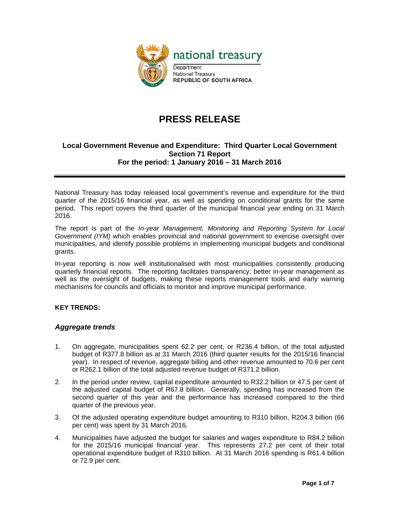

# **PRESS RELEASE**

### **Local Government Revenue and Expenditure: Third Quarter Local Government Section 71 Report For the period: 1 January 2016 – 31 March 2016**

National Treasury has today released local government's revenue and expenditure for the third quarter of the 2015/16 financial year, as well as spending on conditional grants for the same period. This report covers the third quarter of the municipal financial year ending on 31 March 2016.

The report is part of the *In-year Management, Monitoring and Reporting System for Local Government (IYM)* which enables provincial and national government to exercise oversight over municipalities, and identify possible problems in implementing municipal budgets and conditional grants.

In-year reporting is now well institutionalised with most municipalities consistently producing quarterly financial reports. The reporting facilitates transparency, better in-year management as well as the oversight of budgets, making these reports management tools and early warning mechanisms for councils and officials to monitor and improve municipal performance.

### **KEY TRENDS:**

### *Aggregate trends*

- 1. On aggregate, municipalities spent 62.2 per cent, or R236.4 billion, of the total adjusted budget of R377.8 billion as at 31 March 2016 (third quarter results for the 2015/16 financial year). In respect of revenue, aggregate billing and other revenue amounted to 70.6 per cent or R262.1 billion of the total adjusted revenue budget of R371.2 billion.
- 2. In the period under review, capital expenditure amounted to R32.2 billion or 47.5 per cent of the adjusted capital budget of R67.8 billion. Generally, spending has increased from the second quarter of this year and the performance has increased compared to the third quarter of the previous year.
- 3. Of the adjusted operating expenditure budget amounting to R310 billion, R204.3 billion (66 per cent) was spent by 31 March 2016.
- 4. Municipalities have adjusted the budget for salaries and wages expenditure to R84.2 billion for the 2015/16 municipal financial year. This represents 27.2 per cent of their total operational expenditure budget of R310 billion. At 31 March 2016 spending is R61.4 billion or 72.9 per cent.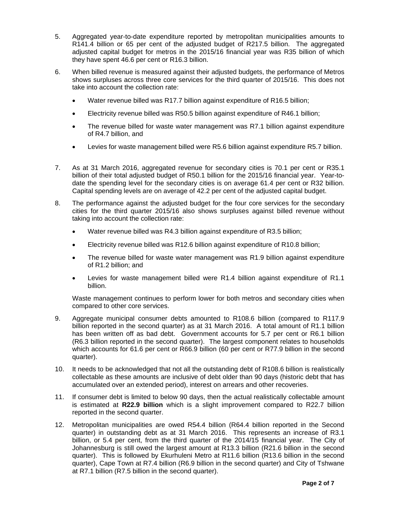- 5. Aggregated year-to-date expenditure reported by metropolitan municipalities amounts to R141.4 billion or 65 per cent of the adjusted budget of R217.5 billion. The aggregated adjusted capital budget for metros in the 2015/16 financial year was R35 billion of which they have spent 46.6 per cent or R16.3 billion.
- 6. When billed revenue is measured against their adjusted budgets, the performance of Metros shows surpluses across three core services for the third quarter of 2015/16. This does not take into account the collection rate:
	- Water revenue billed was R17.7 billion against expenditure of R16.5 billion;
	- Electricity revenue billed was R50.5 billion against expenditure of R46.1 billion;
	- The revenue billed for waste water management was R7.1 billion against expenditure of R4.7 billion, and
	- Levies for waste management billed were R5.6 billion against expenditure R5.7 billion.
- 7. As at 31 March 2016, aggregated revenue for secondary cities is 70.1 per cent or R35.1 billion of their total adjusted budget of R50.1 billion for the 2015/16 financial year. Year-todate the spending level for the secondary cities is on average 61.4 per cent or R32 billion. Capital spending levels are on average of 42.2 per cent of the adjusted capital budget.
- 8. The performance against the adjusted budget for the four core services for the secondary cities for the third quarter 2015/16 also shows surpluses against billed revenue without taking into account the collection rate:
	- Water revenue billed was R4.3 billion against expenditure of R3.5 billion;
	- Electricity revenue billed was R12.6 billion against expenditure of R10.8 billion;
	- The revenue billed for waste water management was R1.9 billion against expenditure of R1.2 billion; and
	- Levies for waste management billed were R1.4 billion against expenditure of R1.1 billion.

Waste management continues to perform lower for both metros and secondary cities when compared to other core services.

- 9. Aggregate municipal consumer debts amounted to R108.6 billion (compared to R117.9 billion reported in the second quarter) as at 31 March 2016. A total amount of R1.1 billion has been written off as bad debt. Government accounts for 5.7 per cent or R6.1 billion (R6.3 billion reported in the second quarter). The largest component relates to households which accounts for 61.6 per cent or R66.9 billion (60 per cent or R77.9 billion in the second quarter).
- 10. It needs to be acknowledged that not all the outstanding debt of R108.6 billion is realistically collectable as these amounts are inclusive of debt older than 90 days (historic debt that has accumulated over an extended period), interest on arrears and other recoveries.
- 11. If consumer debt is limited to below 90 days, then the actual realistically collectable amount is estimated at **R22.9 billion** which is a slight improvement compared to R22.7 billion reported in the second quarter.
- 12. Metropolitan municipalities are owed R54.4 billion (R64.4 billion reported in the Second quarter) in outstanding debt as at 31 March 2016. This represents an increase of R3.1 billion, or 5.4 per cent, from the third quarter of the 2014/15 financial year. The City of Johannesburg is still owed the largest amount at R13.3 billion (R21.6 billion in the second quarter). This is followed by Ekurhuleni Metro at R11.6 billion (R13.6 billion in the second quarter), Cape Town at R7.4 billion (R6.9 billion in the second quarter) and City of Tshwane at R7.1 billion (R7.5 billion in the second quarter).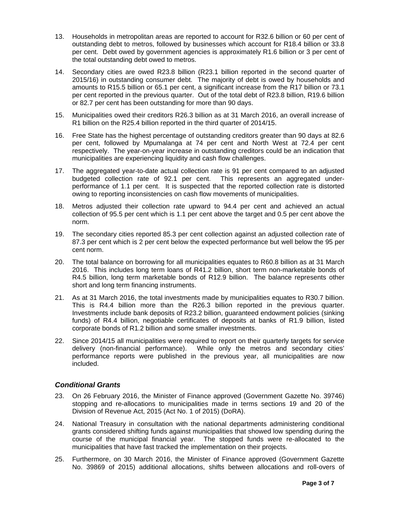- 13. Households in metropolitan areas are reported to account for R32.6 billion or 60 per cent of outstanding debt to metros, followed by businesses which account for R18.4 billion or 33.8 per cent. Debt owed by government agencies is approximately R1.6 billion or 3 per cent of the total outstanding debt owed to metros.
- 14. Secondary cities are owed R23.8 billion (R23.1 billion reported in the second quarter of 2015/16) in outstanding consumer debt. The majority of debt is owed by households and amounts to R15.5 billion or 65.1 per cent, a significant increase from the R17 billion or 73.1 per cent reported in the previous quarter. Out of the total debt of R23.8 billion, R19.6 billion or 82.7 per cent has been outstanding for more than 90 days.
- 15. Municipalities owed their creditors R26.3 billion as at 31 March 2016, an overall increase of R1 billion on the R25.4 billion reported in the third quarter of 2014/15.
- 16. Free State has the highest percentage of outstanding creditors greater than 90 days at 82.6 per cent, followed by Mpumalanga at 74 per cent and North West at 72.4 per cent respectively. The year-on-year increase in outstanding creditors could be an indication that municipalities are experiencing liquidity and cash flow challenges.
- 17. The aggregated year-to-date actual collection rate is 91 per cent compared to an adjusted budgeted collection rate of 92.1 per cent. This represents an aggregated underperformance of 1.1 per cent. It is suspected that the reported collection rate is distorted owing to reporting inconsistencies on cash flow movements of municipalities.
- 18. Metros adjusted their collection rate upward to 94.4 per cent and achieved an actual collection of 95.5 per cent which is 1.1 per cent above the target and 0.5 per cent above the norm.
- 19. The secondary cities reported 85.3 per cent collection against an adjusted collection rate of 87.3 per cent which is 2 per cent below the expected performance but well below the 95 per cent norm.
- 20. The total balance on borrowing for all municipalities equates to R60.8 billion as at 31 March 2016. This includes long term loans of R41.2 billion, short term non-marketable bonds of R4.5 billion, long term marketable bonds of R12.9 billion. The balance represents other short and long term financing instruments.
- 21. As at 31 March 2016, the total investments made by municipalities equates to R30.7 billion. This is R4.4 billion more than the R26.3 billion reported in the previous quarter. Investments include bank deposits of R23.2 billion, guaranteed endowment policies (sinking funds) of R4.4 billion, negotiable certificates of deposits at banks of R1.9 billion, listed corporate bonds of R1.2 billion and some smaller investments.
- 22. Since 2014/15 all municipalities were required to report on their quarterly targets for service delivery (non-financial performance). While only the metros and secondary cities' performance reports were published in the previous year, all municipalities are now included.

### *Conditional Grants*

- 23. On 26 February 2016, the Minister of Finance approved (Government Gazette No. 39746) stopping and re-allocations to municipalities made in terms sections 19 and 20 of the Division of Revenue Act, 2015 (Act No. 1 of 2015) (DoRA).
- 24. National Treasury in consultation with the national departments administering conditional grants considered shifting funds against municipalities that showed low spending during the course of the municipal financial year. The stopped funds were re-allocated to the municipalities that have fast tracked the implementation on their projects.
- 25. Furthermore, on 30 March 2016, the Minister of Finance approved (Government Gazette No. 39869 of 2015) additional allocations, shifts between allocations and roll-overs of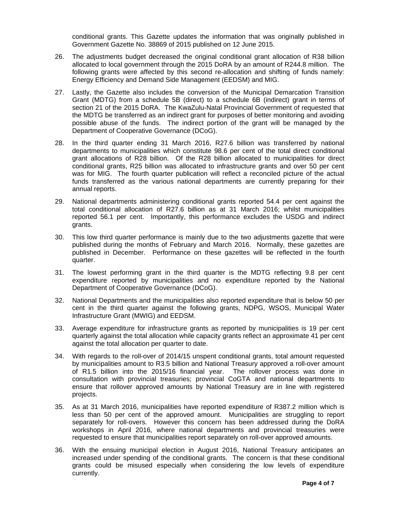conditional grants. This Gazette updates the information that was originally published in Government Gazette No. 38869 of 2015 published on 12 June 2015.

- 26. The adjustments budget decreased the original conditional grant allocation of R38 billion allocated to local government through the 2015 DoRA by an amount of R244.8 million. The following grants were affected by this second re-allocation and shifting of funds namely: Energy Efficiency and Demand Side Management (EEDSM) and MIG.
- 27. Lastly, the Gazette also includes the conversion of the Municipal Demarcation Transition Grant (MDTG) from a schedule 5B (direct) to a schedule 6B (indirect) grant in terms of section 21 of the 2015 DoRA. The KwaZulu-Natal Provincial Government of requested that the MDTG be transferred as an indirect grant for purposes of better monitoring and avoiding possible abuse of the funds. The indirect portion of the grant will be managed by the Department of Cooperative Governance (DCoG).
- 28. In the third quarter ending 31 March 2016, R27.6 billion was transferred by national departments to municipalities which constitute 98.6 per cent of the total direct conditional grant allocations of R28 billion. Of the R28 billion allocated to municipalities for direct conditional grants, R25 billion was allocated to infrastructure grants and over 50 per cent was for MIG. The fourth quarter publication will reflect a reconciled picture of the actual funds transferred as the various national departments are currently preparing for their annual reports.
- 29. National departments administering conditional grants reported 54.4 per cent against the total conditional allocation of R27.6 billion as at 31 March 2016; whilst municipalities reported 56.1 per cent. Importantly, this performance excludes the USDG and indirect grants.
- 30. This low third quarter performance is mainly due to the two adjustments gazette that were published during the months of February and March 2016. Normally, these gazettes are published in December. Performance on these gazettes will be reflected in the fourth quarter.
- 31. The lowest performing grant in the third quarter is the MDTG reflecting 9.8 per cent expenditure reported by municipalities and no expenditure reported by the National Department of Cooperative Governance (DCoG).
- 32. National Departments and the municipalities also reported expenditure that is below 50 per cent in the third quarter against the following grants, NDPG, WSOS, Municipal Water Infrastructure Grant (MWIG) and EEDSM.
- 33. Average expenditure for infrastructure grants as reported by municipalities is 19 per cent quarterly against the total allocation while capacity grants reflect an approximate 41 per cent against the total allocation per quarter to date.
- 34. With regards to the roll-over of 2014/15 unspent conditional grants, total amount requested by municipalities amount to R3.5 billion and National Treasury approved a roll-over amount of R1.5 billion into the 2015/16 financial year. The rollover process was done in consultation with provincial treasuries; provincial CoGTA and national departments to ensure that rollover approved amounts by National Treasury are in line with registered projects.
- 35. As at 31 March 2016, municipalities have reported expenditure of R387.2 million which is less than 50 per cent of the approved amount. Municipalities are struggling to report separately for roll-overs. However this concern has been addressed during the DoRA workshops in April 2016, where national departments and provincial treasuries were requested to ensure that municipalities report separately on roll-over approved amounts.
- 36. With the ensuing municipal election in August 2016, National Treasury anticipates an increased under spending of the conditional grants. The concern is that these conditional grants could be misused especially when considering the low levels of expenditure currently.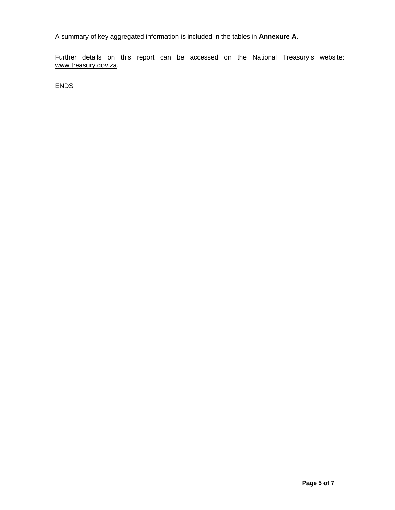A summary of key aggregated information is included in the tables in **Annexure A**.

Further details on this report can be accessed on the National Treasury's website: www.treasury.gov.za.

ENDS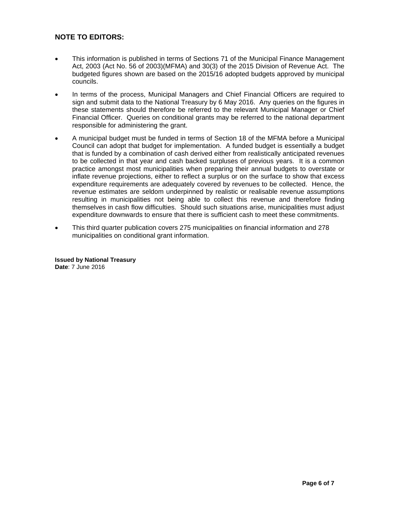## **NOTE TO EDITORS:**

- This information is published in terms of Sections 71 of the Municipal Finance Management Act, 2003 (Act No. 56 of 2003)(MFMA) and 30(3) of the 2015 Division of Revenue Act. The budgeted figures shown are based on the 2015/16 adopted budgets approved by municipal councils.
- In terms of the process, Municipal Managers and Chief Financial Officers are required to sign and submit data to the National Treasury by 6 May 2016. Any queries on the figures in these statements should therefore be referred to the relevant Municipal Manager or Chief Financial Officer. Queries on conditional grants may be referred to the national department responsible for administering the grant.
- A municipal budget must be funded in terms of Section 18 of the MFMA before a Municipal Council can adopt that budget for implementation. A funded budget is essentially a budget that is funded by a combination of cash derived either from realistically anticipated revenues to be collected in that year and cash backed surpluses of previous years. It is a common practice amongst most municipalities when preparing their annual budgets to overstate or inflate revenue projections, either to reflect a surplus or on the surface to show that excess expenditure requirements are adequately covered by revenues to be collected. Hence, the revenue estimates are seldom underpinned by realistic or realisable revenue assumptions resulting in municipalities not being able to collect this revenue and therefore finding themselves in cash flow difficulties. Should such situations arise, municipalities must adjust expenditure downwards to ensure that there is sufficient cash to meet these commitments.
- This third quarter publication covers 275 municipalities on financial information and 278 municipalities on conditional grant information.

**Issued by National Treasury Date**: 7 June 2016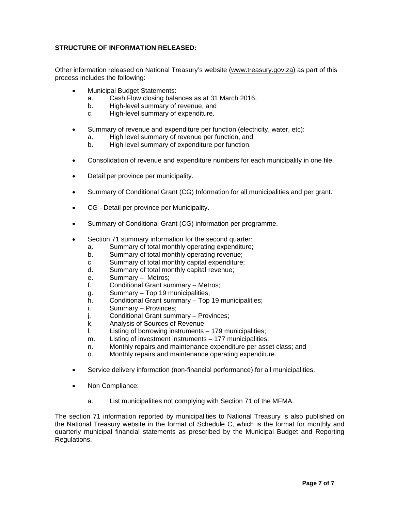### **STRUCTURE OF INFORMATION RELEASED:**

Other information released on National Treasury's website (www.treasury.gov.za) as part of this process includes the following:

- Municipal Budget Statements:
	- a. Cash Flow closing balances as at 31 March 2016,
	- b. High-level summary of revenue, and
	- c. High-level summary of expenditure.
- Summary of revenue and expenditure per function (electricity, water, etc):
	- a. High level summary of revenue per function, and
	- b. High level summary of expenditure per function.
- Consolidation of revenue and expenditure numbers for each municipality in one file.
- Detail per province per municipality.
- Summary of Conditional Grant (CG) Information for all municipalities and per grant.
- CG Detail per province per Municipality.
- Summary of Conditional Grant (CG) information per programme.
- Section 71 summary information for the second quarter:
	- a. Summary of total monthly operating expenditure;
	- b. Summary of total monthly operating revenue;
	- c. Summary of total monthly capital expenditure;
	- d. Summary of total monthly capital revenue;
	- e. Summary Metros;
	- f. Conditional Grant summary Metros;
	- g. Summary Top 19 municipalities;
	- h. Conditional Grant summary Top 19 municipalities;
	- i. Summary Provinces;
	- j. Conditional Grant summary Provinces;
	- k. Analysis of Sources of Revenue;
	- l. Listing of borrowing instruments 179 municipalities;
	- m. Listing of investment instruments 177 municipalities;
	- n. Monthly repairs and maintenance expenditure per asset class; and
	- o. Monthly repairs and maintenance operating expenditure.
- Service delivery information (non-financial performance) for all municipalities.
- Non Compliance:
	- a. List municipalities not complying with Section 71 of the MFMA.

The section 71 information reported by municipalities to National Treasury is also published on the National Treasury website in the format of Schedule C, which is the format for monthly and quarterly municipal financial statements as prescribed by the Municipal Budget and Reporting Regulations.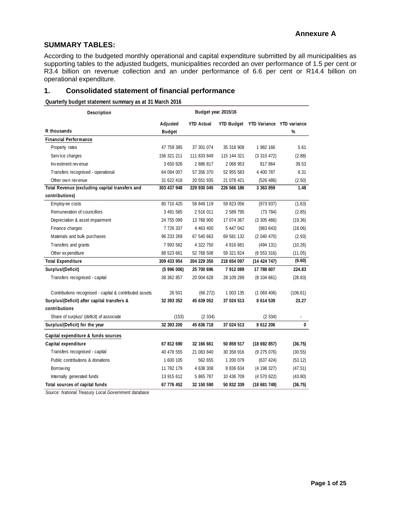### **SUMMARY TABLES:**

According to the budgeted monthly operational and capital expenditure submitted by all municipalities as supporting tables to the adjusted budgets, municipalities recorded an over performance of 1.5 per cent or R3.4 billion on revenue collection and an under performance of 6.6 per cent or R14.4 billion on operational expenditure.

### **1. Consolidated statement of financial performance**

**Quarterly budget statement summary as at 31 March 2016**

| Description                                             |               | Budget year 2015/16 |               |                                      |          |
|---------------------------------------------------------|---------------|---------------------|---------------|--------------------------------------|----------|
|                                                         | Adjusted      | <b>YTD Actual</b>   |               | YTD Budget YTD Variance YTD variance |          |
| R thousands                                             | <b>Budget</b> |                     |               |                                      | %        |
| <b>Financial Performance</b>                            |               |                     |               |                                      |          |
| Property rates                                          | 47 759 385    | 37 301 074          | 35 318 908    | 1 982 166                            | 5.61     |
| Service charges                                         | 156 321 211   | 111 833 849         | 115 144 321   | (3310472)                            | (2.88)   |
| Investment revenue                                      | 3 650 926     | 2 886 817           | 2 068 953     | 817 864                              | 39.53    |
| Transfers recognised - operational                      | 64 084 007    | 57 356 370          | 52 955 583    | 4 400 787                            | 8.31     |
| Other own revenue                                       | 31 622 418    | 20 551 935          | 21 078 421    | (526 486)                            | (2.50)   |
| Total Revenue (excluding capital transfers and          | 303 437 948   | 229 930 045         | 226 566 186   | 3 363 859                            | 1.48     |
| contributions)                                          |               |                     |               |                                      |          |
| Employee costs                                          | 80 710 420    | 58 849 119          | 59 823 056    | (973937)                             | (1.63)   |
| Remuneration of councillors                             | 3 491 585     | 2 516 011           | 2 589 795     | (73784)                              | (2.85)   |
| Depreciation & asset impairment                         | 24 755 099    | 13 768 900          | 17 074 367    | (3305466)                            | (19.36)  |
| Finance charges                                         | 7 7 2 6 3 3 7 | 4 4 6 3 4 0 0       | 5 447 042     | (983643)                             | (18.06)  |
| Materials and bulk purchases                            | 96 233 269    | 67 540 663          | 69 581 132    | (2040470)                            | (2.93)   |
| Transfers and grants                                    | 7 993 582     | 4 322 750           | 4 816 881     | (494131)                             | (10.26)  |
| Other ex penditure                                      | 88 523 661    | 52 768 508          | 59 321 824    | (6553316)                            | (11.05)  |
| <b>Total Expenditure</b>                                | 309 433 954   | 204 229 350         | 218 654 097   | (1442474)                            | (6.60)   |
| Surplus/(Deficit)                                       | (5996006)     | 25 700 696          | 7 912 089     | 17 788 607                           | 224.83   |
| Transfers recognised - capital                          | 38 362 857    | 20 004 628          | 28 109 289    | (8104661)                            | (28.83)  |
| Contributions recognised - capital & contributed assets | 26 501        | (66 272)            | 1 003 135     | (1069406)                            | (106.61) |
| Surplus/(Deficit) after capital transfers &             | 32 393 352    | 45 639 052          | 37 024 513    | 8 614 539                            | 23.27    |
| contributions                                           |               |                     |               |                                      |          |
| Share of surplus/ (deficit) of associate                | (153)         | (2334)              |               | (2334)                               | ä,       |
| Surplus/(Deficit) for the year                          | 32 393 200    | 45 636 718          | 37 024 513    | 8 612 206                            | 0        |
| Capital expenditure & funds sources                     |               |                     |               |                                      |          |
| Capital expenditure                                     | 67 812 690    | 32 166 661          | 50 859 517    | (18692857)                           | (36.75)  |
| Transfers recognised - capital                          | 40 478 555    | 21 083 840          | 30 358 916    | (9275076)                            | (30.55)  |
| Public contributions & donations                        | 1 600 105     | 562 655             | 1 200 079     | (637 424)                            | (53.12)  |
| Borrow ing                                              | 11 782 179    | 4 638 308           | 8 8 3 6 6 3 4 | (4198327)                            | (47.51)  |
| Internally generated funds                              | 13 915 612    | 5 865 787           | 10 436 709    | (4570922)                            | (43.80)  |
| Total sources of capital funds                          | 67 776 452    | 32 150 590          | 50 832 339    | (18681749)                           | (36.75)  |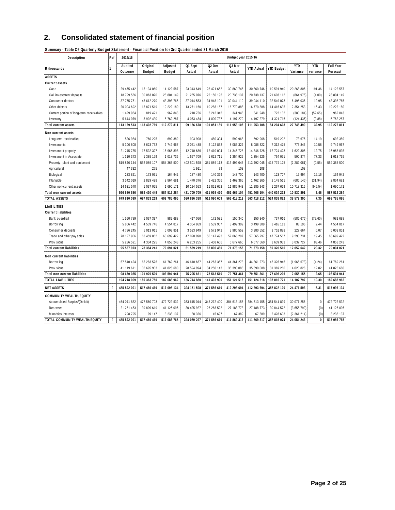## **2. Consolidated statement of financial position**

| Description                              | Ref            | 2014/15            |                           |                           |                   |                              | Budget year 2015/16 |                   |                   |                        |                        |                              |
|------------------------------------------|----------------|--------------------|---------------------------|---------------------------|-------------------|------------------------------|---------------------|-------------------|-------------------|------------------------|------------------------|------------------------------|
| R thousands                              | 1              | Audited<br>Outcome | Original<br><b>Budget</b> | Adjusted<br><b>Budget</b> | Q1 Sept<br>Actual | Q <sub>2</sub> Dec<br>Actual | Q3 Mar<br>Actual    | <b>YTD Actual</b> | <b>YTD Budget</b> | <b>YTD</b><br>Variance | <b>YTD</b><br>variance | <b>Full Year</b><br>Forecast |
| <b>ASSETS</b>                            |                |                    |                           |                           |                   |                              |                     |                   |                   |                        |                        |                              |
| <b>Current assets</b>                    |                |                    |                           |                           |                   |                              |                     |                   |                   |                        |                        |                              |
| Cash                                     |                | 29 475 442         | 15 134 060                | 14 122 587                | 23 343 649        | 23 421 652                   | 30 860 746          | 30 860 746        | 10 591 940        | 20 268 806             | 191.36                 | 14 122 587                   |
| Call investment deposits                 |                | 18 799 566         | 30 063 070                | 28 804 149                | 21 265 076        | 22 150 196                   | 20 738 137          | 20 738 137        | 21 603 112        | (864975)               | (4.00)                 | 28 804 149                   |
| Consumer debtors                         |                | 37 775 751         | 45 612 270                | 43 398 765                | 37 014 553        | 34 948 101                   | 39 044 110          | 39 044 110        | 32 549 073        | 6 495 036              | 19.95                  | 43 398 765                   |
| Other debtors                            |                | 20 004 692         | 15 871 519                | 19 222 180                | 13 271 160        | 10 288 157                   | 16 770 888          | 16 770 888        | 14 416 635        | 2 3 5 4 2 5 3          | 16.33                  | 19 222 180                   |
| Current portion of long-term receivables |                | 1 429 984          | 819 421                   | 962 843                   | 218 756           | 6 242 346                    | 341 948             | 341 948           | 722 132           | (380 184)              | (52.65)                | 962 843                      |
| Inventory                                |                | 5 644 079          | 5 902 430                 | 5 762 287                 | 4 073 484         | 4 000 737                    | 4 197 279           | 4 197 279         | 4 321 716         | (124 436)              | (2.88)                 | 5 762 287                    |
| <b>Total current assets</b>              |                | 113 129 513        | 113 402 769               | 112 272 811               | 99 186 678        | 101 051 189                  | 111 953 108         | 111 953 108       | 84 204 608        | 27 748 499             | 32.95                  | 112 272 811                  |
| Non current assets                       |                |                    |                           |                           |                   |                              |                     |                   |                   |                        |                        |                              |
| Long-term receivables                    |                | 526 984            | 760 225                   | 692 389                   | 903 908           | 480 304                      | 592 968             | 592 968           | 519 292           | 73 676                 | 14.19                  | 692 389                      |
| Investments                              |                | 5 306 608          | 8 623 752                 | 9 749 967                 | 2 051 488         | 2 122 832                    | 8 0 8 6 3 2 2       | 8 0 8 6 3 2 2     | 7 312 475         | 773 846                | 10.58                  | 9 749 967                    |
| Investment property                      |                | 21 245 735         | 17 532 327                | 16 965 898                | 12 740 686        | 12 410 004                   | 14 346 728          | 14 346 728        | 12 724 423        | 1 622 305              | 12.75                  | 16 965 898                   |
| Investment in Associate                  |                | 1 310 373          | 1 385 179                 | 1 018 735                 | 1 657 709         | 1 622 711                    | 1 354 925           | 1 3 5 4 9 2 5     | 764 051           | 590 874                | 77.33                  | 1 018 735                    |
| Property, plant and equipment            |                | 519 846 144        | 552 089 107               | 554 365 500               | 402 501 598       | 381 889 113                  | 413 492 045         | 413 492 045       | 415 774 125       | (2 282 081)            | (0.55)                 | 554 365 500                  |
| Agricultural                             |                | 47 332             | 275                       |                           | 1911              | 79                           | 108                 | 108               |                   | 108                    |                        |                              |
| Biological                               |                | 233 821            | 173 031                   | 164 942                   | 187 480           | 140 369                      | 143 700             | 143 700           | 123 707           | 19 994                 | 16.16                  | 164 942                      |
| Intangible                               |                | 3 542 019          | 2829498                   | 2 864 681                 | 1 470 376         | 1 422 356                    | 1 462 365           | 1 462 365         | 2 148 511         | (686 146)              | (31.94)                | 2 864 681                    |
| Other non-current assets                 |                | 14 621 570         | 1 0 3 7 0 5 5             | 1 690 171                 | 10 194 553        | 11 851 652                   | 11 985 943          | 11 985 943        | 1 267 629         | 10 718 315             | 845.54                 | 1 690 171                    |
| Total non current assets                 |                | 566 680 586        | 584 430 449               | 587 512 284               | 431 709 709       | 411 939 420                  | 451 465 104         | 451 465 104       | 440 634 213       | 10 830 891             | 2.46                   | 587 512 284                  |
| <b>TOTAL ASSETS</b>                      |                | 679 810 099        | 697 833 219               | 699 785 095               | 530 896 388       | 512 990 609                  | 563 418 212         | 563 418 212       | 524 838 822       | 38 579 390             | 7.35                   | 699 785 095                  |
| LIABILITIES                              |                |                    |                           |                           |                   |                              |                     |                   |                   |                        |                        |                              |
| <b>Current liabilities</b>               |                |                    |                           |                           |                   |                              |                     |                   |                   |                        |                        |                              |
| Bank ov erdraft                          |                | 1 550 789          | 1 037 397                 | 982 688                   | 417 056           | 172 531                      | 150 340             | 150 340           | 737 016           | (586 676)              | (79.60)                | 982 688                      |
| Borrow ing                               |                | 5 806 442          | 4 539 746                 | 4 5 5 4 8 1 7             | 4 304 869         | 3 539 907                    | 3 499 309           | 3 499 309         | 3 416 113         | 83 196                 | 2.44                   | 4 5 5 4 8 17                 |
| Consumer deposits                        |                | 4 786 245          | 5 013 011                 | 5 003 851                 | 3 593 949         | 3 571 942                    | 3 980 552           | 3 980 552         | 3 752 888         | 227 664                | 6.07                   | 5 003 851                    |
| Trade and other pay ables                |                | 78 127 906         | 63 459 862                | 63 699 422                | 47 020 090        | 50 147 493                   | 57 065 297          | 57 065 297        | 47 774 567        | 9 290 731              | 19.45                  | 63 699 422                   |
| Provisions                               |                | 5 286 591          | 4 3 3 4 2 2 5             | 4 853 243                 | 6 203 255         | 5 458 606                    | 6 677 660           | 6 677 660         | 3 639 933         | 3 037 727              | 83.46                  | 4 853 243                    |
| <b>Total current liabilities</b>         |                | 95 557 973         | 78 384 241                | 79 094 021                | 61 539 219        | 62 890 480                   | 71 373 158          | 71 373 158        | 59 320 516        | 12 052 642             | 20.32                  | 79 094 021                   |
| Non current liabilities                  |                |                    |                           |                           |                   |                              |                     |                   |                   |                        |                        |                              |
| Borrow ing                               |                | 57 540 424         | 65 283 576                | 61 769 261                | 46 610 667        | 44 263 367                   | 44 361 273          | 44 361 273        | 46 326 946        | (1965673)              | (4.24)                 | 61 769 261                   |
| Provisions                               |                | 41 119 611         | 36 695 933                | 41 825 680                | 28 594 994        | 34 250 143                   | 35 390 088          | 35 390 088        | 31 369 260        | 4 020 828              | 12.82                  | 41 825 680                   |
| Total non current liabilities            |                | 98 660 035         | 101 979 509               | 103 594 941               | 75 205 661        | 78 513 510                   | 79 751 361          | 79 751 361        | 77 696 206        | 2 055 155              | 2.65                   | 103 594 941                  |
| <b>TOTAL LIABILITIES</b>                 |                | 194 218 009        | 180 363 750               | 182 688 962               | 136 744 880       | 141 403 990                  | 151 124 518         | 151 124 518       | 137 016 721       | 14 107 797             | 10.30                  | 182 688 962                  |
| <b>NET ASSETS</b>                        | $\overline{2}$ | 485 592 091        | 517 469 469               | 517 096 134               | 394 151 508       | 371 586 619                  | 412 293 694         | 412 293 694       | 387 822 100       | 24 471 593             | 6.31                   | 517 096 134                  |
| <b>COMMUNITY WEALTH/EQUITY</b>           |                |                    |                           |                           |                   |                              |                     |                   |                   |                        |                        |                              |
| Accumulated Surplus/(Deficit)            |                | 464 041 832        | 477 560 703               | 472 722 532               | 363 615 044       | 345 272 400                  | 384 613 155         | 384 613 155       | 354 541 899       | 30 071 256             | $\mathbf{0}$           | 472 722 532                  |
| <b>Reserves</b>                          |                | 21 251 463         | 39 809 619                | 41 126 096                | 30 425 927        | 26 268 522                   | 27 188 773          | 27 188 773        | 30 844 572        | (3655799)              | (0)                    | 41 126 096                   |
| Minorities interests                     |                | 298 795            | 99 147                    | 3 2 3 8 1 3 7             | 38 326            | 45 697                       | 67 389              | 67 389            | 2 428 603         | (2361214)              | (0)                    | 3 2 3 8 1 3 7                |
| TOTAL COMMUNITY WEALTH/EQUITY            | $\overline{2}$ | 485 592 091        | 517 469 469               | 517 086 765               | 394 079 297       | 371 586 619                  | 411 869 317         | 411 869 317       | 387 815 074       | 24 054 243             | $\mathbf{0}$           | 517 086 765                  |

**Summary - Table C6 Quarterly Budget S tatement - Financial Position for 3rd Quarter ended 31 March 2016**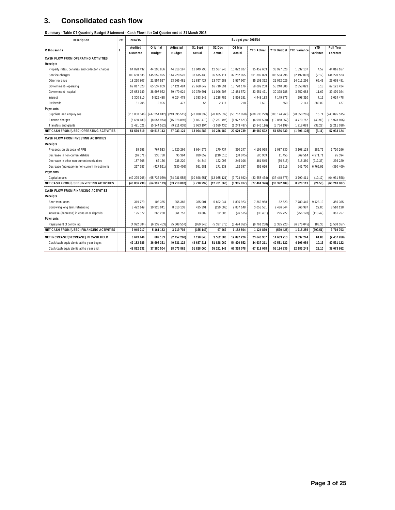## **3. Consolidated cash flow**

**S ummary - Table C7 Quarterly Budget S tatement - Cash Flows for 3rd Quarter ended 31 March 2016**

| Description                                      | Ref | 2014/15      |                |               |              |                    | Budget year 2015/16 |                   |              |                           |            |              |
|--------------------------------------------------|-----|--------------|----------------|---------------|--------------|--------------------|---------------------|-------------------|--------------|---------------------------|------------|--------------|
|                                                  |     | Audited      | Original       | Adjusted      | Q1 Sept      | Q <sub>2</sub> Dec | Q3 Mar              |                   |              |                           | <b>YTD</b> | Full Year    |
| R thousands                                      |     | Outcome      | <b>Budget</b>  | <b>Budget</b> | Actual       | Actual             | Actual              | <b>YTD Actual</b> |              | YTD Budget   YTD Variance | variance   | Forecast     |
| CASH FLOW FROM OPERATING ACTIVITIES              |     |              |                |               |              |                    |                     |                   |              |                           |            |              |
| Receipts                                         |     |              |                |               |              |                    |                     |                   |              |                           |            |              |
| Property rates, penalties and collection charges |     | 64 028 432   | 44 296 856     | 44 816 167    | 12 049 790   | 12 587 246         | 10 822 627          | 35 459 663        | 33 927 526   | 1 532 137                 | 4.52       | 44 816 167   |
| Service charges                                  |     | 100 650 635  | 145 559 995    | 144 220 523   | 33 615 433   | 35 525 411         | 32 252 055          | 101 392 899       | 103 584 996  | (2 192 097)               | (2.12)     | 144 220 523  |
| Other revenue                                    |     | 18 220 807   | 21 554 527     | 23 665 481    | 11 837 427   | 13 707 988         | 9 557 907           | 35 103 322        | 21 092 026   | 14 011 296                | 66.43      | 23 665 481   |
| Government - operating                           |     | 62 817 328   | 65 537 809     | 67 121 424    | 25 668 642   | 16 710 391         | 15 720 176          | 58 099 208        | 55 240 386   | 2 858 823                 | 5.18       | 67 121 424   |
| Government - capital                             |     | 25 683 149   | 38 697 962     | 39 470 024    | 10 370 691   | 11 096 207         | 12 484 572          | 33 951 471        | 30 398 788   | 3 552 683                 | 11.69      | 39 470 024   |
| Interest                                         |     | 6 300 810    | 5 5 2 5 4 8 8  | 6 024 478     | 1 383 242    | 1 238 789          | 1 826 151           | 4 4 4 4 1 8 3     | 4 149 873    | 298 310                   | 7.19       | 6 0 24 4 78  |
| Div idends                                       |     | 31 205       | 2 9 0 5        | 477           | 56           | 2 4 1 7            | 218                 | 2691              | 550          | 2 1 4 1                   | 389.09     | 477          |
| Payments                                         |     |              |                |               |              |                    |                     |                   |              |                           |            |              |
| Suppliers and employees                          |     | (216000646)  | (247254842)    | (243095515)   | (78 930 332) | (70835039)         | (58 767 858)        | (208 533 229)     | (180174963)  | (28358265)                | 15.74      | (243095515)  |
| Finance charges                                  |     | (6680180)    | (8057974)      | (15978896)    | (1867473)    | (2 257 496)        | (1972621)           | (6097590)         | (10868352)   | 4 770 762                 | (43.90)    | (15978896)   |
| Transfers and grants                             |     | (3491021)    | (5344582)      | (9211038)     | (1063194)    | (1539435)          | (1243487)           | (3846116)         | (5764199)    | 1 918 083                 | (33.28)    | (9211038)    |
| NET CASH FROM/(USED) OPERATING ACTIVITIES        |     | 51 560 519   | 60 518 143     | 57 033 124    | 13 064 282   | 16 236 480         | 20 679 739          | 49 980 502        | 51 586 630   | (1606128)                 | (3.11)     | 57 033 124   |
| CASH FLOW FROM INVESTING ACTIVITIES              |     |              |                |               |              |                    |                     |                   |              |                           |            |              |
| Receipts                                         |     |              |                |               |              |                    |                     |                   |              |                           |            |              |
| Proceeds on disposal of PPE                      |     | 39 953       | 767 533        | 1 720 266     | 3 664 975    | 170 737            | 360 247             | 4 195 958         | 1 087 830    | 3 108 128                 | 285.72     | 1 720 266    |
| Decrease in non-current debtors                  |     | (16071)      | 336 788        | 95 394        | 829 059      | (210015)           | (38075)             | 580 969           | 11 455       | 569 514                   | 4 971.71   | 95 394       |
| Decrease in other non-current receivables        |     | 187 608      | 62 166         | 236 220       | 94 344       | 122 095            | 245 106             | 461 545           | (56 815)     | 518 360                   | (912.37)   | 236 220      |
| Decrease (increase) in non-current investments   |     | 227 987      | (427591)       | (330 409)     | 591 981      | 171 238            | 192 397             | 955 616           | 13 916       | 941 700                   | 6766.99    | (330 409)    |
| Payments                                         |     |              |                |               |              |                    |                     |                   |              |                           |            |              |
| Capital assets                                   |     | (49 295 768) | (65, 736, 069) | (64931558)    | (10898651)   | (13035121)         | (9 724 692)         | (33658464)        | (37448875)   | 3 790 411                 | (10.12)    | (64931558)   |
| NET CASH FROM/(USED) INVESTING ACTIVITIES        |     | (48 856 290) | (64997173)     | (63 210 087)  | (5718292)    | (12781066)         | (8965017)           | (27464376)        | (36 392 489) | 8 928 113                 | (24.53)    | (63 210 087) |
| CASH FLOW FROM FINANCING ACTIVITIES              |     |              |                |               |              |                    |                     |                   |              |                           |            |              |
| Receipts                                         |     |              |                |               |              |                    |                     |                   |              |                           |            |              |
| Short term loans                                 |     | 319 779      | 103 365        | 356 365       | 365 001      | 5 602 044          | 1895923             | 7862968           | 82 523       | 7 780 445                 | 9 428.19   | 356 365      |
| Borrow ing long term/refinancing                 |     | 8 422 149    | 10 925 041     | 8 510 138     | 425 391      | (229008)           | 2 857 148           | 3 0 5 3 5 3 1     | 2 486 544    | 566 987                   | 22.80      | 8 5 10 1 38  |
| Increase (decrease) in consumer deposits         |     | 195 872      | 265 230        | 361 757       | 13 809       | 52 306             | (96 515)            | (30 401)          | 225 727      | (256 128)                 | (113.47)   | 361 757      |
| Payments                                         |     |              |                |               |              |                    |                     |                   |              |                           |            |              |
| Repay ment of borrow ing                         |     | (4 992 584)  | (6132453)      | (5508557)     | (959343)     | (5327873)          | (3474052)           | (9761268)         | (3385223)    | (6376045)                 | 188.35     | (5508557)    |
| NET CASH FROM/(USED) FINANCING ACTIVITIES        |     | 3 945 217    | 5 161 183      | 3 719 703     | (155142)     | 97 469             | 1 182 504           | 1 124 830         | (590 428)    | 1 715 259                 | (290.51)   | 3 719 703    |
| NET INCREASE/(DECREASE) IN CASH HELD             |     | 6 649 446    | 682 153        | (2457260)     | 7 190 848    | 3 552 883          | 12 897 226          | 23 640 957        | 14 603 713   | 9 037 244                 | 61.88      | (2457260)    |
| Cash/cash equivalents at the year begin:         |     | 42 182 686   | 36 698 351     | 40 531 122    | 44 637 211   | 51 828 060         | 54 420 852          | 44 637 211        | 40 531 122   | 4 106 089                 | 10.13      | 40 531 122   |
| Cash/cash equivalents at the year end:           |     | 48 832 132   | 37 380 504     | 38 073 862    | 51 828 060   | 55 291 149         | 67 318 078          | 67 318 078        | 55 134 835   | 12 183 243                | 22.10      | 38 073 862   |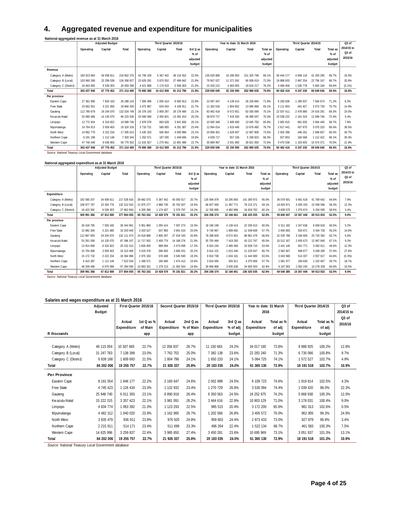## **4. Aggregated revenue and expenditure for municipalities**

| National aggregated revenue as at 31 March 2016 |  |  |  |
|-------------------------------------------------|--|--|--|

| . .                   |             | <b>Adjusted Budget</b> |             |                 | Third Quarter 2015/16 |               |          |             | Year to date: 31 March 2016 |             |          |            | Third Quarter 2014/15 |            |          | Q3 of             |
|-----------------------|-------------|------------------------|-------------|-----------------|-----------------------|---------------|----------|-------------|-----------------------------|-------------|----------|------------|-----------------------|------------|----------|-------------------|
|                       | Operating   | Capital                | Total       | Operating       | Capital               | Total         | 3rd Q as | Operating   | Capital                     | Total       | Total as | Operating  | Capital               | Total      | Total as | 2014/15 to        |
|                       |             |                        |             |                 |                       |               | % of     |             |                             |             | % of     |            |                       |            | % of     | Q <sub>3</sub> of |
|                       |             |                        |             |                 |                       |               | adjusted |             |                             |             | adjusted |            |                       |            | adjusted | 2015/16           |
|                       |             |                        |             |                 |                       |               | budget   |             |                             |             | budget   |            |                       |            | budget   |                   |
| Revenue               |             |                        |             |                 |                       |               |          |             |                             |             |          |            |                       |            |          |                   |
| Category A (Metro)    | 183 913 664 | 34 938 611             | 218 852 276 | 42 749 109      | 5 367 442             | 48 116 552    | 22.0%    | 135 029 806 | 16 295 993                  | 151 325 799 | 69.1%    | 36 444 177 | 4 849 118             | 41 293 295 | 69.7%    | 16.5%             |
| Category B (Local)    | 103 060 288 | 23 298 538             | 126 358 827 | 23 629 291      | 3 870 552             | 27 499 842    | 21.8%    | 79 567 027  | 11 371 592                  | 90 938 619  | 72.0%    | 19 888 833 | 2 867 334             | 22 756 167 | 68.7%    | 20.8%             |
| Category C (District) | 16 463 995  | 9 539 303              | 26 003 298  | 4 4 2 1 8 8 8   | 1 174 515             | 5 596 403     | 21.5%    | 15 333 212  | 4 483 005                   | 19 816 217  | 76.2%    | 4 069 406  | 530 778               | 5 600 184  | 69.6%    | $(0.1\%)$         |
| Total                 | 303 437 948 | 67 776 452             | 371 214 400 | 70 800 288      | 10 412 509            | 81 212 796    | 21.9%    | 229 930 045 | 32 150 590                  | 262 080 635 | 70.6%    | 60 402 416 | 9 247 230             | 69 649 646 | 69.4%    | 16.6%             |
| Per province          |             |                        |             |                 |                       |               |          |             |                             |             |          |            |                       |            |          |                   |
| Eastern Cape          | 27 361 990  | 7 926 153              | 35 288 143  | 7 005 499       | 1 055 414             | 8 0 6 9 9 1 3 | 22.8%    | 22 097 447  | 4 139 414                   | 26 236 860  | 71.9%    | 6 293 836  | 290 837               | 7 584 674  | 71.2%    | 6.3%              |
| Free State            | 15 662 551  | 3 2 2 1 6 5 0          | 18 884 200  | 3 472 867       | 634 043               | 4 106 911     | 21.7%    | 11 282 016  | 1804852                     | 13 086 868  | 65.1%    | 3 111 903  | 461 827               | 3 573 730  | 70.7%    | 14.9%             |
| Gauteng               | 112 780 679 | 19 244 070             | 132 024 749 | 26 378 193      | 2 800 297             | 29 178 490    | 22.1%    | 83 462 418  | 8 572 651                   | 92 035 069  | 70.1%    | 22 037 411 | 2 478 880             | 24 516 291 | 69.3%    | 19.0%             |
| Kw azulu-Natal        | 52 080 466  | 14 135 070             | 66 215 536  | 10 940 589      | 2 450 821             | 13 391 410    | 20.2%    | 38 970 717  | 7 419 330                   | 46 390 047  | 70.3%    | 10 538 222 | 2 161 524             | 12 699 746 | 72.4%    | 5.4%              |
| Limpopo               | 12 772 924  | 6 316 822              | 19 089 746  | 2978578         | 863 028               | 3 841 606     | 20.1%    | 10 565 349  | 2 480 400                   | 13 045 750  | 65.8%    | 2 902 815  | 661 630               | 3 564 445  | 58.7%    | 7.8%              |
| Mpumalanga            | 14 764 913  | 3 559 403              | 18 324 316  | 3 710 731       | 580 655               | 4 291 387     | 23.4%    | 12 064 014  | 1 615 446                   | 13 679 460  | 76.7%    | 2 617 441  | 457 870               | 3 075 310  | 68.4%    | 39.5%             |
| North West            | 14 082 779  | 3 222 234              | 17 305 013  | 3 4 3 5 3 3 3 3 | 565 654               | 4 000 986     | 23.1%    | 10 958 401  | 1 629 407                   | 12 587 808  | 73.5%    | 2 502 396  | 446 261               | 2 948 657  | 66.5%    | 35.7%             |
| Northern Cape         | 6 191 198   | 1 112 146              | 7 303 344   | 1 262 571       | 187 035               | 449 606       | 19.8%    | 4 639 717   | 557 106                     | 5 196 823   | 68.3%    | 927 853    | 184 568               | 1 112 422  | 68.1%    | 30.3%             |
| Western Cape          | 47 740 448  | 9 0 38 9 0 3           | 56 779 352  | 11 615 927      | 1 275 561             | 12 891 488    | 22.7%    | 35 889 967  | 3 931 983                   | 39 821 950  | 72.6%    | 9 470 538  | 103 833               | 10 574 371 | 70.0%    | 21.9%             |
| Total                 | 303 437 948 | 67 776 452             | 371 214 400 | 70 800 288      | 10 412 509            | 81 212 796    | 21.9%    | 229 930 045 | 32 150 590                  | 262 080 635 | 70.6%    | 60 402 416 | 9 247 230             | 69 649 646 | 69.4%    | 16.6%             |

*Source: National Treasury Local Government database*

#### **National aggregated expenditure as at 31 March 2016**

| .                     | <b>Adjusted Budget</b> |               |             |               | Third Quarter 2015/16 |            |          |               | Year to date: 31 March 2016 |             |          |               | Third Quarter 2014/15 |            |          | Q3 of             |
|-----------------------|------------------------|---------------|-------------|---------------|-----------------------|------------|----------|---------------|-----------------------------|-------------|----------|---------------|-----------------------|------------|----------|-------------------|
|                       | Operating              | Capital       | Total       | Operating     | Capital               | Total      | 3rd Q as | Operating     | Capital                     | Total       | Total as | Operating     | Capital               | Total      | Total as | 2014/15 to        |
|                       |                        |               |             |               |                       |            | % of     |               |                             |             | $%$ of   |               |                       |            | $%$ of   | Q <sub>3</sub> of |
|                       |                        |               |             |               |                       |            | adjusted |               |                             |             | adjusted |               |                       |            | adjusted | 2015/16           |
|                       |                        |               |             |               |                       |            | budget   |               |                             |             | budget   |               |                       |            | budget   |                   |
| Expenditure           |                        |               |             |               |                       |            |          |               |                             |             |          |               |                       |            |          |                   |
| Category A (Metro)    | 182 590 207            | 34 938 611    | 217 528 818 | 39 682 575    | 5 367 442             | 45 050 017 | 20.7%    | 125 094 979   | 16 295 993                  | 141 390 972 | 65.0%    | 36 079 501    | 5 691 618             | 41 769 642 | 64.6%    | 7.9%              |
| Category B (Local)    | 108 977 767            | 23 334 776    | 132 312 543 | 21 875 277    | 3 886 730             | 25 762 007 | 19.5%    | 66 827 500    | 11 387 771                  | 78 215 271  | 59.1%    | 19 920 971    | 3 300 155             | 22 939 596 | 58.3%    | 12.3%             |
| Category C (District) | 18 423 392             | 9 539 303     | 27 962 694  | 4 205 390     | 1 174 407             | 5 379 797  | 19.2%    | 12 335 895    | 4 482 896                   | 16 818 792  | 60.1%    | 3 8 3 9 5 7 5 | 1 375 674             | 5 204 595  | 58.5%    | 3.4%              |
| Total                 | 309 991 366            | 67 812 690    | 377 804 055 | 65 763 242    | 10 428 579            | 76 191 821 | 20.2%    | 204 258 374   | 32 166 661                  | 236 425 035 | 62.6%    | 59 840 047    | 10 367 448            | 69 913 833 | 62.0%    | 9.0%              |
| Per province          |                        |               |             |               |                       |            |          |               |                             |             |          |               |                       |            |          |                   |
| Eastern Cape          | 28 418 795             | 7926165       | 36 344 961  | 5 951 860     | 1 0 5 4 1 4           | 7 007 274  | 19.3%    | 18 196 199    | 4 139 414                   | 22 335 613  | 60.0%    | 5 311 182     | 347 636               | 6 658 818  | 60.5%    | 5.2%              |
| Free State            | 15 982 260             | 3 2 2 1 6 8 0 | 19 203 940  | 3 203 527     | 637 883               | 3 841 410  | 20.0%    | 9 740 967     | 1808 692                    | 11 549 658  | 57.7%    | 2 840 855     | 503 871               | 3 344 726  | 55.2%    | 14.8%             |
| Gauteng               | 112 867 903            | 19 244 070    | 132 111 973 | 24 618 886    | 2 800 297             | 27 419 183 | 20.8%    | 78 288 829    | 8 572 651                   | 86 861 479  | 66.6%    | 22 535 786    | 3 184 606             | 25 720 392 | 63.7%    | 6.6%              |
| Kw azulu-Natal        | 53 261 036             | 14 135 070    | 67 396 107  | 11 717 502    | 2 450 774             | 14 168 276 | 21.0%    | 35 793 484    | 7 419 283                   | 43 212 767  | 65.0%    | 10 512 167    | 2 455 673             | 12 967 840 | 67.1%    | 9.3%              |
| Limpopo               | 13 914 690             | 6 3 1 6 8 2 2 | 20 231 513  | 2 605 005     | 868 094               | 3 473 099  | 17.2%    | 8 0 24 244    | 2 485 466                   | 10 509 710  | 53.0%    | 2 441 140     | 651 771               | 3 092 911  | 49.6%    | 12.3%             |
| Mpumalanga            | 15 754 066             | 3 5 5 9 4 0 3 | 19 313 469  | 3 3 1 9 3 7 6 | 580 655               | 3 900 031  | 20.2%    | 9 614 101     | 1615446                     | 11 229 547  | 60.7%    | 2 582 607     | 466 677               | 3 049 285  | 57.0%    | 27.9%             |
| North West            | 15 172 732             | 3 222 234     | 18 394 966  | 2975 183      | 570 408               | 3 545 590  | 19.3%    | 9 810 738     | 1634 161                    | 11 444 900  | 63.5%    | 3 043 580     | 514 337               | 3 557 917  | 64.6%    | (0.3%)            |
| Northern Cape         | 6 410 387              | 1 1 1 2 1 4 6 | 7 522 534   | 1288 571      | 185 840               | 1 474 412  | 19.6%    | 3 8 1 9 9 4 5 | 555 911                     | 4 375 856   | 57.7%    | 1 081 977     | 160 630               | 242 607    | 59.7%    | 18.7%             |
| Western Cape          | 48 209 496             | 9 0 7 5 0 9 9 | 57 284 595  | 10 083 331    | 1 279 213             | 11 362 544 | 19.8%    | 30 969 868    | 3 935 636                   | 34 905 504  | 62.9%    | 9 197 093     | 082 245               | 10 279 339 | 60.6%    | 10.5%             |
| Total                 | 309 991 366            | 67 812 690    | 377 804 055 | 65 763 242    | 10 428 579            | 76 191 821 | 20.2%    | 204 258 374   | 32 166 661                  | 236 425 035 | 62.6%    | 59 546 385    | 10 367 448            | 69 913 833 | 62.0%    | 9.0%              |

*Source: National Treasury Local Government database*

#### **Salaries and wages expenditure as at 31 March 2016**

|                       | Adjusted      |                       | First Quarter 2015/16     |                       | Second Quarter 2015/16  | Third Quarter 2015/16 |                      | Year to date: 31 March |                      | Third Quarter 2014/15 |                      | Q3 of                        |
|-----------------------|---------------|-----------------------|---------------------------|-----------------------|-------------------------|-----------------------|----------------------|------------------------|----------------------|-----------------------|----------------------|------------------------------|
|                       | Budget        |                       |                           |                       |                         |                       |                      | 2016                   |                      |                       |                      | 2014/15 to                   |
|                       |               | Actual<br>Expenditure | 1st $Q$ as $%$<br>of Main | Actual<br>Expenditure | 2nd $Q$ as<br>% of Main | Actual<br>Expenditure | 3rd Q as<br>% of adj | Actual<br>Expenditure  | Total as %<br>of adi | Actual<br>Expenditure | Total as %<br>of adj | Q <sub>3</sub> of<br>2015/16 |
| R thousands           |               |                       | app                       |                       | app                     |                       | budget               |                        | budget               |                       | budget               |                              |
|                       |               |                       |                           |                       |                         |                       |                      |                        |                      |                       |                      |                              |
| Category A (Metro)    | 46 115 054    | 10 507 665            | 22.7%                     | 12 358 837            | 26.7%                   | 11 150 663            | 24.2%                | 34 017 165             | 73.8%                | 9888925               | 100.2%               | 12.8%                        |
| Category B (Local)    | 31 247 783    | 7 138 399             | 23.0%                     | 7 762 702             | 25.0%                   | 7 382 138             | 23.6%                | 22 283 240             | 71.3%                | 6 730 066             | 100.8%               | 9.7%                         |
| Category C (District) | 6 839 168     | 1 609 693             | 21.5%                     | 1804 798              | 24.1%                   | 1650233               | 24.1%                | 5 064 725              | 74.1%                | 1 572 527             | 102.7%               | 4.9%                         |
| Total                 | 84 202 006    | 19 255 757            | 22.7%                     | 21 926 337            | 25.8%                   | 20 183 035            | 24.0%                | 61 365 130             | 72.9%                | 18 191 518            | 102.7%               | 10.9%                        |
| <b>Per Province</b>   |               |                       |                           |                       |                         |                       |                      |                        |                      |                       |                      |                              |
| Eastern Cape          | 8 191 054     | 1 946 177             | 22.2%                     | 2 160 647             | 24.6%                   | 2 002 899             | 24.5%                | 6 109 723              | 74.6%                | 1 919 814             | 102.5%               | 4.3%                         |
| Free State            | 4 745 423     | 1 126 434             | 23.3%                     | 1 132 932             | 23.4%                   | 1 270 729             | 26.8%                | 3 530 094              | 74.4%                | 1 039 420             | 98.0%                | 22.3%                        |
| Gauteng               | 25 948 740    | 6 011 393             | 23.1%                     | 6 890 918             | 26.4%                   | 6 350 563             | 24.5%                | 19 252 875             | 74.2%                | 5 668 938             | 100.3%               | 12.0%                        |
| Kw azulu-Natal        | 15 222 315    | 3 3 5 7 4 2 3         | 22.1%                     | 3 981 091             | 26.2%                   | 3 464 616             | 22.8%                | 10 803 129             | 71.0%                | 3 178 031             | 100.4%               | 9.0%                         |
| Limpopo               | 4 8 34 7 74   | 1 063 392             | 21.3%                     | 1 123 293             | 22.5%                   | 985 515               | 20.4%                | 3 172 200              | 65.6%                | 981 013               | 102.6%               | 0.5%                         |
| Mpumalanga            | 4 482 312     | 1 040 020             | 23.9%                     | 1 162 985             | 26.7%                   | 1 202 566             | 26.8%                | 3 405 572              | 76.0%                | 962 905               | 99.3%                | 24.9%                        |
| North West            | 3 935 479     | 936 911               | 23.8%                     | 976 920               | 24.8%                   | 959 603               | 24.4%                | 2 873 433              | 73.0%                | 927 879               | 99.8%                | 3.4%                         |
| Northern Cape         | 2 2 1 5 9 1 1 | 514 171               | 23.4%                     | 511 699               | 23.3%                   | 496 264               | 22.4%                | 1 522 134              | 68.7%                | 461 583               | 100.3%               | 7.5%                         |
| Western Cape          | 14 625 996    | 3 259 837             | 22.4%                     | 3 985 850             | 27.4%                   | 3 450 281             | 23.6%                | 10 695 969             | 73.1%                | 3 0 5 1 9 3 7         | 101.3%               | 13.1%                        |
| Total                 | 84 202 006    | 19 255 757            | 22.7%                     | 21 926 337            | 25.8%                   | 20 183 035            | 24.0%                | 61 365 130             | 72.9%                | 18 191 518            | 101.3%               | 10.9%                        |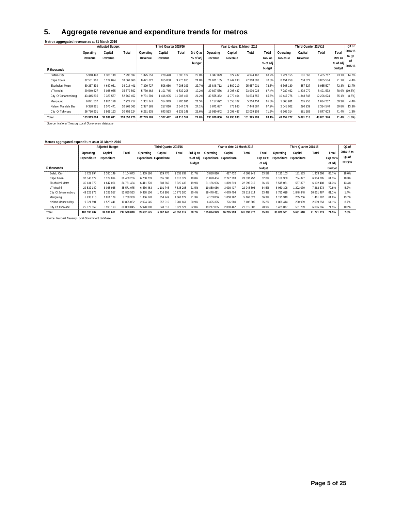## **5. Aggregate revenue and expenditure trends for metros**

|                      | Metros aggregated revenue as at 31 March 2016 |                        |               |            |                       |            |          |             |                             |             |          |            |                       |               |          |                   |
|----------------------|-----------------------------------------------|------------------------|---------------|------------|-----------------------|------------|----------|-------------|-----------------------------|-------------|----------|------------|-----------------------|---------------|----------|-------------------|
|                      |                                               | <b>Adjusted Budget</b> |               |            | Third Quarter 2015/16 |            |          |             | Year to date: 31 March 2016 |             |          |            | Third Quarter 2014/15 |               |          | Q <sub>3</sub> of |
|                      | Operating                                     | Capital                | <b>T</b> otal | Operating  | Capital               | Total      | 3rd Q as | Operating   | Capital                     | Total       | Total    | Operating  | Capital               | Total         | Total    | 2014/15           |
|                      | Revenue                                       | Revenue                |               | Revenue    | Revenue               |            | % of adj | Revenue     | Revenue                     |             | Rev as   | Revenue    | Revenue               |               | Rev as   | to Q3             |
|                      |                                               |                        |               |            |                       |            | budget   |             |                             |             | % of adj |            |                       |               | % of adj | οf                |
| R thousands          |                                               |                        |               |            |                       |            |          |             |                             |             | budget   |            |                       |               | budget   | 2015/16           |
|                      |                                               |                        |               |            |                       |            |          |             |                             |             |          |            |                       |               |          |                   |
| <b>Buffalo City</b>  | 5 910 448                                     | 380 149                | 7 290 597     | 375 651    | 229 470               | 1605 122   | 22.0%    | 4 347 029   | 627 432                     | 4 974 462   | 68.2%    | 1 224 155  | 181 563               | 1405 717      | 73.1%    | 14.2%             |
| Cape Town            | 32 531 966                                    | 6 129 094              | 38 661 060    | 8 421 827  | 855 088               | 9 276 915  | 24.0%    | 24 621 105  | 2 747 293                   | 27 368 398  | 70.8%    | 8 151 258  | 734 327               | 8 8 8 5 5 8 4 | 71.1%    | 4.4%              |
| Ekurhuleni Metro     | 30 267 339                                    | 4 647 061              | 34 914 401    | 399 727    | 508 666               | 7 908 393  | 22.7%    | 23 848 712  | 1809 219                    | 25 657 931  | 73.5%    | 6 368 180  | 587 327               | 6 955 507     | 72.3%    | 13.7%             |
| eThekwini            | 29 540 627                                    | 6 038 935              | 35 579 562    | 5 730 463  | 101 745               | 6 832 208  | 19.2%    | 20 897 586  | 3 098 437                   | 23 996 023  | 67.4%    | 7 289 462  | 202 070               | 8 491 532     |          | 78.9% (19.5%)     |
| City Of Johannesburg | 43 445 895                                    | 9 323 557              | 52 769 452    | 9 791 501  | 1416995               | 11 208 496 | 21.2%    | 30 555 352  | 4 079 404                   | 34 634 755  | 65.6%    | 10 447 776 | 1848848               | 12 296 624    |          | 65.1% (8.8%)      |
| Mangaung             | 6 071 537                                     | 851 179                | 7 922 717     | 351 141    | 354 949               | 1706 091   | 21.5%    | 4 157 692   | 1058 762                    | 5 216 454   | 65.8%    | 1 368 981  | 265 256               | 1634237       | 69.3%    | 4.4%              |
| Nelson Mandela Bay   | 9 388 921                                     | 573 441                | 10 962 363    | 2 387 163  | 257 016               | 2 644 179  | 24.1%    | 6 671 687   | 776 980                     | 7 448 667   | 67.9%    | 2 043 602  | 290 939               | 2 3 3 4 5 4 0 | 69.8%    | 13.3%             |
| City Of Tshwane      | 26 756 931                                    | 3 995 193              | 30 752 124    | 6 291 635  | 643 513               | 6 935 148  | 22.6%    | 19 930 642  | 2 098 467                   | 22 029 109  | 71.6%    | 6 266 314  | 581 289               | 6 847 603     | 71.4%    | 1.3%              |
| Total                | 183 913 664                                   | 34 938 611             | 218 852 276   | 42 749 109 | 5 367 442             | 48 116 552 | 22.0%    | 135 029 806 | 16 295 993                  | 151 325 799 | 69.1%    | 43 159 727 | 5 691 618             | 48 851 346    |          | 71.4% (1.5%)      |

*Source: National Treasury Local Government database*

| Metros aggregated expenditure as at 31 March 2016  |             |                        |             |                         |                       |            |            |                                  |                             |             |          |                         |                       |             |          |                   |
|----------------------------------------------------|-------------|------------------------|-------------|-------------------------|-----------------------|------------|------------|----------------------------------|-----------------------------|-------------|----------|-------------------------|-----------------------|-------------|----------|-------------------|
|                                                    |             | <b>Adjusted Budget</b> |             |                         | Third Quarter 2015/16 |            |            |                                  | Year to date: 31 March 2016 |             |          |                         | Third Quarter 2014/15 |             |          | Q <sub>3</sub> of |
|                                                    | Operating   | Capital                | Total       | Operating               | Capital               | Total      | $3rd$ Q as | Operating                        | Capital                     | Total       | Total    | Operating               | Capital               | Total       | Total    | 2014/15 to        |
|                                                    | Expenditure | Expenditure            |             | Expenditure Expenditure |                       |            |            | % of adj Expenditure Expenditure |                             |             | Exp as % | Expenditure Expenditure |                       |             | Exp as % | Q <sub>3</sub> of |
|                                                    |             |                        |             |                         |                       |            | budget     |                                  |                             |             | of adj   |                         |                       |             | of adj   | 2015/16           |
| R thousands                                        |             |                        |             |                         |                       |            |            |                                  |                             |             | budget   |                         |                       |             | budget   |                   |
| <b>Buffalo City</b>                                | 5 723 894   | 380 149                | 7 104 043   | 309 166                 | 229 470               | 538 637    | 21.7%      | 3 880 816                        | 627 432                     | 4 508 248   | 63.5%    | 122 103                 | 181 563               | 303 666     | 66.7%    | 18.0%             |
| Cape Town                                          | 32 340 172  | 6 129 094              | 38 469 266  | 6 758 239               | 855 088               | 7613327    | 19.8%      | 21 090 464                       | 2 747 293                   | 23 837 757  | 62.0%    | 6 169 958               | 734 327               | 6 904 285   | 61.3%    | 10.3%             |
| Ekurhuleni Metro                                   | 30 134 372  | 4 647 061              | 34 781 434  | 6 411 770               | 508 666               | 6 920 436  | 19.9%      | 21 186 996                       | 1809 219                    | 22 996 215  | 66.1%    | 5 515 081               | 587 327               | 6 102 408   | 61.3%    | 13.4%             |
| eThekwini                                          | 29 532 140  | 6 038 935              | 35 571 075  | 6 536 463               | 101 745               | 7638208    | 21.5%      | 19 850 066                       | 3 0 9 8 4 3 7               | 22 948 503  | 64.5%    | 6 060 308               | 202 070               | 7 262 378   | 70.8%    | 5.2%              |
| City Of Johannesburg                               | 43 526 976  | 9 3 2 3 5 5 7          | 52 850 533  | 9 358 106               | 416 995               | 10 775 100 | 20.4%      | 29 440 411                       | 4 0 79 4 0 4                | 33 519 814  | 63.4%    | 8782619                 | 848 848               | 10 631 467  | 61.1%    | 1.4%              |
| Mangaung                                           | 5 938 210   | 851 179                | 7789389     | 306 178                 | 354 949               | 661 127    | 21.3%      | 4 103 866                        | 1058 762                    | 5 162 628   | 66.3%    | 195 940                 | 265 256               | 461 197     | 61.8%    | 13.7%             |
| Nelson Mandela Bav                                 | 9 321 591   | 573 441                | 10 895 032  | 2 024 645               | 257 016               | 2 281 661  | 20.9%      | 6 325 325                        | 776 980                     | 7 102 305   | 65.2%    | 1808 414                | 290 939               | 2 0 9 3 3 3 | 64.1%    | 8.7%              |
| City Of Tshwane                                    | 26 072 852  | 3 9 9 5 1 9 3          | 30 068 045  | 5 978 008               | 643 513               | 6 621 521  | 22.0%      | 19 217 035                       | 2 098 467                   | 21 315 502  | 70.9%    | 5 425 077               | 581 289               | 6 006 366   | 71.5%    | 10.2%             |
| Total                                              | 182 590 207 | 34 938 611             | 217 528 818 | 39 682 575              | 5 367 442             | 45 050 017 | 20.7%      | 125 094 979                      | 16 295 993                  | 141 390 972 | 65.0%    | 36 079 501              | 5 691 618             | 41 771 119  | 71.5%    | 7.8%              |
| Saurea: National Transum Local Covernment database |             |                        |             |                         |                       |            |            |                                  |                             |             |          |                         |                       |             |          |                   |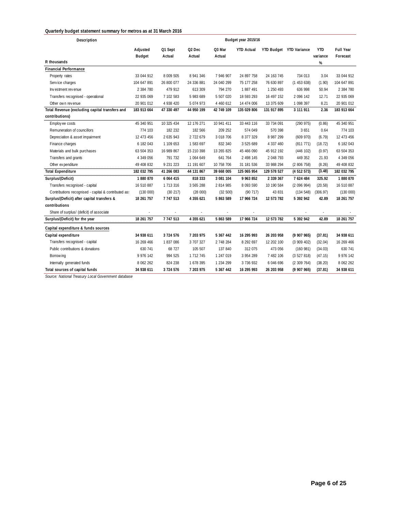#### **Quarterly budget statement summary for metros as at 31 March 2016**

| Description                                          |                           |                   |                              |                  | Budget year 2015/16 |             |                         |                        |                       |
|------------------------------------------------------|---------------------------|-------------------|------------------------------|------------------|---------------------|-------------|-------------------------|------------------------|-----------------------|
|                                                      | Adjusted<br><b>Budget</b> | Q1 Sept<br>Actual | Q <sub>2</sub> Dec<br>Actual | Q3 Mar<br>Actual | <b>YTD Actual</b>   |             | YTD Budget YTD Variance | <b>YTD</b><br>variance | Full Year<br>Forecast |
| R thousands                                          |                           |                   |                              |                  |                     |             |                         | $\%$                   |                       |
| <b>Financial Performance</b>                         |                           |                   |                              |                  |                     |             |                         |                        |                       |
| Property rates                                       | 33 044 912                | 8 009 505         | 8 941 346                    | 7 946 907        | 24 897 758          | 24 163 745  | 734 013                 | 3.04                   | 33 044 912            |
| Service charges                                      | 104 647 891               | 26 800 077        | 24 336 881                   | 24 040 299       | 75 177 258          | 76 630 897  | (1453638)               | (1.90)                 | 104 647 891           |
| Investment revenue                                   | 2 384 780                 | 479 912           | 613 309                      | 794 270          | 1887491             | 1 250 493   | 636 998                 | 50.94                  | 2 384 780             |
| Transfers recognised - operational                   | 22 935 069                | 7 102 583         | 5 983 689                    | 5 507 020        | 18 593 293          | 16 497 152  | 2 096 142               | 12.71                  | 22 935 069            |
| Other own revenue                                    | 20 901 012                | 4 938 420         | 5 074 973                    | 4 460 612        | 14 474 006          | 13 375 609  | 1 098 397               | 8.21                   | 20 901 012            |
| Total Revenue (excluding capital transfers and       | 183 913 664               | 47 330 497        | 44 950 199                   | 42 749 109       | 135 029 806         | 131 917 895 | 3 111 911               | 2.36                   | 183 913 664           |
| contributions)                                       |                           |                   |                              |                  |                     |             |                         |                        |                       |
| Employ ee costs                                      | 45 340 951                | 10 325 434        | 12 176 271                   | 10 941 411       | 33 443 116          | 33 734 091  | (290975)                | (0.86)                 | 45 340 951            |
| Remuneration of councillors                          | 774 103                   | 182 232           | 182 566                      | 209 252          | 574 049             | 570 398     | 3 6 5 1                 | 0.64                   | 774 103               |
| Depreciation & asset impairment                      | 12 473 456                | 2 635 943         | 2722679                      | 3 018 706        | 8 377 329           | 8 987 299   | (609970)                | (6.79)                 | 12 473 456            |
| Finance charges                                      | 6 182 043                 | 1 109 653         | 1 583 697                    | 832 340          | 3 525 689           | 4 337 460   | (811 771)               | (18.72)                | 6 182 043             |
| Materials and bulk purchases                         | 63 504 353                | 16 989 867        | 15 210 398                   | 13 265 825       | 45 466 090          | 45 912 192  | (446 102)               | (0.97)                 | 63 504 353            |
| Transfers and grants                                 | 4 349 056                 | 791 732           | 1064 649                     | 641 764          | 2 498 145           | 2 048 793   | 449 352                 | 21.93                  | 4 349 056             |
| Other ex penditure                                   | 49 408 832                | 9 231 223         | 11 191 607                   | 10 758 706       | 31 181 536          | 33 988 294  | (2806758)               | (8.26)                 | 49 408 832            |
| <b>Total Expenditure</b>                             | 182 032 795               | 41 266 083        | 44 131 867                   | 39 668 005       | 125 065 954         | 129 578 527 | (4512573)               | (3.48)                 | 182 032 795           |
| Surplus/(Deficit)                                    | 1880870                   | 6 0 6 4 4 1 5     | 818 333                      | 3 081 104        | 9 963 852           | 2 339 367   | 7 624 484               | 325.92                 | 1880870               |
| Transfers recognised - capital                       | 16 510 887                | 1 713 316         | 3 565 288                    | 2 814 985        | 8 093 590           | 10 190 584  | (2096994)               | (20.58)                | 16 510 887            |
| Contributions recognised - capital & contributed as: | (130000)                  | (30 217)          | (28000)                      | (32 500)         | (90717)             | 43 831      | (134548)                | (306.97)               | (130000)              |
| Surplus/(Deficit) after capital transfers &          | 18 261 757                | 7 747 513         | 4 355 621                    | 5 863 589        | 17 966 724          | 12 573 782  | 5 392 942               | 42.89                  | 18 261 757            |
| contributions                                        |                           |                   |                              |                  |                     |             |                         |                        |                       |
| Share of surplus/ (deficit) of associate             |                           |                   |                              |                  |                     |             |                         |                        |                       |
| Surplus/(Deficit) for the year                       | 18 261 757                | 7 747 513         | 4 355 621                    | 5 863 589        | 17 966 724          | 12 573 782  | 5 392 942               | 42.89                  | 18 261 757            |
| Capital expenditure & funds sources                  |                           |                   |                              |                  |                     |             |                         |                        |                       |
| Capital expenditure                                  | 34 938 611                | 3 724 576         | 7 203 975                    | 5 367 442        | 16 295 993          | 26 203 958  | (9907965)               | (37.81)                | 34 938 611            |
| Transfers recognised - capital                       | 16 269 466                | 1837086           | 3 707 327                    | 2 748 284        | 8 292 697           | 12 202 100  | (3909402)               | (32.04)                | 16 269 466            |
| Public contributions & donations                     | 630 741                   | 68 727            | 105 507                      | 137 840          | 312 075             | 473 056     | (160981)                | (34.03)                | 630 741               |
| Borrow ing                                           | 9 976 142                 | 994 525           | 1 7 1 2 7 4 5                | 1 247 019        | 3 954 289           | 7 482 106   | (3527818)               | (47.15)                | 9 976 142             |
| Internally generated funds                           | 8 062 262                 | 824 238           | 1678 395                     | 1 234 299        | 3 736 932           | 6 046 696   | (2309764)               | (38.20)                | 8 062 262             |
| Total sources of capital funds                       | 34 938 611                | 3724576           | 7 203 975                    | 5 367 442        | 16 295 993          | 26 203 958  | (9907965)               | (37.81)                | 34 938 611            |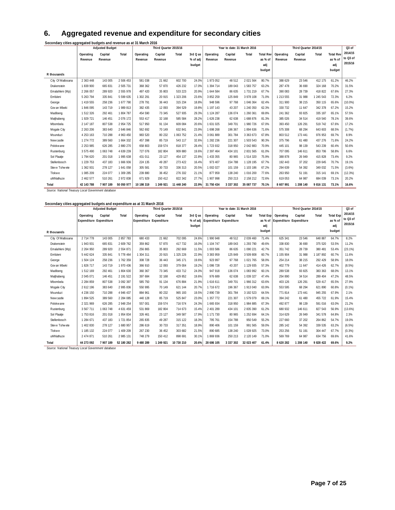## **6. Aggregated revenue and expenditure for secondary cities**

| Secondary cities aggregated budgets and revenue as at 31 March 2016 |           |
|---------------------------------------------------------------------|-----------|
|                                                                     | $- - - -$ |

|                   | <b>Adjusted Budget</b> |           |            |            | Third Quarter 2015/16 |            |          |               | Year to date: 31 March 2016 |            |           |           | Third Quarter 2014/15 |           |                  | $Q3$ of    |
|-------------------|------------------------|-----------|------------|------------|-----------------------|------------|----------|---------------|-----------------------------|------------|-----------|-----------|-----------------------|-----------|------------------|------------|
|                   | Operating              | Capital   | Total      | Operating  | Capital               | Total      | 3rd Q as | Operating     | Capital                     | Total      | Total Rev | Operating | Capital               | Total     | <b>Total Rev</b> | 2014/15    |
|                   | Revenue                | Revenue   |            | Revenue    | Revenue               |            | % of adi | Revenue       | Revenue                     |            | as % of   | Revenue   | Revenue               |           | as % of          | to Q3 of   |
|                   |                        |           |            |            |                       |            | budget   |               |                             |            | adj       |           |                       |           | adj              | 2015/16    |
|                   |                        |           |            |            |                       |            |          |               |                             |            | budget    |           |                       |           | budget           |            |
| R thousands       |                        |           |            |            |                       |            |          |               |                             |            |           |           |                       |           |                  |            |
| City Of Matlosana | 2 363 448              | 143 005   | 2 506 453  | 581 038    | 21 662                | 602 700    | 24.0%    | 1 973 052     | 48 512                      | 2 021 564  | 80.7%     | 388 629   | 23 546                | 412 175   | 61.2%            | 46.2%      |
| Drakenstein       | 1839 900               | 665 831   | 2 505 731  | 368 362    | 57 870                | 426 232    | 17.0%    | 1 394 714     | 189 043                     | 1 583 757  | 63.2%     | 287 478   | 36 690                | 324 168   | 70.2%            | 31.5%      |
| Emalahleni (Mp)   | 2 266 057              | 289 920   | 2 555 978  | 497 420    | 35 803                | 533 223    | 20.9%    | 1 644 584     | 86 635                      | 1 731 219  | 67.7%     | 390 083   | 28 7 39               | 418 822   | 67.6%            | 27.3%      |
| Emfuleni          | 5 263 794              | 335 841   | 5 599 635  | 1 302 291  | 20 915                | 323 206    | 23.6%    | 3 852 259     | 125 849                     | 3 978 108  | 71.0%     | 1 213 555 | 31 988                | 1 245 543 | 72.3%            | 6.2%       |
| George            | 1 419 555              | 258 236   | 1677790    | 278 791    | 36 443                | 315 234    | 18.8%    | 948 596       | 97 768                      | 1 046 364  | 62.4%     | 311 900   | 38 215                | 350 115   | 65.6%            | $(10.0\%)$ |
| Gov an Mbeki      | 1846095                | 143 719   | 1 989 813  | 382 435    | 12 093                | 394 529    | 19.8%    | 1 197 143     | 43 207                      | 1 240 350  | 62.3%     | 330 732   | 11 647                | 342 378   | 67.2%            | 15.2%      |
| Madibeng          | 1 512 326              | 292 461   | 1804 787   | 454 590    | 73 345                | 527 935    | 29.3%    | 1 124 287     | 136 074                     | 1 260 361  | 69.8%     | 241 362   | 93 825                | 335 187   | 65.1%            | 57.5%      |
| Matjhabeng        | 1 929 721              | 146 451   | 2 076 172  | 553 417    | 32 168                | 585 584    | 28.2%    | 1 626 238     | 62 638                      | 1 688 876  | 81.3%     | 385 026   | 34 5 14               | 419 540   | 78.1%            | 39.6%      |
| Mbombela          | 2 147 187              | 807 538   | 2954725    | 517 950    | 91 134                | 609 084    | 20.6%    | 1 631 025     | 349 701                     | 1 980 726  | 67.0%     | 393 450   | 126 291               | 519 742   | 67.6%            | 17.2%      |
| Mogale City       | 2 263 206              | 383 640   | 2 646 846  | 562 692    | 70 149                | 632 841    | 23.9%    | 1 698 268     | 196 367                     | 1894636    | 71.6%     | 575 308   | 68 294                | 643 603   | 68.5%            | (1.7%)     |
| Msunduzi          | 4 2 5 3 1 6 3          | 710 288   | 4 963 450  | 983 520    | 80 232                | 1 063 752  | 21.4%    | 3 0 6 1 8 8 9 | 301 784                     | 3 363 673  | 67.8%     | 803 512   | 173 441               | 976 953   | 69.7%            | 8.9%       |
| Newcastle         | 1 274 772              | 389 560   | 1 664 332  | 457 398    | 85 719                | 543 117    | 32.6%    | 1 282 236     | 221 307                     | 1 503 543  | 90.3%     | 375 796   | 61 480                | 437 276   | 71.6%            | 24.2%      |
| Polokw ane        | 2 2 5 3 9 8 5          | 626 285   | 2 880 270  | 658 803    | 159 574               | 818 377    | 28.4%    | 1 723 932     | 318 950                     | 2 042 883  | 70.9%     | 445 101   | 98 139                | 543 239   | 60.4%            | 50.6%      |
| Rustenburg        | 3 575 490              | 1063748   | 4 639 239  | 727 076    | 182 804               | 909 880    | 19.6%    | 2 397 464     | 434 101                     | 2 831 565  | 61.0%     | 707 095   | 146 611               | 853 706   | 58.8%            | 6.6%       |
| Sol Plaatje       | 1 794 620              | 201 018   | 1 995 638  | 431 011    | 23 127                | 454 137    | 22.8%    | 1 433 355     | 80 965                      | 1 514 320  | 75.9%     | 388 878   | 26 949                | 415 828   | 73.4%            | 9.2%       |
| Stellenbosch      | 1 229 753              | 437 183   | 1 666 936  | 224 135    | 49 287                | 273 422    | 16.4%    | 973 407       | 154 788                     | 1 128 195  | 67.7%     | 192 443   | 37 202                | 229 645   | 70.7%            | 19.1%      |
| Steve Tshwete     | 1 362 931              | 278 127   | 1641058    | 305 581    | 30 733                | 336 313    | 20.5%    | 1 002 027     | 101 159                     | 1 103 186  | 67.2%     | 294 639   | 54 392                | 349 032   | 71.5%            | (3.6%)     |
| Tlokwe            | 1 085 209              | 224 077   | 1 309 285  | 239 880    | 36 452                | 276 332    | 21.1%    | 877 959       | 138 240                     | 1 016 200  | 77.6%     | 263 950   | 51 191                | 315 141   | 69.1%            | (12.3%)    |
| uMhlathuze        | 2 462 577              | 510 261   | 2 972 838  | 671 929    | 150 412               | 822 342    | 27.7%    | 1 907 998     | 250 213                     | 2 158 212  | 72.6%     | 619 053   | 64 987                | 684 039   | 73.1%            | 20.2%      |
| Total             | 42 143 788             | 7 907 189 | 50 050 977 | 10 198 319 | 1 249 921             | 11 448 240 | 22.9%    | 31 750 434    | 3 3 3 7 3 0 2               | 35 087 737 | 70.1%     | 8 607 991 | 1 208 140             | 9 816 131 | 73.1%            | 16.6%      |

*Source: National Treasury Local Government database*

|                   | Secondary cities aggregated budgets and expenditure as at 31 March 2016 |                        |               |                                |                       |            |          |                         |                             |            |        |                     |                                 |           |                  |            |
|-------------------|-------------------------------------------------------------------------|------------------------|---------------|--------------------------------|-----------------------|------------|----------|-------------------------|-----------------------------|------------|--------|---------------------|---------------------------------|-----------|------------------|------------|
|                   |                                                                         | <b>Adjusted Budget</b> |               |                                | Third Quarter 2015/16 |            |          |                         | Year to date: 31 March 2016 |            |        |                     | Third Quarter 2014/15           |           |                  | $Q3$ of    |
|                   | Operating                                                               | Capital                | Total         | Operating                      | Capital               | Total      | 3rd Q as | Operating               | Capital                     | Total      |        | Total Exp Operating | Capital                         | Total     | <b>Total Exp</b> | 2014/15    |
|                   | Expenditure Expenditure                                                 |                        |               | <b>Expenditure Expenditure</b> |                       |            | % of adj | Expenditure Expenditure |                             |            |        |                     | as % of Expenditure Expenditure |           | as % of          | to Q3 of   |
|                   |                                                                         |                        |               |                                |                       |            | budget   |                         |                             |            | adj    |                     |                                 |           | adj              | 2015/16    |
| R thousands       |                                                                         |                        |               |                                |                       |            |          |                         |                             |            | budget |                     |                                 |           | budget           |            |
| City Of Matlosana | 2 714 778                                                               | 143 005                | 2857783       | 680 433                        | 21 662                | 702 095    | 24.6%    | 1 990 948               | 48 512                      | 2 039 460  | 71.4%  | 625 341             | 23 546                          | 648 887   | 64.7%            | 8.2%       |
| Drakenstein       | 1 943 931                                                               | 665 831                | 2 609 762     | 359 862                        | 57 870                | 417 732    | 16.0%    | 1 104 747               | 189 043                     | 1 293 790  | 49.6%  | 338 830             | 36 690                          | 375 520   | 53.5%            | 11.2%      |
| Emalahleni (Mp)   | 2 264 950                                                               | 289 920                | 2 5 5 4 8 7 1 | 256 865                        | 35 803                | 292 669    | 11.5%    | 1 003 586               | 86 635                      | 1 090 221  | 42.7%  | 351 742             | 28 7 39                         | 380 481   | 53.4%            | $(23.1\%)$ |
| Emfuleni          | 5 442 624                                                               | 335 841                | 5 778 464     | 1 304 311                      | 20 915                | 325 226    | 22.9%    | 3 383 959               | 125 849                     | 3 509 808  | 60.7%  | 1 155 904           | 31 988                          | 1 187 892 | 60.7%            | 11.6%      |
| George            | 1504 124                                                                | 258 236                | 1762359       | 308 728                        | 36 443                | 345 171    | 19.6%    | 923 997                 | 97 768                      | 1 021 765  | 58.0%  | 254 214             | 38 215                          | 292 429   | 58.9%            | 18.0%      |
| Gov an Mbeki      | 1826 717                                                                | 143 719                | 1 970 436     | 366 910                        | 12 093                | 379 004    | 19.2%    | 1 086 728               | 43 207                      | 1 129 935  | 57.3%  | 402 779             | 11 647                          | 414 426   | 62.7%            | (8.5%)     |
| Madibeng          | 1512169                                                                 | 292 461                | 1804 630      | 360 367                        | 73 345                | 433 712    | 24.0%    | 947 918                 | 136 074                     | 1 083 992  | 60.1%  | 289 538             | 93 825                          | 383 363   | 68.0%            | 13.1%      |
| Matjhabeng        | 2 045 071                                                               | 146 451                | 2 191 522     | 397 684                        | 32 168                | 429 852    | 19.6%    | 976 689                 | 62 638                      | 1 039 327  | 47.4%  | 254 890             | 34 5 14                         | 289 404   | 47.2%            | 48.5%      |
| Mbombela          | 2 2 8 4 8 5 9                                                           | 807 538                | 3 092 397     | 585 750                        | 91 134                | 676 884    | 21.9%    | 1616611                 | 349 701                     | 1 966 312  | 63.6%  | 403 126             | 126 291                         | 529 417   | 65.5%            | 27.9%      |
| Mogale City       | 2 612 196                                                               | 383 640                | 2 995 836     | 550 995                        | 70 149                | 621 144    | 20.7%    | 1 716 672               | 196 367                     | 1 913 040  | 63.9%  | 553 595             | 68 294                          | 621 890   | 60.8%            | (0.1%      |
| Msunduzi          | 4 236 150                                                               | 710 288                | 4 946 437     | 884 961                        | 80 232                | 965 193    | 19.5%    | 2890739                 | 301 784                     | 3 192 523  | 64.5%  | 771 814             | 173 441                         | 945 255   | 67.9%            | 2.1%       |
| Newcastle         | 1894 525                                                                | 389 560                | 2 284 085     | 440 128                        | 85 719                | 525 847    | 23.0%    | 1 357 772               | 221 307                     | 1579079    | 69.1%  | 394 242             | 61 480                          | 455 722   | 61.9%            | 15.4%      |
| Polokw ane        | 2 321 969                                                               | 626 285                | 2 948 254     | 557 001                        | 159 574               | 716 574    | 24.3%    | 1 665 934               | 318 950                     | 1 984 885  | 67.3%  | 492 877             | 98 139                          | 591 016   | 63.0%            | 21.2%      |
| Rustenburg        | 3 567 711                                                               | 1 063 748              | 4 631 459     | 531 869                        | 182 804               | 714 673    | 15.4%    | 2 401 289               | 434 101                     | 2 835 390  | 61.2%  | 680 932             | 146 611                         | 827 543   | 56.9%            | $(13.6\%)$ |
| Sol Plaatje       | 1753816                                                                 | 201 018                | 1954834       | 326 461                        | 23 127                | 349 587    | 17.9%    | 1 171 730               | 80 965                      | 1 252 694  | 64.1%  | 314 629             | 26 949                          | 341 578   | 64.8%            | 2.3%       |
| Stellenbosch      | 1 284 671                                                               | 437 183                | 1 721 854     | 265 835                        | 49 287                | 315 122    | 18.3%    | 795 761                 | 154 788                     | 950 549    | 55.2%  | 227 660             | 37 202                          | 264 862   | 54.7%            | 19.0%      |
| Steve Tshwete     | 1 402 830                                                               | 278 127                | 1680 957      | 286 619                        | 30 733                | 317 351    | 18.9%    | 890 406                 | 101 159                     | 991 565    | 59.0%  | 285 142             | 54 392                          | 339 535   | 63.2%            | (6.5%)     |
| Tlokwe            | 1 185 132                                                               | 224 077                | 1 409 209     | 267 230                        | 36 452                | 303 682    | 21.5%    | 890 685                 | 138 240                     | 1 028 925  | 73.0%  | 253 256             | 51 191                          | 304 447   | 67.7%            | (0.3% )    |
| uMhlathuze        | 2 474 871                                                               | 510 261                | 2 985 131     | 748 279                        | 150 412               | 898 691    | 30.1%    | 1869936                 | 250 213                     | 2 120 149  | 71.0%  | 569 769             | 64 987                          | 634 756   | 69.6%            | 41.6%      |
| Total             | 44 273 092                                                              | 7 907 189              | 52 180 282    | 9 480 289                      | 1 249 921             | 10 730 210 | 20.6%    | 28 686 105              | 3 3 3 7 3 0 2               | 32 023 407 | 61.4%  | 8 620 282           | 1 208 140                       | 9 828 422 | 69.6%            | 9.2%       |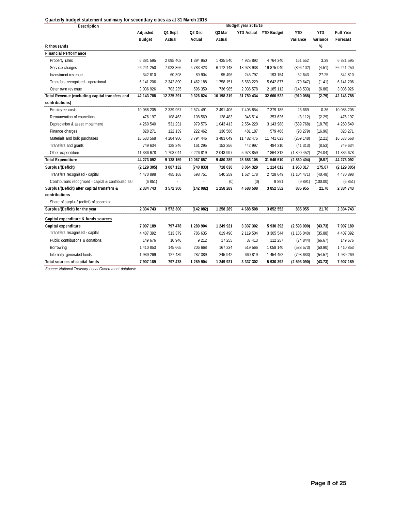| 20arterry Duuget Statement Summary for Secondary Cities as at 31 March 2010<br>Description |               |            |                    |            | Budget year 2015/16 |                       |            |            |               |
|--------------------------------------------------------------------------------------------|---------------|------------|--------------------|------------|---------------------|-----------------------|------------|------------|---------------|
|                                                                                            | Adjusted      | Q1 Sept    | Q <sub>2</sub> Dec | Q3 Mar     |                     | YTD Actual YTD Budget | <b>YTD</b> | <b>YTD</b> | Full Year     |
|                                                                                            | <b>Budget</b> | Actual     | Actual             | Actual     |                     |                       | Variance   | variance   | Forecast      |
| R thousands                                                                                |               |            |                    |            |                     |                       |            | %          |               |
| <b>Financial Performance</b>                                                               |               |            |                    |            |                     |                       |            |            |               |
| Property rates                                                                             | 6 381 595     | 2 095 402  | 1 394 950          | 1 435 540  | 4 925 892           | 4 764 340             | 161 552    | 3.39       | 6 381 595     |
| Service charges                                                                            | 26 241 250    | 7 023 366  | 5 783 423          | 6 172 148  | 18 978 938          | 19 875 040            | (896 102)  | (4.51)     | 26 241 250    |
| Investment revenue                                                                         | 342 810       | 60 398     | 89 904             | 95 4 96    | 245 797             | 193 154               | 52 643     | 27.25      | 342 810       |
| Transfers recognised - operational                                                         | 6 141 206     | 2 342 890  | 1 462 188          | 1 758 151  | 5 563 229           | 5 642 877             | (79647)    | (1.41)     | 6 141 206     |
| Other own revenue                                                                          | 3 036 926     | 703 235    | 596 359            | 736 985    | 2 036 578           | 2 185 112             | (148533)   | (6.80)     | 3 0 3 6 9 2 6 |
| Total Revenue (excluding capital transfers and                                             | 42 143 788    | 12 225 291 | 9 326 824          | 10 198 319 | 31 750 434          | 32 660 522            | (910088)   | (2.79)     | 42 143 788    |
| contributions)                                                                             |               |            |                    |            |                     |                       |            |            |               |
| Employee costs                                                                             | 10 088 205    | 2 339 957  | 2 574 491          | 2 491 406  | 7 405 854           | 7 379 185             | 26 669     | 0.36       | 10 088 205    |
| Remuneration of councillors                                                                | 476 197       | 108 463    | 108 569            | 128 483    | 345 514             | 353 626               | (8112)     | (2.29)     | 476 197       |
| Depreciation & asset impairment                                                            | 4 260 540     | 531 231    | 979 576            | 1 043 413  | 2 554 220           | 3 143 988             | (589768)   | (18.76)    | 4 260 540     |
| Finance charges                                                                            | 828 271       | 122 139    | 222 462            | 136 586    | 481 187             | 579 466               | (98 279)   | (16.96)    | 828 271       |
| Materials and bulk purchases                                                               | 16 533 568    | 4 204 980  | 3 794 446          | 3 483 049  | 11 482 475          | 11 741 623            | (259 148)  | (2.21)     | 16 533 568    |
| Transfers and grants                                                                       | 749 634       | 128 346    | 161 295            | 153 356    | 442 997             | 484 310               | (41313)    | (8.53)     | 749 634       |
| Other expenditure                                                                          | 11 336 678    | 1 703 044  | 2 2 2 6 8 1 9      | 2 043 997  | 5 973 859           | 7 864 312             | (1890452)  | (24.04)    | 11 336 678    |
| <b>Total Expenditure</b>                                                                   | 44 273 092    | 9 138 159  | 10 067 657         | 9 480 289  | 28 686 105          | 31 546 510            | (2860404)  | (9.07)     | 44 273 092    |
| Surplus/(Deficit)                                                                          | (2 129 305)   | 3 087 132  | (740833)           | 718 030    | 3 064 329           | 1 114 012             | 1 950 317  | 175.07     | (2 129 305)   |
| Transfers recognised - capital                                                             | 4 470 898     | 485 168    | 598 751            | 540 259    | 1 624 178           | 2 728 649             | (1104471)  | (40.48)    | 4 470 898     |
| Contributions recognised - capital & contributed ass                                       | (6851)        |            |                    | (0)        | (0)                 | 9891                  | (9891)     | (100.00)   | (6851)        |
| Surplus/(Deficit) after capital transfers &                                                | 2 334 743     | 3 572 300  | (142082)           | 1 258 289  | 4 688 508           | 3 852 552             | 835 955    | 21.70      | 2 3 3 4 7 4 3 |
| contributions                                                                              |               |            |                    |            |                     |                       |            |            |               |
| Share of surplus/ (deficit) of associate                                                   | ä,            |            |                    |            |                     |                       |            |            |               |
| Surplus/(Deficit) for the year                                                             | 2 334 743     | 3 572 300  | (142082)           | 1 258 289  | 4 688 508           | 3 852 552             | 835 955    | 21.70      | 2 3 3 4 7 4 3 |
| Capital expenditure & funds sources                                                        |               |            |                    |            |                     |                       |            |            |               |
| Capital expenditure                                                                        | 7 907 189     | 797 478    | 1 289 904          | 1 249 921  | 3 3 3 7 3 0 2       | 5 930 392             | (2593090)  | (43.73)    | 7 907 189     |
| Transfers recognised - capital                                                             | 4 407 392     | 513 379    | 786 635            | 819 490    | 2 119 504           | 3 305 544             | (1186040)  | (35.88)    | 4 407 392     |
| Public contributions & donations                                                           | 149 676       | 10 946     | 9 2 1 2            | 17 255     | 37 413              | 112 257               | (74844)    | (66.67)    | 149 676       |
| Borrow ing                                                                                 | 1 410 853     | 145 665    | 206 668            | 167 234    | 519 566             | 1 058 140             | (538 573)  | (50.90)    | 1 410 853     |
| Internally generated funds                                                                 | 1 939 269     | 127 489    | 287 389            | 245 942    | 660 819             | 1 454 452             | (79363)    | (54.57)    | 1 939 269     |
| Total sources of capital funds                                                             | 7 907 189     | 797 478    | 1 289 904          | 1 249 921  | 3 3 3 7 3 0 2       | 5 930 392             | (2593090)  | (43.73)    | 7 907 189     |

**Quarterly budget statement summary for secondary cities as at 31 March 2016**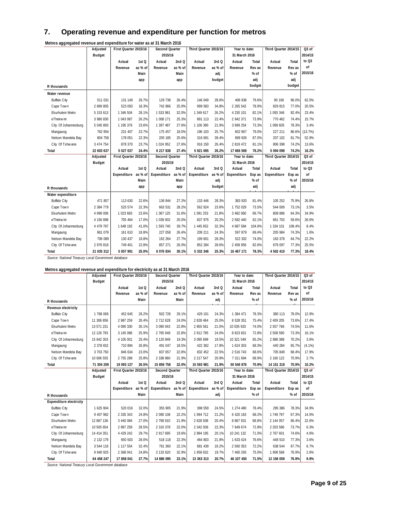## **7. Operating revenue and expenditure per function for metros**

| JJ<br>◡              | Adjusted      | First Quarter 2015/16 |         | Second Quarter |         | Third Quarter 2015/16 |         | Year to date: |        | Third Quarter 2014/15 |        | $Q3$ of |
|----------------------|---------------|-----------------------|---------|----------------|---------|-----------------------|---------|---------------|--------|-----------------------|--------|---------|
|                      | <b>Budget</b> |                       |         | 2015/16        |         |                       |         | 31 March 2016 |        |                       |        | 2014/15 |
|                      |               | Actual                | 1st Q   | Actual         | 2nd Q   | Actual                | 3rd Q   | Actual        | Total  | Actual                | Total  | to Q3   |
|                      |               | Revenue               | as % of | Revenue        | as % of | Revenue               | as % of | Revenue       | Rev as | Revenue               | Rev as | of      |
|                      |               |                       | Main    |                | Main    |                       | adj     |               | % of   |                       | % of   | 2015/16 |
|                      |               |                       | app     |                | app     |                       | budget  |               | adj    |                       | adj    |         |
| R thousands          |               |                       |         |                |         |                       |         |               | budget |                       | budget |         |
| Water revenue        |               |                       |         |                |         |                       |         |               |        |                       |        |         |
| <b>Buffalo City</b>  | 511 031       | 131 149               | 26.7%   | 129 738        | 26.4%   | 146 049               | 28.6%   | 406 936       | 79.6%  | 90 160                | 96.0%  | 62.0%   |
| Cape Town            | 2 869 805     | 523 093               | 18.3%   | 742 866        | 25.9%   | 999 583               | 34.8%   | 2 2 6 5 5 4 2 | 78.9%  | 829 815               | 77.0%  | 20.5%   |
| Ekurhuleni Metro     | 5 153 613     | 1 346 504             | 28.1%   | 1 533 981      | 32.0%   | 1 349 617             | 26.2%   | 4 230 101     | 82.1%  | 1 093 346             | 82.4%  | 23.4%   |
| eThekwini            | 3 980 830     | 1 043 087             | 26.2%   | 1 008 171      | 25.3%   | 891 113               | 22.4%   | 2 942 371     | 73.9%  | 770 462               | 74.4%  | 15.7%   |
| City Of Johannesburg | 5 045 893     | 1 195 376             | 23.6%   | 1 397 487      | 27.6%   | 1 106 390             | 21.9%   | 3 699 254     | 73.3%  | 1 069 605             | 78.3%  | 3.4%    |
| Mangaung             | 762 954       | 231 407               | 23.7%   | 175 457        | 18.0%   | 196 103               | 25.7%   | 602 967       | 79.0%  | 227 211               | 86.6%  | (13.7%) |
| Nelson Mandela Bay   | 804 758       | 178 051               | 22.3%   | 205 185        | 25.6%   | 316 691               | 39.4%   | 699 926       | 87.0%  | 207 102               | 81.7%  | 52.9%   |
| City Of Tshwane      | 3 474 754     | 878 370               | 23.7%   | 1 024 952      | 27.6%   | 916 150               | 26.4%   | 2 819 472     | 81.1%  | 806 398               | 74.2%  | 13.6%   |
| Total                | 22 603 637    | 5 527 037             | 24.4%   | 6 217 838      | 27.4%   | 5 921 695             | 26.2%   | 17 666 569    | 78.2%  | 5 094 098             | 74.2%  | 16.2%   |
|                      | Adjusted      | First Quarter 2015/16 |         | Second Quarter |         | Third Quarter 2015/16 |         | Year to date: |        | Third Quarter 2014/15 |        | $Q3$ of |
|                      | <b>Budget</b> |                       |         | 2015/16        |         |                       |         | 31 March 2016 |        |                       |        | 2014/15 |
|                      |               | Actual                | 1st Q   | Actual         | 2 $ndQ$ | Actual                | 3rd Q   | Actual        | Total  | Actual                | Total  | to Q3   |
|                      |               | Expenditure           | as % of | Expenditure    | as % of | Expenditure           | as % of | Expenditure   | Exp as | Expenditure           | Exp as | of      |
|                      |               |                       | Main    |                | Main    |                       | adj     |               | % of   |                       | % of   | 2015/16 |
| R thousands          |               |                       | app     |                | app     |                       | budget  |               | adj    |                       | adj    |         |
| Water expenditure    |               |                       |         |                |         |                       |         |               |        |                       |        |         |
| <b>Buffalo City</b>  | 471 857       | 113 630               | 22.6%   | 136 844        | 27.2%   | 133 446               | 28.3%   | 383 920       | 81.4%  | 105 252               | 75.9%  | 26.8%   |
| Cape Town            | 2 384 779     | 525 574               | 22.3%   | 663 531        | 28.2%   | 562 924               | 23.6%   | 1752029       | 73.5%  | 544 009               | 73.1%  | 3.5%    |
| Ekurhuleni Metro     | 4 998 006     | 1 023 683             | 23.6%   | 1 367 125      | 31.6%   | 1 091 253             | 21.8%   | 3 482 060     | 69.7%  | 808 886               | 64.3%  | 34.9%   |
| eThekwini            | 4 156 898     | 705 464               | 17.0%   | 1 039 002      | 25.0%   | 837 975               | 20.2%   | 2 582 440     | 62.1%  | 661 703               | 59.6%  | 26.6%   |
| City Of Johannesburg | 4 479 787     | 1 648 192             | 41.0%   | 1 593 740      | 39.7%   | 1 445 652             | 32.3%   | 4 687 584     | 104.6% | 1 334 101             | 108.4% | 8.4%    |
| Mangaung             | 861 079       | 161 610               | 18.8%   | 227 058        | 26.4%   | 209 211               | 24.3%   | 597 879       | 69.4%  | 205 984               | 74.3%  | 1.6%    |
| Nelson Mandela Bay   | 706 089       | 130 437               | 18.8%   | 192 264        | 27.7%   | 199 601               | 28.3%   | 522 302       | 74.0%  | 163 378               | 64.7%  | 22.2%   |
| City Of Tshwane      | 2976818       | 749 401               | 22.8%   | 857 271        | 26.0%   | 852 284               | 28.6%   | 2 458 956     | 82.6%  | 679 097               | 77.3%  | 25.5%   |
| Total                | 21 035 312    | 5 057 991             | 25.0%   | 6 076 834      | 30.1%   | 5 332 346             | 25.3%   | 16 467 171    | 78.3%  | 4 502 410             | 77.3%  | 18.4%   |

**Metros aggregated revenue and expenditure for water as at 31 March 2016**

*Source: National Treasury Local Government database*

#### **Metros aggregated revenue and expenditure for electricity as at 31 March 2016**

|                                | Adjusted      | Second Quarter<br>First Quarter 2015/16 |                  | Third Quarter 2015/16 |         | Year to date:         |         | Third Quarter 2014/15 |        | $Q3$ of               |        |           |
|--------------------------------|---------------|-----------------------------------------|------------------|-----------------------|---------|-----------------------|---------|-----------------------|--------|-----------------------|--------|-----------|
|                                | <b>Budget</b> |                                         |                  | 2015/16               |         |                       |         | 31 March 2016         |        |                       |        | 2014/15   |
|                                |               | Actual                                  | 1st Q            | Actual                | 2 $ndQ$ | Actual                | 3rdO    | Actual                | Total  | Actual                | Total  | to Q3     |
|                                |               | Revenue                                 | as % of          | Revenue               | as % of | Revenue               | as % of | Revenue               | Rev as | Revenue               | Rev as | of        |
| R thousands                    |               |                                         | Main             |                       | Main    |                       | adj     |                       | $%$ of |                       | % of   | 2015/16   |
| Revenue electricity            |               |                                         |                  |                       |         |                       |         |                       |        |                       |        |           |
| <b>Buffalo City</b>            | 1768069       | 452 645                                 | 26.2%            | 502 726               | 29.1%   | 429 101               | 24.3%   | 1 384 471             | 78.3%  | 380 113               | 78.0%  | 12.9%     |
| Cape Town                      | 11 306 856    | 2 987 259                               | 26.4%            | 2 712 628             | 24.0%   | 2 828 464             | 25.0%   | 8 528 351             | 75.4%  | 2 409 205             | 73.6%  | 17.4%     |
| Ekurhuleni Metro               | 13 571 231    | 4 090 330                               | 30.1%            | 3 090 043             | 22.8%   | 2 855 561             | 21.0%   | 10 035 933            | 74.0%  | 2 557 766             | 74.5%  | 11.6%     |
| eThekwini                      | 12 126 793    | 3 145 086                               | 25.9%            | 2 765 949             | 22.8%   | 2 912 795             | 24.0%   | 8 823 831             | 72.8%  | 2 508 590             | 73.3%  | 16.1%     |
| City Of Johannesburg           | 15 842 303    | 4 105 001                               | 25.4%            | 3 120 849             | 19.3%   | 3 095 699             | 19.5%   | 10 321 549            | 65.2%  | 2 989 388             | 70.2%  | 3.6%      |
| Mangaung                       | 2 378 652     | 710 894                                 | 26.8%            | 491 047               | 18.5%   | 422 362               | 17.8%   | 1 624 303             | 68.3%  | 440 284               | 65.7%  | $(4.1\%)$ |
| Nelson Mandela Bay             | 3 703 750     | 846 634                                 | 23.0%            | 837 657               | 22.8%   | 832 452               | 22.5%   | 2 516 743             | 68.0%  | 705 849               | 68.4%  | 17.9%     |
| City Of Tshwane                | 10 606 555    | 2 755 288                               | 25.8%            | 2 338 860             | 21.9%   | 2 217 547             | 20.9%   | 7 311 694             | 68.9%  | 2 160 122             | 70.9%  | 2.7%      |
| Total                          | 71 304 209    | 19 093 137                              | 26.5%            | 15 859 758            | 22.0%   | 15 593 981            | 21.9%   | 50 546 876            | 70.9%  | 14 151 319            | 70.9%  | 10.2%     |
|                                |               |                                         |                  |                       |         |                       |         |                       |        |                       |        |           |
|                                | Adjusted      | First Quarter 2015/16                   |                  | Second Quarter        |         | Third Quarter 2015/16 |         | Year to date:         |        | Third Quarter 2014/15 |        | $Q3$ of   |
|                                | <b>Budget</b> |                                         |                  | 2015/16               |         |                       |         | 31 March 2016         |        |                       |        | 2014/15   |
|                                |               | Actual                                  | 1st <sub>O</sub> | Actual                | 2 $ndO$ | Actual                | 3rdO    | Actual                | Total  | Actual                | Total  | to $Q3$   |
|                                |               | Expenditure                             | as % of          | Expenditure           | as % of | Expenditure           | as % of | Expenditure           | Exp as | Expenditure           | Exp as | of        |
| R thousands                    |               |                                         | Main             |                       | Main    |                       | adj     |                       | $%$ of |                       | % of   | 2015/16   |
| <b>Expenditure electricity</b> |               |                                         |                  |                       |         |                       |         |                       |        |                       |        |           |
| <b>Buffalo City</b>            | 1 625 904     | 520 016                                 | 32.0%            | 355 905               | 21.9%   | 398 559               | 24.5%   | 1 274 480             | 78.4%  | 295 386               | 78.3%  | 34.9%     |
| Cape Town                      | 9 407 982     | 2 335 343                               | 24.8%            | 2 090 108             | 22.2%   | 1 994 712             | 21.2%   | 6 420 163             | 68.2%  | 1 749 797             | 67.3%  | 14.0%     |
| Ekurhuleni Metro               | 12 887 136    | 3 440 084                               | 27.0%            | 2 798 910             | 21.9%   | 2 628 938             | 20.4%   | 8 867 931             | 68.8%  | 2 144 057             | 66.4%  | 22.6%     |
| eThekwini                      | 10 505 654    | 2 997 259                               | 28.5%            | 2 310 378             | 22.0%   | 2 342 036             | 22.3%   | 7 649 674             | 72.8%  | 2 203 596             | 73.7%  | 6.3%      |
| City Of Johannesburg           | 14 414 351    | 4 429 242                               | 29.7%            | 2 917 695             | 19.6%   | 2 894 195             | 20.1%   | 10 241 132            | 71.0%  | 2 767 601             | 74.6%  | 4.6%      |
| Mangaung                       | 2 132 179     | 650 503                                 | 28.0%            | 518 118               | 22.3%   | 464 803               | 21.8%   | 1 633 424             | 76.6%  | 448 510               | 77.3%  | 3.6%      |
| Nelson Mandela Bay             | 3 544 116     | 1 117 554                               | 32.4%            | 761 360               | 22.1%   | 681 439               | 19.2%   | 2 560 353             | 72.2%  | 638 544               | 67.7%  | 6.7%      |
| City Of Tshw ane               | 9 940 925     | 2 368 041                               | 24.8%            | 3 133 620             | 32.9%   | 1 958 632             | 19.7%   | 7 460 293             | 75.0%  | 1 908 568             | 76.9%  | 2.6%      |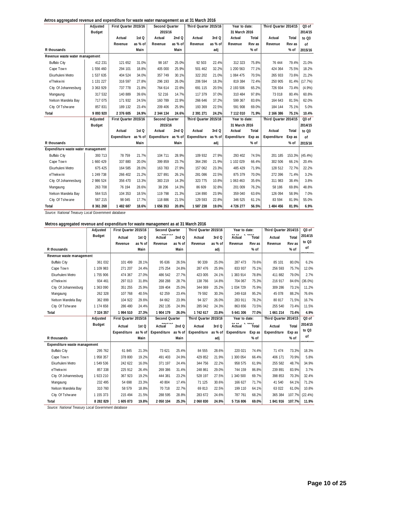| Aetros aggregated revenue and expenditure for waste water management as at 31 March 2016 |  |
|------------------------------------------------------------------------------------------|--|
|                                                                                          |  |

| ວວ                                                          | Adjusted      | First Quarter 2015/16 |         | Second Quarter |         | Third Quarter 2015/16 |         | Year to date: |        | Third Quarter 2014/15 |        | $Q3$ of    |
|-------------------------------------------------------------|---------------|-----------------------|---------|----------------|---------|-----------------------|---------|---------------|--------|-----------------------|--------|------------|
|                                                             | <b>Budget</b> |                       |         | 2015/16        |         |                       |         | 31 March 2016 |        |                       |        | 2014/15    |
|                                                             |               | Actual                | 1st Q   | Actual         | 2 $ndQ$ | Actual                | 3rd Q   | Actual        | Total  | Actual                | Total  | to Q3      |
|                                                             |               | Revenue               | as % of | Revenue        | as % of | Revenue               | as % of | Revenue       | Rev as | Revenue               | Rev as | of         |
| R thousands                                                 |               |                       | Main    |                | Main    |                       | adj     |               | % of   |                       | $%$ of | 2015/16    |
| Revenue waste water management                              |               |                       |         |                |         |                       |         |               |        |                       |        |            |
| <b>Buffalo City</b>                                         | 412 231       | 121 652               | 31.0%   | 98 167         | 25.0%   | 92 503                | 22.4%   | 312 323       | 75.8%  | 76 444                | 79.4%  | 21.0%      |
| Cape Town                                                   | 1 556 460     | 294 101               | 18.8%   | 405 000        | 25.9%   | 501 462               | 32.2%   | 1 200 563     | 77.1%  | 424 364               | 75.5%  | 18.2%      |
| Ekurhuleni Metro                                            | 1 537 635     | 404 524               | 34.0%   | 357 749        | 30.1%   | 322 202               | 21.0%   | 1 084 475     | 70.5%  | 265 933               | 73.6%  | 21.2%      |
| eThekwini                                                   | 1 131 227     | 316 597               | 27.8%   | 296 193        | 26.0%   | 206 594               | 18.3%   | 819 384       | 72.4%  | 250 905               | 81.4%  | (17.7%)    |
| City Of Johannesburg                                        | 3 363 929     | 737 778               | 21.8%   | 764 614        | 22.6%   | 691 115               | 20.5%   | 2 193 506     | 65.2%  | 726 934               | 73.4%  | $(4.9\%)$  |
| Mangaung                                                    | 317 532       | 140 889               | 39.6%   | 52 216         | 14.7%   | 117 379               | 37.0%   | 310 484       | 97.8%  | 73 018                | 80.4%  | 60.8%      |
| Nelson Mandela Bay                                          | 717 075       | 171 932               | 24.5%   | 160 789        | 22.9%   | 266 646               | 37.2%   | 599 367       | 83.6%  | 164 643               | 81.5%  | 62.0%      |
| City Of Tshwane                                             | 857 831       | 189 132               | 23.4%   | 209 406        | 25.9%   | 193 369               | 22.5%   | 591 908       | 69.0%  | 184 144               | 75.1%  | 5.0%       |
| Total                                                       | 9893920       | 2 376 605             | 24.9%   | 2 344 134      | 24.6%   | 2 391 271             | 24.2%   | 7 112 010     | 71.9%  | 2 166 386             | 75.1%  | 10.4%      |
|                                                             | Adjusted      | First Quarter 2015/16 |         | Second Quarter |         | Third Quarter 2015/16 |         | Year to date: |        | Third Quarter 2014/15 |        | $Q3$ of    |
|                                                             | <b>Budget</b> |                       |         | 2015/16        |         |                       |         | 31 March 2016 |        |                       |        | 2014/15    |
|                                                             |               | Actual                | 1st Q   | Actual         | 2 $ndO$ | Actual                | 3rdO    | Actual        | Total  | Actual                | Total  | to Q3      |
|                                                             |               | Expenditure           | as % of | Expenditure    | as % of | Expenditure           | as % of | Expenditure   | Exp as | Expenditure           | Exp as | of         |
| R thousands                                                 |               |                       | Main    |                | Main    |                       | adj     |               | % of   |                       | % of   | 2015/16    |
| Expenditure waste water management                          |               |                       |         |                |         |                       |         |               |        |                       |        |            |
| <b>Buffalo City</b>                                         | 393 713       | 78 759                | 21.7%   | 104 711        | 28.9%   | 109 932               | 27.9%   | 293 402       | 74.5%  | 201 185               | 153.3% | $(45.4\%)$ |
| Cape Town                                                   | 1 660 429     | 337 880               | 20.0%   | 399 859        | 23.7%   | 364 290               | 21.9%   | 1 102 029     | 66.4%  | 302 506               | 66.1%  | 20.4%      |
| Ekurhuleni Metro                                            | 675 425       | 164 585               | 28.0%   | 163 783        | 27.9%   | 157 062               | 23.3%   | 485 429       | 71.9%  | 128 512               | 72.7%  | 22.2%      |
| eThekwini                                                   | 1 249 738     | 266 402               | 21.2%   | 327 891        | 26.1%   | 281 086               | 22.5%   | 875 379       | 70.0%  | 272 396               | 71.4%  | 3.2%       |
| City Of Johannesburg                                        | 2 986 524     | 356 470               | 13.3%   | 383 219        | 14.3%   | 323 775               | 10.8%   | 1 063 463     | 35.6%  | 311 983               | 38.4%  | 3.8%       |
| Mangaung                                                    | 263 708       | 76 194                | 28.6%   | 38 206         | 14.3%   | 86 609                | 32.8%   | 201 009       | 76.2%  | 58 186                | 69.8%  | 48.8%      |
| Nelson Mandela Bay                                          | 564 515       | 104 353               | 18.5%   | 119 798        | 21.3%   | 134 890               | 23.9%   | 359 040       | 63.6%  | 126 094               | 58.9%  | 7.0%       |
| City Of Tshwane                                             | 567 215       | 98 045                | 17.7%   | 118 886        | 21.5%   | 129 593               | 22.8%   | 346 525       | 61.1%  | 83 594                | 81.9%  | 55.0%      |
| Total<br>Course National Treasury Local Covernment database | 8 361 268     | 1 482 687             | 18.6%   | 1656 353       | 20.8%   | 1 587 238             | 19.0%   | 4 726 277     | 56.5%  | 1 484 456             | 81.9%  | 6.9%       |

*Source: National Treasury Local Government database*

| Metros aggregated revenue and expenditure for waste management as at 31 March 2016 |           |                       |                  |                                                                                                                                                                                                                                                                                                                                                                                                                                                                      |         |                       |         |               |                     |                       |        |                   |
|------------------------------------------------------------------------------------|-----------|-----------------------|------------------|----------------------------------------------------------------------------------------------------------------------------------------------------------------------------------------------------------------------------------------------------------------------------------------------------------------------------------------------------------------------------------------------------------------------------------------------------------------------|---------|-----------------------|---------|---------------|---------------------|-----------------------|--------|-------------------|
|                                                                                    | Adjusted  | First Quarter 2015/16 |                  | Second Quarter                                                                                                                                                                                                                                                                                                                                                                                                                                                       |         | Third Quarter 2015/16 |         | Year to date: |                     | Third Quarter 2014/15 |        | Q <sub>3</sub> of |
|                                                                                    | Budget    | Actual                | 1st Q            | Actual                                                                                                                                                                                                                                                                                                                                                                                                                                                               | 2 $ndQ$ | Actual                | 3rd Q   | Actual        | Total               | Actual                | Total  | 2014/15           |
|                                                                                    |           | Revenue               | as % of          | Revenue                                                                                                                                                                                                                                                                                                                                                                                                                                                              | as % of | Revenue               | as % of | Revenue       | Rev as              | Revenue               | Rev as | to $Q3$           |
| R thousands                                                                        |           |                       | Main             |                                                                                                                                                                                                                                                                                                                                                                                                                                                                      | Main    |                       | adj     |               | % of                |                       | $%$ of | of                |
| Revenue waste management                                                           |           |                       |                  |                                                                                                                                                                                                                                                                                                                                                                                                                                                                      |         |                       |         |               |                     |                       |        |                   |
| <b>Buffalo City</b>                                                                | 361 032   | 101 499               | 28.1%            | 95 636                                                                                                                                                                                                                                                                                                                                                                                                                                                               | 26.5%   | 90 339                | 25.0%   | 287 473       | 79.6%               | 85 101                | 80.0%  | 6.2%              |
| Cape Town                                                                          | 1 109 983 | 271 207               | 24.4%            | 275 254                                                                                                                                                                                                                                                                                                                                                                                                                                                              | 24.8%   | 287 476               | 25.9%   | 833 937       | 75.1%               | 256 593               | 75.7%  | 12.0%             |
| Ekurhuleni Metro                                                                   | 1 755 906 | 474 367               | 27.0%            | 486 542                                                                                                                                                                                                                                                                                                                                                                                                                                                              | 27.7%   | 423 005               | 24.1%   | 1 383 914     | 78.8%               | 411 882               | 79.0%  | 2.7%              |
| eThekwini                                                                          | 934 461   | 297 013               | 31.8%            | 268 288                                                                                                                                                                                                                                                                                                                                                                                                                                                              | 28.7%   | 138 766               | 14.8%   | 704 067       | 75.3%               | 216 917               | 84.6%  | $(36.0\%)$        |
| City Of Johannesburg                                                               | 1 363 090 | 351 255               | 25.9%            | 339 404                                                                                                                                                                                                                                                                                                                                                                                                                                                              | 25.0%   | 344 069               | 25.2%   | 1 0 34 7 29   | 75.9%               | 309 286               | 73.1%  | 11.2%             |
| Mangaung                                                                           | 262 328   | 107 768               | 40.5%            | 62 259                                                                                                                                                                                                                                                                                                                                                                                                                                                               | 23.4%   | 79 592                | 30.3%   | 249 618       | 95.2%               | 45 078                | 88.2%  | 76.6%             |
| Nelson Mandela Bay                                                                 | 362 899   | 104 922               | 29.6%            | 84 662                                                                                                                                                                                                                                                                                                                                                                                                                                                               | 23.9%   | 94 327                | 26.0%   | 283 911       | 78.2%               | 80 817                | 71.5%  | 16.7%             |
| City Of Tshwane                                                                    | 1 174 658 | 286 480               | 24.4%            | 292 135                                                                                                                                                                                                                                                                                                                                                                                                                                                              | 24.9%   | 285 042               | 24.3%   | 863 656       | 73.5%               | 255 540               | 73.4%  | 11.5%             |
| Total                                                                              | 7 324 357 | 1 994 510             | 27.3%            | 1 904 179                                                                                                                                                                                                                                                                                                                                                                                                                                                            |         |                       |         |               | 77.0%               | 1661214               | 73.4%  | 4.9%              |
|                                                                                    |           |                       |                  |                                                                                                                                                                                                                                                                                                                                                                                                                                                                      | 26.0%   | 1 742 617             | 23.8%   | 5 641 306     |                     |                       |        |                   |
|                                                                                    | Adjusted  | First Quarter 2015/16 |                  | Second Quarter                                                                                                                                                                                                                                                                                                                                                                                                                                                       |         | Third Quarter 2015/16 |         | Year to date: |                     | Third Quarter 2014/15 |        | Q <sub>3</sub> of |
|                                                                                    | Budget    | Actual                | 1st <sub>O</sub> | $\begin{array}{c} \n\text{A} \\ \text{B} \\ \text{C} \\ \text{D} \\ \text{A} \\ \text{D} \\ \text{E} \\ \text{A} \\ \text{A} \\ \text{B} \\ \text{B} \\ \text{B} \\ \text{C} \\ \text{D} \\ \text{D} \\ \text{A} \\ \text{A} \\ \text{B} \\ \text{C} \\ \text{D} \\ \text{D} \\ \text{D} \\ \text{D} \\ \text{D} \\ \text{D} \\ \text{D} \\ \text{D} \\ \text{D} \\ \text{D} \\ \text{D} \\ \text{D} \\ \text{D} \\ \text{D} \\ \text{D} \\ \text{D} \\ \$<br>Actual | 2 $ndQ$ | Actual                | 3rdO    | ---<br>Actual | $h = 204t$<br>Total | Actual                | Total  | 2014/15           |
|                                                                                    |           | Expenditure           | as % of          | Expenditure                                                                                                                                                                                                                                                                                                                                                                                                                                                          | as % of | Expenditure           | as % of | Expenditure   | Exp as              | Expenditure           | Exp as | to Q3             |
| R thousands                                                                        |           |                       | Main             |                                                                                                                                                                                                                                                                                                                                                                                                                                                                      | Main    |                       | adj     |               | % of                |                       | $%$ of | of                |
| Expenditure waste management                                                       |           |                       |                  |                                                                                                                                                                                                                                                                                                                                                                                                                                                                      |         |                       |         |               |                     |                       |        |                   |
| <b>Buffalo City</b>                                                                | 295 762   | 61 845                | 21.3%            | 73 621                                                                                                                                                                                                                                                                                                                                                                                                                                                               | 25.4%   | 84 555                | 28.6%   | 220 021       | 74.4%               | 71 474                | 73.3%  | 18.3%             |
| Cape Town                                                                          | 1958357   | 378 800               | 19.2%            | 491 403                                                                                                                                                                                                                                                                                                                                                                                                                                                              | 24.9%   | 429 852               | 21.9%   | 1 300 054     | 66.4%               | 406 171               | 70.9%  | 5.8%              |
| Ekurhuleni Metro                                                                   | 1 549 536 | 242 622               | 16.0%            | 371 197                                                                                                                                                                                                                                                                                                                                                                                                                                                              | 24.4%   | 344 756               | 22.2%   | 958 575       | 61.9%               | 255 582               | 48.7%  | 34.9%             |
| eThekwini                                                                          | 857 338   | 225 912               | 26.4%            | 269 386                                                                                                                                                                                                                                                                                                                                                                                                                                                              | 31.4%   | 248 861               | 29.0%   | 744 159       | 86.8%               | 239 891               | 83.9%  | 3.7%              |
| City Of Johannesburg                                                               | 1 923 210 | 367 923               | 19.2%            | 444 381                                                                                                                                                                                                                                                                                                                                                                                                                                                              | 23.2%   | 528 197               | 27.5%   | 1 340 500     | 69.7%               | 398 853               | 70.3%  | 32.4%             |
| Mangaung                                                                           | 232 495   | 54 698                | 23.3%            | 40 804                                                                                                                                                                                                                                                                                                                                                                                                                                                               | 17.4%   | 71 125                | 30.6%   | 166 627       | 71.7%               | 41 540                | 64.1%  | 71.2%             |
| Nelson Mandela Bay                                                                 | 310 760   | 58 579                | 18.8%            | 70 718                                                                                                                                                                                                                                                                                                                                                                                                                                                               | 22.7%   | 69813                 | 22.5%   | 199 110       | 64.1%               | 63 022                | 61.0%  | 10.8%             |
| City Of Tshwane                                                                    | 1 155 373 | 215 494               | 21.5%            | 288 595                                                                                                                                                                                                                                                                                                                                                                                                                                                              | 28.8%   | 283 672               | 24.6%   | 787 761       | 68.2%               | 365 384               | 107.7% | (22.4%)           |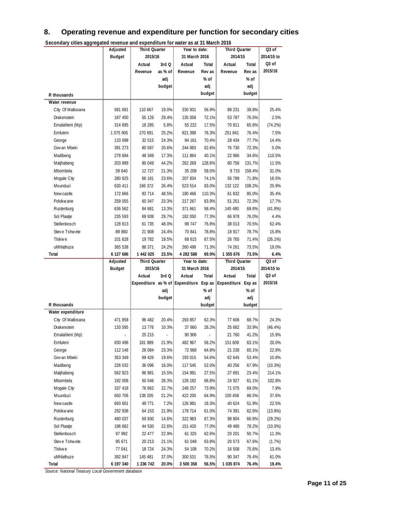### **8. Operating revenue and expenditure per function for secondary cities**

| Secondary cities aggregated revenue and expenditure for water as at 31 march 2016 |                      |                                 |                |                                        |                |                                 |                |                     |
|-----------------------------------------------------------------------------------|----------------------|---------------------------------|----------------|----------------------------------------|----------------|---------------------------------|----------------|---------------------|
|                                                                                   | Adjusted             | <b>Third Quarter</b><br>2015/16 |                | Year to date:                          |                | <b>Third Quarter</b><br>2014/15 |                | Q3 of<br>2014/15 to |
|                                                                                   | <b>Budget</b>        |                                 |                | 31 March 2016                          |                |                                 |                | Q3 of               |
|                                                                                   |                      | Actual                          | 3rd Q          | Actual                                 | Total          | Actual                          | Total          | 2015/16             |
|                                                                                   |                      | Revenue                         | as % of        | Revenue                                | Rev as         | Revenue                         | Rev as         |                     |
|                                                                                   |                      |                                 | adj<br>budget  |                                        | % of<br>adj    |                                 | % of<br>adj    |                     |
|                                                                                   |                      |                                 |                |                                        | budget         |                                 | budget         |                     |
| R thousands                                                                       |                      |                                 |                |                                        |                |                                 |                |                     |
| Water revenue                                                                     |                      |                                 |                |                                        |                |                                 |                |                     |
| City Of Matlosana                                                                 | 581 691              | 110 667                         | 19.0%          | 330 931                                | 56.9%          | 88 231                          | 39.8%          | 25.4%               |
| Drakenstein                                                                       | 187 450              | 55 126                          | 29.4%          | 135 058                                | 72.1%          | 53 787                          | 76.5%          | 2.5%                |
| Emalahleni (Mp)                                                                   | 314 895              | 18 285                          | 5.8%           | 55 222                                 | 17.5%          | 70 811                          | 65.6%          | (74.2%)             |
| Emfuleni                                                                          | 1 075 905            | 270 691                         | 25.2%          | 821 398                                | 76.3%          | 251 841                         | 76.4%          | 7.5%                |
| George                                                                            | 133 698              | 32 515                          | 24.3%          | 94 161                                 | 70.4%          | 28 4 34                         | 77.7%          | 14.4%               |
| Gov an Mbeki                                                                      | 391 273              | 80 587                          | 20.6%          | 244 983                                | 62.6%          | 76 730                          | 72.3%          | 5.0%                |
| Madibeng                                                                          | 278 694              | 48 349                          | 17.3%          | 111 864                                | 40.1%          | 22 966                          | 34.6%          | 110.5%              |
| Matjhabeng                                                                        | 203 889              | 90 049                          | 44.2%          | 262 269                                | 128.6%         | 80 756                          | 131.7%         | 11.5%               |
| Mbombela                                                                          | 59 640               | 12 727                          | 21.3%          | 35 208                                 | 59.0%          | 9 7 1 5                         | 158.4%         | 31.0%               |
| Mogale City                                                                       | 280 625              | 66 181                          | 23.6%          | 207 834                                | 74.1%          | 56 789                          | 71.8%          | 16.5%               |
| Msunduzi                                                                          | 630 411              | 166 372                         | 26.4%          | 523 514                                | 83.0%          | 132 122                         | 108.2%         | 25.9%               |
| Newcastle                                                                         | 172 666              | 83 714                          | 48.5%          | 190 466                                | 110.3%         | 61832                           | 85.0%          | 35.4%               |
| Polokwane                                                                         | 259 055              | 60 347                          | 23.3%          | 217 267                                | 83.9%          | 51 251                          | 72.3%          | 17.7%               |
| Rustenburg                                                                        | 636 562              | 84 681                          | 13.3%          | 371 661                                | 58.4%          | 145 480                         | 69.8%          | (41.8%)             |
| Sol Plaatje                                                                       | 235 593              | 69 938                          | 29.7%          | 182 050                                | 77.3%          | 66 978                          | 76.0%          | 4.4%                |
| Stellenbosch                                                                      | 128 613              | 61 735                          | 48.0%          | 98 747                                 | 76.8%          | 38 013                          | 70.5%          | 62.4%               |
| Steve Tshwete                                                                     | 89 860               | 21 908                          | 24.4%          | 70 841                                 | 78.8%          | 18 917                          | 78.7%          | 15.8%               |
| Tlokwe                                                                            | 101 628              | 19 782                          | 19.5%          | 68 615                                 | 67.5%          | 26 765                          | 71.4%          | (26.1%)             |
| uMhlathuze<br>Total                                                               | 365 538<br>6 127 686 | 88 371<br>1 442 025             | 24.2%<br>23.5% | 260 498<br>4 282 588                   | 71.3%<br>69.9% | 74 261<br>1 355 676             | 73.5%<br>73.5% | 19.0%<br>6.4%       |
|                                                                                   | Adjusted             | <b>Third Quarter</b>            |                | Year to date:                          |                | <b>Third Quarter</b>            |                | Q3 of               |
|                                                                                   |                      |                                 |                |                                        |                |                                 |                |                     |
|                                                                                   |                      |                                 |                |                                        |                |                                 |                |                     |
|                                                                                   | <b>Budget</b>        | 2015/16                         |                | 31 March 2016                          |                | 2014/15                         |                | 2014/15 to<br>Q3 of |
|                                                                                   |                      | Actual                          | 3rd Q          | Actual                                 | Total          | Actual<br>Expenditure Exp as    | Total          | 2015/16             |
|                                                                                   |                      |                                 | adj            | Expenditure as % of Expenditure Exp as | % of           |                                 | % of           |                     |
|                                                                                   |                      |                                 | budget         |                                        | adj            |                                 | adj            |                     |
| R thousands                                                                       |                      |                                 |                |                                        | budget         |                                 | budget         |                     |
| Water expenditure                                                                 |                      |                                 |                |                                        |                |                                 |                |                     |
| City Of Matlosana                                                                 | 471 858              | 96 482                          | 20.4%          | 293 857                                | 62.3%          | 77 606                          | 68.7%          | 24.3%               |
| Drakenstein                                                                       | 133 595              | 13 776                          | 10.3%          | 37 660                                 | 28.2%          | 25 682                          | 33.9%          | $(46.4\%)$          |
| Emalahleni (Mp)                                                                   |                      | 25 215                          | ÷,             | 90 906                                 | $\frac{1}{2}$  | 21 760                          | 41.2%          | 15.9%               |
| Emfuleni                                                                          | 830 496              | 181 989                         | 21.9%          | 482 967                                | 58.2%          | 151 609                         | 63.1%          | 20.0%               |
| George                                                                            | 112 146              | 26 084                          | 23.3%          | 72 668                                 | 64.8%          | 21 238                          | 65.1%          | 22.8%               |
| Gov an Mbeki                                                                      | 353 349              | 69 426                          | 19.6%          | 193 015                                | 54.6%          | 62 645                          | 53.4%          | 10.8%               |
| Madibeng                                                                          | 226 032              | 36 096                          | 16.0%          | 117 545                                | 52.0%          | 40 256                          | 67.9%          | (10.3%)             |
| Matjhabeng                                                                        | 562 923              | 86 981                          | 15.5%          | 154 991                                | 27.5%          | 27 691                          | 23.4%          | 214.1%              |
| Mbombela                                                                          | 192 008              | 50 546                          | 26.3%          | 128 182                                | 66.8%          | 24 927                          | 61.1%          | 102.8%              |
| Mogale City                                                                       | 337 418              | 76 662                          | 22.7%          | 249 257                                | 73.9%          | 71 075                          | 69.0%          | 7.9%                |
| Msunduzi                                                                          | 650 706              | 138 205                         | 21.2%          | 422 200                                | 64.9%          | 100 458                         | 86.5%          | 37.6%               |
| Newcastle                                                                         | 693 601              | 49 771                          | 7.2%           | 126 981                                | 18.3%          | 40 624                          | 51.9%          | 22.5%               |
| Polokwane                                                                         | 292 938              | 64 153                          | 21.9%          | 178 714                                | 61.0%          | 74 391                          | 62.6%          | $(13.8\%)$          |
| Rustenburg                                                                        | 480 037              | 69 930                          | 14.6%          | 322 983                                | 67.3%          | 98 804                          | 66.8%          | (29.2%)             |
| Sol Plaatje                                                                       | 196 682              | 44 530                          | 22.6%          | 151 420                                | 77.0%          | 49 480                          | 78.2%          | $(10.0\%)$          |
| Stellenbosch                                                                      | 97 992               | 22 477                          | 22.9%          | 61 325                                 | 62.6%          | 20 201                          | 50.7%          | 11.3%               |
| Steve Tshwete                                                                     | 95 671               | 20 213                          | 21.1%          | 61 049                                 | 63.8%          | 20 573                          | 67.6%          | (1.7%)              |
| Tlokwe                                                                            | 77 041               | 18 7 24                         | 24.3%          | 54 108                                 | 70.2%          | 16 508                          | 75.6%          | 13.4%               |
| uMhlathuze                                                                        | 392 847<br>6 197 340 | 145 481                         | 37.0%          | 300 531                                | 76.5%<br>56.5% | 90 347                          | 76.4%<br>76.4% | 61.0%               |

**Secondary cities aggregated revenue and expenditure for water as at 31 March 2016**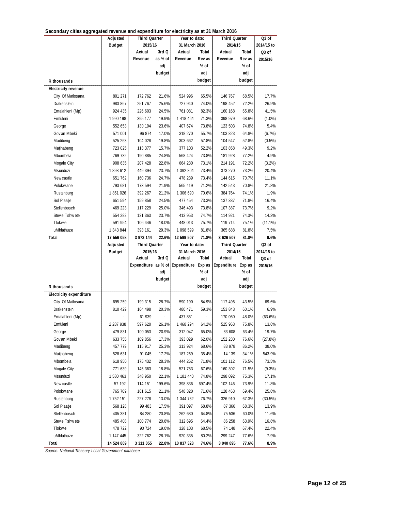| Secondary cities aggregated revenue and expenditure for electricity as at 31 March 2016 |
|-----------------------------------------------------------------------------------------|
|-----------------------------------------------------------------------------------------|

| becomain y chics aggregated revenue and experientire for electricity as at 51 march 2010 |                         |                      |                 |                                        |                 |                      |                |                    |
|------------------------------------------------------------------------------------------|-------------------------|----------------------|-----------------|----------------------------------------|-----------------|----------------------|----------------|--------------------|
|                                                                                          | Adjusted                | Third Quarter        |                 | Year to date:                          |                 | Third Quarter        |                | $\overline{Q3}$ of |
|                                                                                          | <b>Budget</b>           | 2015/16              |                 | 31 March 2016                          |                 | 2014/15              |                | 2014/15 to         |
|                                                                                          |                         | Actual               | 3rd Q           | Actual                                 | Total           | Actual               | Total          | Q3 of              |
|                                                                                          |                         | Revenue              | as % of         | Revenue                                | Rev as          | Revenue              | Rev as         | 2015/16            |
|                                                                                          |                         |                      | adj             |                                        | % of            |                      | % of           |                    |
|                                                                                          |                         |                      | budget          |                                        | adj             |                      | adj            |                    |
| R thousands                                                                              |                         |                      |                 |                                        | budget          |                      | budget         |                    |
| <b>Electricity revenue</b>                                                               |                         |                      |                 |                                        |                 |                      |                |                    |
| City Of Matlosana                                                                        | 801 271                 | 172 762              | 21.6%           | 524 996                                | 65.5%           | 146 767              | 68.5%          | 17.7%              |
| Drakenstein                                                                              | 983 867                 | 251 767              | 25.6%           | 727 940                                | 74.0%           | 198 452              | 72.2%          | 26.9%              |
| Emalahleni (Mp)                                                                          | 924 435                 | 226 603              | 24.5%           | 761 081                                | 82.3%           | 160 168              | 65.8%          | 41.5%              |
| Emfuleni                                                                                 | 1 990 198               | 395 177              | 19.9%           | 1 418 464                              | 71.3%           | 398 979              | 68.6%          | (1.0%)             |
| George                                                                                   | 552 653                 | 130 194              | 23.6%           | 407 674                                | 73.8%           | 123 503              | 74.8%          | 5.4%               |
| Gov an Mbeki                                                                             | 571 001                 | 96 874               | 17.0%           | 318 270                                | 55.7%           | 103 823              | 64.8%          | (6.7%)             |
| Madibeng                                                                                 | 525 263                 | 104 028              | 19.8%           | 303 662                                | 57.8%           | 104 547              | 52.8%          | (0.5%)             |
| Matjhabeng                                                                               | 723 025                 | 113 377              | 15.7%           | 377 103                                | 52.2%           | 103 858              | 49.3%          | 9.2%               |
| Mbombela                                                                                 | 769 732                 | 190 885              | 24.8%           | 568 424                                | 73.8%           | 181 928              | 77.2%          | 4.9%               |
| Mogale City                                                                              | 908 635                 | 207 428              | 22.8%           | 664 230                                | 73.1%           | 214 191              | 72.2%          | (3.2%)             |
| Msunduzi                                                                                 | 1898 612                | 449 394              | 23.7%           | 1 392 804                              | 73.4%           | 373 270              | 73.2%          | 20.4%              |
| New castle                                                                               | 651 762                 | 160 736              | 24.7%           | 478 239                                | 73.4%           | 144 615              | 70.7%          | 11.1%              |
| Polokwane                                                                                | 793 681                 |                      | 21.9%           | 565 419                                | 71.2%           |                      |                | 21.8%              |
|                                                                                          |                         | 173 594              |                 | 1 306 690                              |                 | 142 543              | 70.8%          |                    |
| Rustenburg                                                                               | 1851026                 | 392 267              | 21.2%           |                                        | 70.6%           | 384 764              | 74.1%          | 1.9%               |
| Sol Plaatje                                                                              | 651 594                 | 159 858              | 24.5%           | 477 454                                | 73.3%           | 137 387              | 71.8%          | 16.4%              |
| Stellenbosch                                                                             | 469 223                 | 117 229              | 25.0%           | 346 493                                | 73.8%           | 107 387              | 73.7%          | 9.2%               |
| Steve Tshwete                                                                            | 554 282                 | 131 363              | 23.7%           | 413 953                                | 74.7%           | 114 921              | 74.3%          | 14.3%              |
| Tlokwe                                                                                   | 591 954                 | 106 446              | 18.0%           | 448 013                                | 75.7%           | 119 714              | 75.1%          | $(11.1\%)$         |
| uMhlathuze                                                                               | 1 343 844               | 393 161              | 29.3%           | 1 098 599                              | 81.8%           | 365 688              | 81.8%          | 7.5%               |
| Total                                                                                    | 17 556 058              | 3 973 144            | 22.6%           | 12 599 507                             | 71.8%           | 3 626 507            | 81.8%          | 9.6%               |
|                                                                                          |                         |                      |                 |                                        |                 |                      |                |                    |
|                                                                                          | Adjusted                | Third Quarter        |                 | Year to date:                          |                 | Third Quarter        |                | Q3 of              |
|                                                                                          | <b>Budget</b>           | 2015/16              |                 | 31 March 2016                          |                 | 2014/15              |                | 2014/15 to         |
|                                                                                          |                         | Actual               | 3rd Q           | Actual                                 | Total           | Actual               | Total          | Q3 of              |
|                                                                                          |                         |                      |                 | Expenditure as % of Expenditure Exp as |                 | Expenditure Exp as   |                | 2015/16            |
|                                                                                          |                         |                      | adj             |                                        | % of            |                      | % of           |                    |
|                                                                                          |                         |                      | budget          |                                        | adj             |                      | adj            |                    |
| R thousands                                                                              |                         |                      |                 |                                        | budget          |                      | budget         |                    |
| <b>Electricity expenditure</b>                                                           |                         |                      |                 |                                        |                 |                      |                |                    |
| City Of Matlosana                                                                        | 695 259                 | 199 315              | 28.7%           | 590 190                                | 84.9%           | 117 496              | 43.5%          | 69.6%              |
| Drakenstein                                                                              | 810 429                 | 164 498              | 20.3%           | 480 471                                | 59.3%           | 153 843              | 60.1%          | 6.9%               |
| Emalahleni (Mp)                                                                          |                         | 61 939               | $\frac{1}{2}$   | 437 851                                |                 | 170 060              | 48.0%          | $(63.6\%)$         |
| Emfuleni                                                                                 | 2 287 938               | 597 620              | 26.1%           | 1 468 294                              | 64.2%           | 525 963              | 75.8%          | 13.6%              |
| George                                                                                   | 479 831                 | 100 053              | 20.9%           | 312 047                                | 65.0%           | 83 608               | 63.4%          | 19.7%              |
| Gov an Mbeki                                                                             | 633 755                 | 109 856              | 17.3%           | 393 029                                | 62.0%           | 152 230              | 76.6%          | (27.8%)            |
| Madibeng                                                                                 | 457 779                 | 115 917              | 25.3%           | 313 924                                | 68.6%           | 83 978               | 86.2%          | 38.0%              |
| Matjhabeng                                                                               | 528 631                 | 91 045               | 17.2%           | 187 269                                | 35.4%           | 14 139               | 34.1%          | 543.9%             |
| Mbombela                                                                                 | 618 950                 | 175 432              | 28.3%           | 444 262                                | 71.8%           | 101 112              | 76.5%          | 73.5%              |
| Mogale City                                                                              | 771 639                 | 145 363              | 18.8%           | 521 753                                | 67.6%           | 160 302              | 71.5%          | (9.3%)             |
|                                                                                          |                         |                      |                 |                                        |                 |                      | 75.3%          |                    |
| Msunduzi<br>New castle                                                                   | 1 580 463<br>57 192     | 348 950              | 22.1%<br>199.6% | 1 181 440<br>398 836                   | 74.8%<br>697.4% | 298 092<br>102 146   |                | 17.1%              |
| Polokwane                                                                                |                         | 114 151              | 21.1%           |                                        |                 | 128 463              | 73.9%          | 11.8%              |
|                                                                                          | 765 709                 | 161 615              |                 | 548 320                                | 71.6%           |                      | 69.4%          | 25.8%              |
| Rustenburg                                                                               | 1752 151                | 227 278              | 13.0%           | 1 344 732                              | 76.7%           | 326 910              | 67.3%          | (30.5%)            |
| Sol Plaatje                                                                              | 568 128                 | 99 483               | 17.5%           | 391 097                                | 68.8%           | 87 366               | 68.3%          | 13.9%              |
| Stellenbosch                                                                             | 405 381                 | 84 280               | 20.8%           | 262 680                                | 64.8%           | 75 536               | 60.0%          | 11.6%              |
| Steve Tshwete                                                                            | 485 408                 | 100 774              | 20.8%           | 312 695                                | 64.4%           | 86 258               | 63.9%          | 16.8%              |
| Tlokwe                                                                                   | 478 722                 | 90 724               | 19.0%           | 328 103                                | 68.5%           | 74 148               | 67.4%          | 22.4%              |
| uMhlathuze<br>Total                                                                      | 1 147 445<br>14 524 809 | 322 762<br>3 311 055 | 28.1%<br>22.8%  | 920 335<br>10 837 328                  | 80.2%<br>74.6%  | 299 247<br>3 040 895 | 77.6%<br>77.6% | 7.9%<br>8.9%       |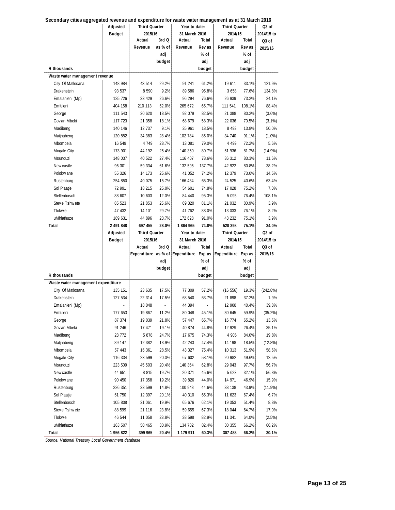|                                    | Adjusted      | <b>Third Quarter</b> |         | Year to date: |        | Third Quarter                                             |        | Q3 of      |
|------------------------------------|---------------|----------------------|---------|---------------|--------|-----------------------------------------------------------|--------|------------|
|                                    | <b>Budget</b> | 2015/16              |         | 31 March 2016 |        | 2014/15                                                   |        | 2014/15 to |
|                                    |               | Actual               | 3rd Q   | Actual        | Total  | Actual                                                    | Total  | Q3 of      |
|                                    |               | Revenue              | as % of | Revenue       | Rev as | Revenue                                                   | Rev as | 2015/16    |
|                                    |               |                      | adj     |               | % of   |                                                           | $%$ of |            |
|                                    |               |                      | budget  |               | adj    |                                                           | adj    |            |
| R thousands                        |               |                      |         |               | budget |                                                           | budget |            |
| Waste water management revenue     |               |                      |         |               |        |                                                           |        |            |
| City Of Matlosana                  | 148 984       | 43 514               | 29.2%   | 91 241        | 61.2%  | 19 611                                                    | 33.1%  | 121.9%     |
| Drakenstein                        | 93 537        | 8 5 9 0              | 9.2%    | 89 586        | 95.8%  | 3 6 5 8                                                   | 77.6%  | 134.8%     |
| Emalahleni (Mp)                    | 125 726       | 33 4 29              | 26.6%   | 96 294        | 76.6%  | 26 939                                                    | 73.2%  | 24.1%      |
| Emfuleni                           | 404 158       | 210 113              | 52.0%   | 265 672       | 65.7%  | 111 541                                                   | 108.1% | 88.4%      |
| George                             | 111 543       | 20 620               | 18.5%   | 92 079        | 82.5%  | 21 388                                                    | 80.2%  | (3.6%)     |
| Gov an Mbeki                       | 117 723       | 21 358               | 18.1%   | 68 679        | 58.3%  | 22 036                                                    | 70.5%  | (3.1%)     |
| Madibeng                           | 140 146       | 12 737               | 9.1%    | 25 961        | 18.5%  | 8 4 9 3                                                   | 13.8%  | 50.0%      |
| Matjhabeng                         | 120 882       | 34 383               | 28.4%   | 102 784       | 85.0%  | 34 740                                                    | 91.1%  | $(1.0\%)$  |
| Mbombela                           | 16 549        | 4 7 4 9              | 28.7%   | 13 081        | 79.0%  | 4 4 9 9                                                   | 72.2%  | 5.6%       |
| Mogale City                        | 173 901       | 44 192               | 25.4%   | 140 350       | 80.7%  | 51 936                                                    | 81.7%  | $(14.9\%)$ |
| Msunduzi                           | 148 037       | 40 522               | 27.4%   | 116 407       | 78.6%  | 36 312                                                    | 83.3%  | 11.6%      |
| Newcastle                          | 96 301        | 59 334               | 61.6%   | 132 595       | 137.7% | 42 922                                                    | 80.8%  | 38.2%      |
| Polokwane                          | 55 326        | 14 173               | 25.6%   | 41 052        | 74.2%  | 12 379                                                    | 73.0%  | 14.5%      |
| Rustenburg                         | 254 850       | 40 075               | 15.7%   | 166 434       | 65.3%  | 24 5 25                                                   | 40.6%  | 63.4%      |
| Sol Plaatje                        | 72 991        | 18 215               | 25.0%   | 54 601        | 74.8%  | 17 028                                                    | 75.2%  | 7.0%       |
| Stellenbosch                       | 88 607        | 10 603               | 12.0%   | 84 440        | 95.3%  | 5 0 9 5                                                   | 76.4%  | 108.1%     |
| Steve Tshwete                      | 85 523        | 21 853               | 25.6%   | 69 320        | 81.1%  | 21 032                                                    | 80.9%  | 3.9%       |
| <b>Tlokwe</b>                      | 47 432        | 14 101               | 29.7%   | 41 762        | 88.0%  | 13 033                                                    | 76.1%  | 8.2%       |
| uMhlathuze                         | 189 631       | 44 896               | 23.7%   | 172 628       | 91.0%  | 43 232                                                    | 75.1%  | 3.9%       |
| Total                              | 2 491 848     | 697 455              | 28.0%   | 1864965       | 74.8%  | 520 398                                                   | 75.1%  | 34.0%      |
|                                    |               |                      |         |               |        |                                                           |        |            |
|                                    | Adjusted      | <b>Third Quarter</b> |         | Year to date: |        | Third Quarter                                             |        | Q3 of      |
|                                    | <b>Budget</b> | 2015/16              |         | 31 March 2016 |        | 2014/15                                                   |        | 2014/15 to |
|                                    |               | Actual               | 3rd Q   | Actual        | Total  | Actual                                                    | Total  | Q3 of      |
|                                    |               |                      |         |               |        | Expenditure as % of Expenditure Exp as Expenditure Exp as |        | 2015/16    |
|                                    |               |                      | adj     |               | % of   |                                                           | % of   |            |
|                                    |               |                      | budget  |               | adj    |                                                           | adj    |            |
| R thousands                        |               |                      |         |               | budget |                                                           | budget |            |
| Waste water management expenditure |               |                      |         |               |        |                                                           |        |            |
| City Of Matlosana                  | 135 151       | 23 635               | 17.5%   | 77 309        | 57.2%  | (16 556)                                                  | 19.3%  | (242.8%)   |
| Drakenstein                        | 127 534       | 22 314               | 17.5%   | 68 540        | 53.7%  | 21 898                                                    | 37.2%  | 1.9%       |
| Emalahleni (Mp)                    |               | 18 048               | ÷       | 44 394        | L,     | 12 908                                                    | 40.4%  | 39.8%      |
| Emfuleni                           | 177 653       | 19 867               | 11.2%   | 80 048        | 45.1%  | 30 645                                                    | 59.9%  | (35.2%)    |
| George                             | 87 374        | 19 039               | 21.8%   | 57 447        | 65.7%  | 16 774                                                    | 65.2%  | 13.5%      |
| Gov an Mbeki                       | 91 246        | 17 471               | 19.1%   | 40 874        | 44.8%  | 12 929                                                    | 26.4%  | 35.1%      |
| Madibeng                           | 23 772        | 5878                 | 24.7%   | 17 675        | 74.3%  | 4 9 0 5                                                   | 84.0%  | 19.8%      |
| Matjhabeng                         | 89 147        | 12 382               | 13.9%   | 42 243        | 47.4%  | 14 198                                                    | 18.5%  | (12.8%)    |
| Mbombela                           | 57 443        | 16 361               | 28.5%   | 43 327        | 75.4%  | 10 313                                                    | 51.9%  | 58.6%      |
| Mogale City                        | 116 334       | 23 599               | 20.3%   | 67 602        | 58.1%  | 20 982                                                    | 49.6%  | 12.5%      |
| Msunduzi                           | 223 509       | 45 503               | 20.4%   | 140 364       | 62.8%  | 29 043                                                    | 97.7%  | 56.7%      |
| Newcastle                          | 44 651        | 8 8 1 5              | 19.7%   | 20 371        | 45.6%  | 5 6 23                                                    | 32.1%  | 56.8%      |
| Polokwane                          | 90 450        | 17 358               | 19.2%   | 39 826        | 44.0%  | 14 971                                                    | 46.9%  | 15.9%      |
| Rustenburg                         | 226 351       | 33 599               | 14.8%   | 100 948       | 44.6%  | 38 138                                                    | 43.9%  | $(11.9\%)$ |
| Sol Plaatje                        | 61 750        | 12 397               | 20.1%   | 40 310        | 65.3%  | 11 623                                                    | 67.4%  | 6.7%       |
| Stellenbosch                       | 105 808       | 21 061               | 19.9%   | 65 676        | 62.1%  | 19 353                                                    | 51.4%  | 8.8%       |
| Steve Tshwete                      | 88 599        | 21 116               | 23.8%   | 59 655        | 67.3%  | 18 044                                                    | 64.7%  | 17.0%      |
| Tlokwe                             | 46 544        | 11 058               | 23.8%   | 38 598        | 82.9%  | 11 341                                                    | 64.0%  | (2.5%)     |
| uMhlathuze                         | 163 507       | 50 465               | 30.9%   | 134 702       | 82.4%  | 30 355                                                    | 66.2%  | 66.2%      |

| Secondary cities aggregated revenue and expenditure for waste water management as at 31 March 2016 |  |  |  |
|----------------------------------------------------------------------------------------------------|--|--|--|
|                                                                                                    |  |  |  |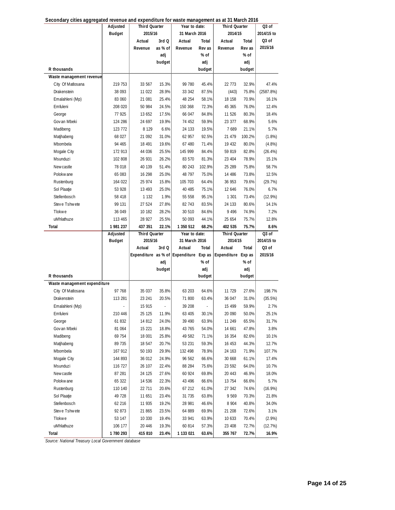|                              | Adjusted      | <b>Third Quarter</b> |         | Year to date:                          |        | <b>Third Quarter</b> |          | Q3 of             |
|------------------------------|---------------|----------------------|---------|----------------------------------------|--------|----------------------|----------|-------------------|
|                              | <b>Budget</b> | 2015/16              |         | 31 March 2016                          |        | 2014/15              |          | 2014/15 to        |
|                              |               | Actual               | 3rd Q   | Actual                                 | Total  | Actual               | Total    | Q <sub>3</sub> of |
|                              |               | Revenue              | as % of | Revenue                                | Rev as | Revenue              | Rev as   | 2015/16           |
|                              |               |                      | adj     |                                        | $%$ of |                      | % of     |                   |
|                              |               |                      | budget  |                                        | adj    |                      | adj      |                   |
| R thousands                  |               |                      |         |                                        | budget |                      | budget   |                   |
| Waste management revenue     |               |                      |         |                                        |        |                      |          |                   |
| City Of Matlosana            | 219 753       | 33 567               | 15.3%   | 99 780                                 | 45.4%  | 22 773               | 32.9%    | 47.4%             |
| Drakenstein                  | 38 093        | 11 022               | 28.9%   | 33 342                                 | 87.5%  | (443)                | 75.8%    | (2587.8%)         |
| Emalahleni (Mp)              | 83 060        | 21 081               | 25.4%   | 48 254                                 | 58.1%  | 18 158               | 70.9%    | 16.1%             |
| Emfuleni                     | 208 020       | 50 984               | 24.5%   | 150 368                                | 72.3%  | 45 365               | 76.0%    | 12.4%             |
| George                       | 77 925        | 13 652               | 17.5%   | 66 047                                 | 84.8%  | 11 526               | 80.3%    | 18.4%             |
| Gov an Mbeki                 | 124 286       | 24 697               | 19.9%   | 74 452                                 | 59.9%  | 23 377               | 68.9%    | 5.6%              |
| Madibeng                     | 123 772       | 8 1 2 9              | 6.6%    | 24 133                                 | 19.5%  | 7689                 | 21.1%    | 5.7%              |
| Matjhabeng                   | 68 027        | 21 092               | 31.0%   | 62 957                                 | 92.5%  | 21 479               | 100.2%   | $(1.8\%)$         |
| Mbombela                     | 94 465        | 18 491               | 19.6%   | 67 480                                 | 71.4%  | 19 432               | 80.0%    | (4.8%)            |
| Mogale City                  | 172 913       | 44 036               | 25.5%   | 145 999                                | 84.4%  | 59 819               | 82.8%    | $(26.4\%)$        |
| Msunduzi                     | 102 808       | 26 931               | 26.2%   | 83 570                                 | 81.3%  | 23 404               | 78.9%    | 15.1%             |
| Newcastle                    | 78 018        | 40 139               | 51.4%   | 80 243                                 | 102.9% | 25 289               | 75.8%    | 58.7%             |
| Polokwane                    | 65 083        | 16 298               | 25.0%   | 48 797                                 | 75.0%  | 14 486               | 73.8%    | 12.5%             |
| Rustenburg                   | 164 022       | 25 974               | 15.8%   | 105 703                                | 64.4%  | 36 953               | 79.6%    | (29.7%)           |
| Sol Plaatje                  | 53 928        | 13 493               | 25.0%   | 40 485                                 | 75.1%  | 12 646               | 76.0%    | 6.7%              |
| Stellenbosch                 | 58 418        | 1 1 3 2              | 1.9%    | 55 558                                 | 95.1%  | 1 301                | 73.4%    | $(12.9\%)$        |
| Steve Tshwete                | 99 131        | 27 524               | 27.8%   | 82 743                                 | 83.5%  | 24 133               | 80.6%    | 14.1%             |
| Tlokwe                       | 36 049        | 10 182               | 28.2%   | 30 510                                 | 84.6%  | 9 4 9 6              | 74.9%    | 7.2%              |
| uMhlathuze                   | 113 465       | 28 927               | 25.5%   | 50 093                                 | 44.1%  | 25 654               | 75.7%    | 12.8%             |
| Total                        | 1 981 237     | 437 351              | 22.1%   | 1 350 512                              | 68.2%  | 402 535              | 75.7%    | 8.6%              |
|                              |               |                      |         |                                        |        |                      |          |                   |
|                              | Adjusted      | <b>Third Quarter</b> |         | Year to date:                          |        | <b>Third Quarter</b> |          | Q3 of             |
|                              | Budget        | 2015/16              |         | 31 March 2016                          |        | 2014/15              |          | 2014/15 to        |
|                              |               | Actual               | 3rd Q   | Actual                                 | Total  | Actual               | Total    | Q3 of             |
|                              |               |                      |         | Expenditure as % of Expenditure Exp as |        | Expenditure Exp as   |          | 2015/16           |
|                              |               |                      | adj     |                                        | % of   |                      | % of     |                   |
|                              |               |                      | budget  |                                        | adj    |                      | adj      |                   |
| R thousands                  |               |                      |         |                                        | budget |                      | budget   |                   |
| Waste management expenditure |               |                      |         |                                        |        |                      |          |                   |
| City Of Matlosana            | 97 768        | 35 037               | 35.8%   | 63 203                                 | 64.6%  | 11 729               | 27.6%    | 198.7%            |
| Drakenstein                  | 113 281       | 23 241               | 20.5%   | 71 800                                 | 63.4%  | 36 047               | 31.0%    | (35.5%)           |
| Emalahleni (Mp)              |               | 15 915               |         | 39 208                                 |        | 15 499               | 59.9%    | 2.7%              |
| Emfuleni                     | 210 446       | 25 125               | 11.9%   | 63 405                                 | 30.1%  | 20 090               | $50.0\%$ | 25.1%             |
| George                       | 61 832        | 14 812               | 24.0%   | 39 490                                 | 63.9%  | 11 249               | 65.5%    | 31.7%             |
| Gov an Mbeki                 | 81 064        | 15 221               | 18.8%   | 43 765                                 | 54.0%  | 14 661               | 47.8%    | 3.8%              |
| Madibeng                     | 69 754        | 18 001               | 25.8%   | 49 582                                 | 71.1%  | 16 354               | 82.6%    | 10.1%             |
| Matjhabeng                   | 89 735        | 18 547               | 20.7%   | 53 231                                 | 59.3%  | 16 453               | 44.3%    | 12.7%             |
| Mbombela                     | 167 912       | 50 193               | 29.9%   | 132 498                                | 78.9%  | 24 163               | 71.9%    | 107.7%            |
| Mogale City                  | 144 893       | 36 012               | 24.9%   | 96 562                                 | 66.6%  | 30 668               | 61.1%    | 17.4%             |
| Msunduzi                     | 116 727       | 26 107               | 22.4%   | 88 284                                 | 75.6%  | 23 592               | 64.0%    | 10.7%             |
| Newcastle                    | 87 281        | 24 125               | 27.6%   | 60 924                                 | 69.8%  | 20 443               | 46.9%    | 18.0%             |
| Polokw ane                   | 65 322        | 14 536               | 22.3%   | 43 4 9 6                               | 66.6%  | 13 754               | 66.6%    | 5.7%              |
| Rustenburg                   | 110 140       | 22 711               | 20.6%   | 67 212                                 | 61.0%  | 27 342               | 74.6%    | $(16.9\%)$        |
| Sol Plaatje                  | 49 728        | 11 651               | 23.4%   | 31 735                                 | 63.8%  | 9 5 6 9              | 70.3%    | 21.8%             |
| Stellenbosch                 | 62 216        | 11 935               | 19.2%   | 28 981                                 | 46.6%  | 8 9 0 4              | 40.8%    | 34.0%             |
| Steve Tshwete                | 92 873        | 21 865               | 23.5%   | 64 889                                 | 69.9%  | 21 208               | 72.6%    | 3.1%              |
| Tlokwe                       | 53 147        | 10 330               | 19.4%   | 33 941                                 | 63.9%  | 10 633               | 70.4%    | $(2.9\%)$         |
| uMhlathuze                   | 106 177       | 20 446               | 19.3%   | 60 814                                 | 57.3%  | 23 408               | 72.7%    | (12.7%)           |

**Secondary cities aggregated revenue and expenditure for waste management as at 31 March 2016**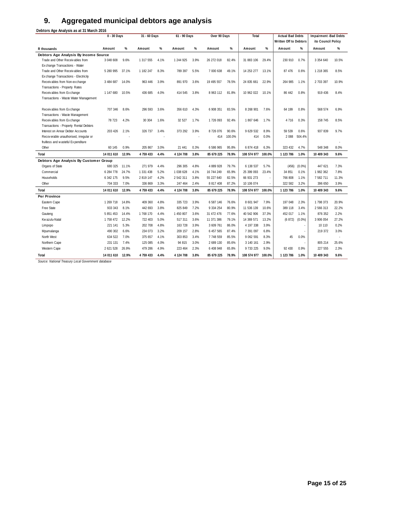## **9. Aggregated municipal debtors age analysis**

**Debtors Age Analysis as at 31 March 2016**

|                                        | 0 - 30 Days      |       | 31 - 60 Days |      | 61 - 90 Days |      | Over 90 Days  |        | Total              |        | <b>Actual Bad Debts</b> |           | Impairment -Bad Debts |       |
|----------------------------------------|------------------|-------|--------------|------|--------------|------|---------------|--------|--------------------|--------|-------------------------|-----------|-----------------------|-------|
|                                        |                  |       |              |      |              |      |               |        |                    |        | Written Off to Debtors  |           | ito Council Policy    |       |
| R thousands                            | Amount           | %     | Amount       | %    | Amount       | %    | Amount        | %      | Amount             | %      | Amount                  | %         | Amount                | $\%$  |
| Debtors Age Analysis By Income Source  |                  |       |              |      |              |      |               |        |                    |        |                         |           |                       |       |
| Trade and Other Receivables from       | 3 048 608        | 9.6%  | 1 317 555    | 4.1% | 1 244 925    | 3.9% | 26 272 018    | 82.4%  | 31 883 106         | 29.4%  | 230 910                 | 0.7%      | 3 3 5 4 6 4 0         | 10.5% |
| Exchange Transactions - Water          |                  |       |              |      |              |      |               |        |                    |        |                         |           |                       |       |
| Trade and Other Receivables from       | 5 280 995        | 37.1% | 1 182 247    | 8.3% | 789 397      | 5.5% | 7 000 638     | 49.1%  | 14 253 277         | 13.1%  | 87 476                  | 0.6%      | 1 218 365             | 8.5%  |
| Exchange Transactions - Electricity    |                  |       |              |      |              |      |               |        |                    |        |                         |           |                       |       |
| Receivables from Non-exchange          | 3 484 687        | 14.0% | 963 446      | 3.9% | 891 970      | 3.6% | 19 495 557    | 78.5%  | 24 835 661         | 22.9%  | 264 985                 | 1.1%      | 2 703 397             | 10.9% |
| Transactions - Property Rates          |                  |       |              |      |              |      |               |        |                    |        |                         |           |                       |       |
| Receivables from Exchange              | 1 147 680        | 10.5% | 436 685      | 4.0% | 414 545      | 3.8% | 8 963 112     | 81.8%  | 10 962 022         | 10.1%  | 86 442                  | 0.8%      | 919 436               | 8.4%  |
| Transactions - Waste Water Management  |                  |       |              |      |              |      |               |        |                    |        |                         |           |                       |       |
| Receivables from Exchange              | 707 346          | 8.6%  | 296 593      | 3.6% | 356 610      | 4.3% | 6 908 351     | 83.5%  | 8 268 901          | 7.6%   | 64 199                  | 0.8%      | 568 574               | 6.9%  |
| Transactions - Waste Management        |                  |       |              |      |              |      |               |        |                    |        |                         |           |                       |       |
| Receivables from Exchange              | 78 723           | 4.2%  | 30 30 4      | 1.6% | 32 5 27      | 1.7% | 1726 093      | 92.4%  | 1867646            | 1.7%   | 4 7 1 6                 | 0.3%      | 158 745               | 8.5%  |
| Transactions - Property Rental Debtors |                  |       |              |      |              |      |               |        |                    |        |                         |           |                       |       |
| Interest on Arrear Debtor Accounts     | 203 426          | 2.1%  | 326 737      | 3.4% | 373 292      | 3.9% | 8726076       | 90.6%  | 9 629 532          | 8.9%   | 59 539                  | 0.6%      | 937 839               | 9.7%  |
| Recoverable unauthorised, irregular or |                  |       |              |      |              |      | 414           | 100.0% | 414                | 0.0%   | 2 0 8 8                 | 504.4%    |                       |       |
| fruitless and wasteful Expenditure     |                  |       |              |      |              |      |               |        |                    |        |                         |           |                       |       |
| Other                                  | 60 145           | 0.9%  | 205 867      | 3.0% | 21 441       | 0.3% | 6 586 965     | 95.8%  | 6 874 418          | 6.3%   | 323 432                 | 4.7%      | 548 348               | 8.0%  |
| Total                                  | 14 011 610       | 12.9% | 4 759 433    | 4.4% | 4 124 708    | 3.8% | 85 679 225    | 78.9%  | 108 574 977        | 100.0% | 1 123 786               | 1.0%      | 10 409 343            | 9.6%  |
| Debtors Age Analysis By Customer Group |                  |       |              |      |              |      |               |        |                    |        |                         |           |                       |       |
| Organs of State                        | 680 325          | 11.1% | 271 979      | 4.4% | 296 305      | 4.8% | 4 889 928     | 79.7%  | 6 138 537          | 5.7%   | (456)                   | $(0.0\%)$ | 447 621               | 7.3%  |
| Commercial                             | 6 284 778        | 24.7% | 1 331 438    | 5.2% | 1038628      | 4.1% | 16 744 249    | 65.9%  | 25 399 093         | 23.4%  | 34 851                  | 0.1%      | 1982 362              | 7.8%  |
| Households                             | 6 342 175        | 9.5%  | 2 819 147    | 4.2% | 2 542 311    | 3.8% | 55 227 640    | 82.5%  | 66 931 273         |        | 766 808                 | 1.1%      | 7 582 711             | 11.3% |
| Other                                  | 704 333          | 7.0%  | 336 869      | 3.3% | 247 464      | 2.4% | 8 8 17 4 08   | 87.2%  | 10 106 074         |        | 322 582                 | 3.2%      | 396 650               | 3.9%  |
| Total                                  | 14 011 610       | 12.9% | 4 759 433    | 4.4% | 4 124 708    | 3.8% | 85 679 225    | 78.9%  | 108 574 977        | 100.0% | 1 123 786               | 1.0%      | 10 409 343            | 9.6%  |
| Per Province                           |                  |       |              |      |              |      |               |        |                    |        |                         |           |                       |       |
| Eastern Cape                           | 1 269 718        | 14.8% | 409 360      | 4.8% | 335 723      | 3.9% | 6 587 146     | 76.6%  | 8 601 947          | 7.9%   | 197 048                 | 2.3%      | 1798373               | 20.9% |
| Free State                             | 933 343          | 8.1%  | 442 693      | 3.8% | 825 849      | 7.2% | 9 3 3 4 2 5 4 | 80.9%  | 11 536 139         | 10.6%  | 389 118                 | 3.4%      | 2 566 313             | 22.2% |
| Gauteng                                | 5 851 453        | 14.4% | 1768 170     | 4.4% | 1 450 807    | 3.6% | 31 472 476    | 77.6%  | 40 542 906         | 37.3%  | 452 017                 | 1.1%      | 876 352               | 2.2%  |
| Kw azulu-Natal                         | 1 758 472        | 12.2% | 722 403      | 5.0% | 517 311      | 3.6% | 11 371 386    | 79.1%  | 14 369 571         | 13.2%  | (6872)                  | $(0.0\%)$ | 3 906 054             | 27.2% |
| Limpopo                                | 221 141          | 5.3%  | 202 708      | 4.8% | 163 728      | 3.9% | 3 609 761     | 86.0%  | 4 197 338          | 3.9%   |                         | ×,        | 10 110                | 0.2%  |
| Mpumalanga                             | 490 302          | 6.6%  | 234 073      | 3.2% | 209 157      | 2.8% | 6 457 565     | 87.4%  | 7 391 097          | 6.8%   |                         | ×         | 219 372               | 3.0%  |
| North West                             | 634 522          | 7.0%  | 375 657      | 4.1% | 303 853      | 3.4% | 7 748 559     | 85.5%  | 9 0 6 2 5 9 1      | 8.3%   | 45                      | 0.0%      |                       | ×,    |
| Northern Cape                          | 231 131          | 7.4%  | 125 085      | 4.0% | 94 815       | 3.0% | 2 689 130     | 85.6%  | 3 140 161          | 2.9%   |                         |           | 805 214               | 25.6% |
| Western Cape                           | 2 621 528        | 26.9% | 479 286      | 4.9% | 223 464      | 2.3% | 6 408 948     | 65.8%  | 9 733 225          | 9.0%   | 92 430                  | 0.9%      | 227 555               | 2.3%  |
| Total                                  | 14 011 610 12.9% |       | 4 759 433    | 4.4% | 4 124 708    | 3.8% | 85 679 225    | 78.9%  | 108 574 977 100.0% |        | 1 123 786               | 1.0%      | 10 409 343            | 9.6%  |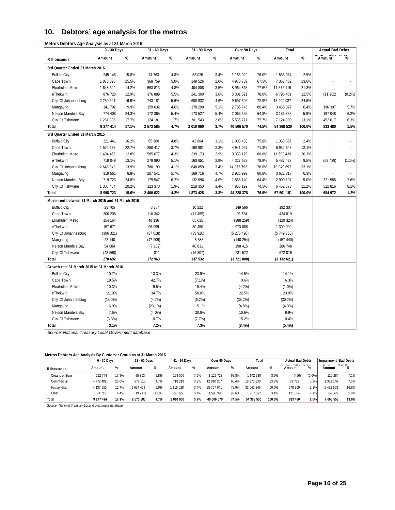## **10. Debtors' age analysis for the metros**

|                                                  | 0 - 30 Days |       | 31 - 60 Days |      | $61 - 90$ Days |      | Over 90 Days |       | Total       |        | <b>Actual Bad Debts</b> |              |
|--------------------------------------------------|-------------|-------|--------------|------|----------------|------|--------------|-------|-------------|--------|-------------------------|--------------|
| R thousands                                      | Amount      | $\%$  | Amount       | $\%$ | Amount         | %    | Amount       | $\%$  | Amount      | $\%$   | Amount                  | %            |
| 3rd Quarter Ended 31 March 2016                  |             |       |              |      |                |      |              |       |             |        |                         |              |
| <b>Buffalo City</b>                              | 245 146     | 15.8% | 74 763       | 4.8% | 53 026         | 3.4% | 1 183 029    | 76.0% | 1 555 964   | 2.9%   |                         |              |
| Cape Town                                        | 1 878 395   | 25.5% | 368 759      | 5.0% | 149 526        | 2.0% | 4 970 782    | 67.5% | 7 367 462   | 13.6%  |                         |              |
| Ekurhuleni Metro                                 | 1 648 629   | 14.2% | 553 813      | 4.8% | 404 808        | 3.5% | 8 964 865    | 77.5% | 11 572 115  | 21.3%  |                         | ÷.           |
| eThekwini                                        | 876 720     | 12.9% | 376 889      | 5.5% | 241 300        | 3.6% | 5 301 521    | 78.0% | 6 796 431   | 12.5%  | (11982)                 | (0.2%)       |
| City Of Johannesburg                             | 2 250 521   | 16.9% | 743 181      | 5.6% | 608 932        | 4.6% | 9 697 302    | 72.9% | 13 299 937  | 24.5%  | ÷                       | ÷,           |
| Mangaung                                         | 341 702     | 9.9%  | 159 632      | 4.6% | 178 299        | 5.1% | 2 785 745    | 80.4% | 3 465 377   | 6.4%   | 196 397                 | 5.7%         |
| Nelson Mandela Bay                               | 774 408     | 24.3% | 172 365      | 5.4% | 173 527        | 5.4% | 2 066 555    | 64.8% | 3 186 855   | 5.9%   | 197 048                 | 6.2%         |
| City Of Tshwane                                  | 1 261 895   | 17.7% | 124 181      | 1.7% | 201 543        | 2.8% | 5 536 771    | 77.7% | 7 124 389   | 13.1%  | 452 017                 | 6.3%         |
| Total                                            | 9 277 414   | 17.1% | 2 573 585    | 4.7% | 2 010 960      | 3.7% | 40 506 570   | 74.5% | 54 368 530  | 100.0% | 833 480                 | 1.5%         |
| 3rd Quarter Ended 31 March 2015                  |             |       |              |      |                |      |              |       |             |        |                         |              |
| <b>Buffalo City</b>                              | 221 441     | 16.2% | 65 980       | 4.8% | 42 804         | 3.1% | 1 033 433    | 75.8% | 1 363 657   | 2.4%   |                         |              |
| Cape Town                                        | 1 572 187   | 22.7% | 258 417      | 3.7% | 160 981        | 2.3% | 4 941 057    | 71.3% | 6 932 643   | 12.1%  |                         | $\mathbf{r}$ |
| Ekurhuleni Metro                                 | 1 494 465   | 12.8% | 505 677      | 4.3% | 339 173        | 2.9% | 9 353 125    | 80.0% | 11 692 439  | 20.3%  |                         | L.           |
| eThekwini                                        | 719 049     | 13.1% | 279 890      | 5.1% | 160 851        | 2.9% | 4 327 633    | 78.9% | 5 487 422   | 9.5%   | (59 429)                | (1.1%)       |
| City Of Johannesburg                             | 2 646 842   | 13.9% | 780 199      | 4.1% | 648 859        | 3.4% | 14 973 792   | 78.6% | 19 049 692  | 33.1%  |                         | ä,           |
| Mangaung                                         | 319 561     | 8.8%  | 207 541      | 5.7% | 169 716        | 4.7% | 2 925 999    | 80.8% | 3 622 817   | 6.3%   | ä,                      |              |
| Nelson Mandela Bay                               | 719 723     | 24.8% | 179 547      | 6.2% | 132 696        | 4.6% | 1 868 140    | 64.4% | 2 900 107   | 5.0%   | 221 585                 | 7.6%         |
| City Of Tshwane                                  | 1 305 454   | 20.2% | 123 370      | 1.9% | 218 350        | 3.4% | 4 805 199    | 74.5% | 6 452 373   | 11.2%  | 522 816                 | 8.1%         |
| <b>Total</b>                                     | 8 998 723   | 15.6% | 2 400 622    | 4.2% | 1873 428       | 3.3% | 44 228 378   | 76.9% | 57 501 151  | 100.0% | 684 972                 | 1.2%         |
| Movement between 31 March 2015 and 31 March 2016 |             |       |              |      |                |      |              |       |             |        |                         |              |
| <b>Buffalo City</b>                              | 23 705      |       | 8 7 8 4      |      | 10 222         |      | 149 596      |       | 192 307     |        |                         |              |
| Cape Town                                        | 306 208     |       | 110 342      |      | (11455)        |      | 29 7 24      |       | 434 819     |        |                         |              |
| Ekurhuleni Metro                                 | 154 164     |       | 48 136       |      | 65 635         |      | (388 259)    |       | (120 324)   |        |                         |              |
| eThekwini                                        | 157 671     |       | 96 999       |      | 80 450         |      | 973 888      |       | 1 309 009   |        |                         |              |
| City Of Johannesburg                             | (396 321)   |       | (37018)      |      | (39926)        |      | (5276490)    |       | (5749755)   |        |                         |              |
| Mangaung                                         | 22 140      |       | (47909)      |      | 8 5 8 3        |      | (140 254)    |       | (157 440)   |        |                         |              |
| Nelson Mandela Bay                               | 54 684      |       | (7182)       |      | 40 831         |      | 198 415      |       | 286 748     |        |                         |              |
| City Of Tshwane                                  | (43560)     |       | 811          |      | (16 807)       |      | 731 572      |       | 672 016     |        |                         |              |
| Total                                            | 278 692     |       | 172 963      |      | 137 532        |      | (3721808)    |       | (3 132 621) |        |                         |              |
| Growth rate 31 March 2015 to 31 March 2016       |             |       |              |      |                |      |              |       |             |        |                         |              |
| <b>Buffalo City</b>                              | 10.7%       |       | 13.3%        |      | 23.9%          |      | 14.5%        |       | 14.1%       |        |                         |              |
| Cape Town                                        | 19.5%       |       | 42.7%        |      | $(7.1\%)$      |      | 0.6%         |       | 6.3%        |        |                         |              |
| Ekurhuleni Metro                                 | 10.3%       |       | 9.5%         |      | 19.4%          |      | (4.2%)       |       | $(1.0\%)$   |        |                         |              |
| eThekwini                                        | 21.9%       |       | 34.7%        |      | 50.0%          |      | 22.5%        |       | 23.9%       |        |                         |              |
| City Of Johannesburg                             | $(15.0\%)$  |       | (4.7%)       |      | (6.2%)         |      | (35.2%)      |       | $(30.2\%)$  |        |                         |              |
| Mangaung                                         | 6.9%        |       | $(23.1\%)$   |      | 5.1%           |      | $(4.8\%)$    |       | (4.3%)      |        |                         |              |
| Nelson Mandela Bay                               | 7.6%        |       | $(4.0\%)$    |      | 30.8%          |      | 10.6%        |       | 9.9%        |        |                         |              |
| City Of Tshwane                                  | (3.3%)      |       | 0.7%         |      | (7.7%)         |      | 15.2%        |       | 10.4%       |        |                         |              |
| <b>Total</b>                                     | 3.1%        |       | 7.2%         |      | 7.3%           |      | (8.4%)       |       | (5.4%)      |        |                         |              |

*Source: National Treasury Local Government database*

#### **Metros Debtors Age Analysis By Customer Group as at 31 March 2016**

|                 | $0 - 30$ Days |       | 31 - 60 Days |        | 61 - 90 Days |      | Over 90 Days |       | Total      |        | <b>Actual Bad Debts</b>                  |                    | Impairment -Bad Debts |            |
|-----------------|---------------|-------|--------------|--------|--------------|------|--------------|-------|------------|--------|------------------------------------------|--------------------|-----------------------|------------|
| R thousands     | Amount        | %     | Amount       | %      | Amount       | %    | Amount       | %     | Amount     | %      | $\sim$ $\sim$ $\sim$<br>181.71<br>Amount | $\sim$ $\sim$<br>% | $\cdots$<br>Amount    | 1.7.1<br>% |
| Organs of State | 292 744       | 17.8% | 95 863       | 5.8%   | 124 000      | 7.6% | 129 723      | 68.8% | 1 642 330  | 3.0%   | (456)                                    | (0.0%              | 116 284               | 7.1%       |
| Commercial      | 4 772 402     | 26.0% | 872 510      | 4.7%   | 718 210      | 3.9% | 12 010 207   | 65.4% | 18 373 330 | 33.8%  | 33 762                                   | 0.2%               | 1 372 146             | 7.5%       |
| Households      | 4 137 550     | 12.7% | 1624 429     | 5.0%   | 115 628      | 3.4% | 25 767 641   | 78.9% | 32 645 248 | 60.0%  | 678 869                                  | 2.1%               | 5 492 563             | 16.8%      |
| Other           | 74 718        | 4.4%  | (19 217)     | (1.1%) | 53 122       | 3.1% | 598 998      | 93.6% | 1 707 622  | 3.1%   | 121 304                                  | 1.1%               | 84 565                | 5.0%       |
| Total           | 9 277 414     | 17.1% | 2 573 585    | 4.7%   | 2 010 960    | 3.7% | 40 506 570   | 74.5% | 54 368 530 | 100.0% | 833 480                                  | 1.5%               | 7 065 558             | 13.0%      |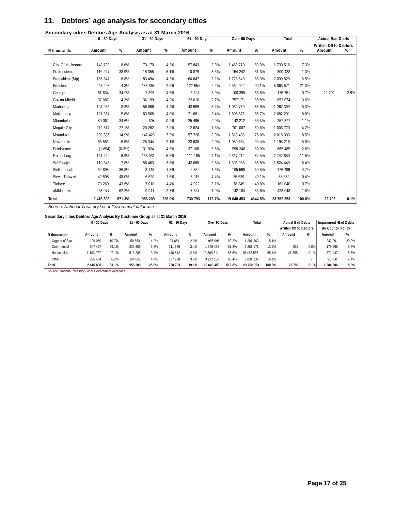## **11. Debtors' age analysis for secondary cities**

|                   | 0 - 30 Days |           | 31 - 60 Days |        | 61 - 90 Days |        | Over 90 Days |         | Total      |        | <b>Actual Bad Debts</b> |                     |
|-------------------|-------------|-----------|--------------|--------|--------------|--------|--------------|---------|------------|--------|-------------------------|---------------------|
|                   |             |           |              |        |              |        |              |         |            |        | Written Off to Debtors  |                     |
| R thousands       | Amount      | %         | Amount       | %      | Amount       | %      | Amount       | %       | Amount     | %      | Amount                  | %                   |
|                   |             |           |              |        |              |        |              |         |            |        |                         |                     |
| City Of Matlosana | 148 793     | 8.6%      | 73 170       | 4.2%   | 57843        | 3.3%   | 1 459 710    | 83.9%   | 1 739 516  | 7.3%   |                         |                     |
| Drakenstein       | 116 947     | 38.9%     | 18 355       | 6.1%   | 10 879       | 3.6%   | 154 242      | 51.3%   | 300 423    | 1.3%   |                         | $\sim$              |
| Emalahleni (Mp)   | 135 847     | 6.8%      | 83 494       | 4.2%   | 64 647       | 3.2%   | 1 725 540    | 85.9%   | 2 009 529  | 8.5%   |                         | ÷                   |
| Emfuleni          | 243 208     | 4.8%      | 133 668      | 2.6%   | 122 654      | 2.4%   | 4 564 042    | 90.1%   | 5 063 571  | 21.3%  |                         | $\sim$              |
| George            | 61 634      | 34.9%     | 7895         | 4.5%   | 6827         | 3.9%   | 100 395      | 56.8%   | 176 751    | 0.7%   | 22 792                  | 12.9%               |
| Gov an Mbeki      | 37 087      | 4.3%      | 36 199       | 4.2%   | 22 616       | 2.7%   | 757 171      | 88.8%   | 853 074    | 3.6%   |                         | $\sim$              |
| Madibeng          | 104 955     | 8.3%      | 56 066       | 4.4%   | 43 599       | 3.4%   | 1 062 780    | 83.9%   | 1 267 399  | 5.3%   |                         | $\sim$              |
| Matjhabeng        | 121 367     | 5.8%      | 83 568       | 4.0%   | 71 681       | 3.4%   | 1805675      | 86.7%   | 2 082 291  | 8.8%   |                         | $\sim$              |
| Mbombela          | 89 062      | 34.6%     | 608          | 0.2%   | 25 4 95      | 9.9%   | 142 212      | 55.3%   | 257 377    | 1.1%   |                         | $\sim$              |
| Mogale City       | 272 817     | 27.1%     | 20 26 2      | 2.0%   | 12 624       | 1.3%   | 701 067      | 69.6%   | 1 006 770  | 4.2%   |                         | $\sim$              |
| Msunduzi          | 299 836     | 14.9%     | 147 428      | 7.3%   | 57 726       | 2.9%   | 1 513 403    | 75.0%   | 2 018 393  | 8.5%   |                         | $\sim$              |
| Newcastle         | 65 581      | 5.5%      | 25 344       | 2.1%   | 23 638       | 2.0%   | 1 080 654    | 90.4%   | 1 195 216  | 5.0%   |                         | $\sim$              |
| Polokw ane        | (1854)      | $(0.3\%)$ | 31 924       | 4.8%   | 37 168       | 5.6%   | 598 246      | 89.9%   | 665 485    | 2.8%   |                         | $\omega_{\rm{eff}}$ |
| Rustenburg        | 161 442     | 5.9%      | 153 031      | 5.6%   | 111 165      | 4.1%   | 2 317 212    | 84.5%   | 2 742 850  | 11.5%  |                         | $\sim$              |
| Sol Plaatje       | 119 343     | 7.8%      | 58 483       | 3.8%   | 42 688       | 2.8%   | 1 303 935    | 85.5%   | 1 524 449  | 6.4%   |                         | $\sim$              |
| Stellenbosch      | 64 898      | 36.8%     | 3 1 4 5      | 1.8%   | 2859         | 1.6%   | 105 598      | 59.8%   | 176 499    | 0.7%   |                         | ÷.                  |
| Steve Tshwete     | 42 598      | 48.0%     | 6 6 20       | 7.5%   | 3 9 1 5      | 4.4%   | 35 539       | 40.1%   | 88 672     | 0.4%   |                         | $\sim$              |
| Tlokwe            | 70 260      | 43.6%     | 7 0 10       | 4.4%   | 4 9 2 2      | 3.1%   | 78 849       | 49.0%   | 161 040    | 0.7%   |                         |                     |
| uMhlathuze        | 263 077     | 62.2%     | 9 9 4 1      | 2.3%   | 7847         | 1.9%   | 142 184      | 33.6%   | 423 048    | 1.8%   |                         |                     |
| Total             | 2 416 898   | 571.3%    | 956 209      | 226.0% | 730 793      | 172.7% | 19 648 453   | 4644.5% | 23 752 353 | 100.0% | 22 792                  | 0.1%                |

**Secondary cities Debtors Age Analysis as at 31 March 2016**

*Source: National Treasury Local Government database*

#### **Secondary cities Debtors Age Analysis By Customer Group as at 31 March 2016**

|                   | 0 - 30 Days |       | 31 - 60 Davs |       | 61 - 90 Davs |       | Over 90 Days |        | Total      |        | <b>Actual Bad Debts</b> |      | Impairment -Bad Debts |       |
|-------------------|-------------|-------|--------------|-------|--------------|-------|--------------|--------|------------|--------|-------------------------|------|-----------------------|-------|
|                   |             |       |              |       |              |       |              |        |            |        | Written Off to Debtors  |      | ito Council Policy    |       |
| R thousands       | Amount      | %     | Amount       | %     | Amount       | %     | Amount       | %      | Amount     | %      | Amount                  | %    | Amount                | %     |
| Organs of State   | 129 050     | 10.7% | 50 663       | 4.2%  | 34 654       | 2.9%  | 986 995      | 82.2%  | 201 363    | 5.1%   |                         |      | 242 091               | 20.2% |
| Commercial        | 947 467     | 29.1% | 202 609      | 6.2%  | 111 629      | 3.4%  | 999 466      | 61.3%  | 3 261 171  | 13.7%  | 935                     | 0.0% | 179 568               | 5.5%  |
| <b>Households</b> | 103 977     | 7.1%  | 518 285      | 3.4%  | 446 512      | 2.9%  | 13 389 811   | 86.6%  | 15 458 586 | 65.1%  | 21858                   | 0.1% | 871 447               | 5.6%  |
| Other             | 236 404     | 6.2%  | 184 651      | 4.8%  | 137 998      | 3.6%  | 3 272 180    | 85.4%  | 3 831 233  | 16.1%  |                         |      | 91 500                | 2.4%  |
| Total             | 2 416 898   | 63.1% | 956 209      | 25.0% | 730 793      | 19.1% | 19 648 453   | 512.8% | 23 752 353 | 100.0% | 22 792                  | 0.1% | 1 384 606             | 5.8%  |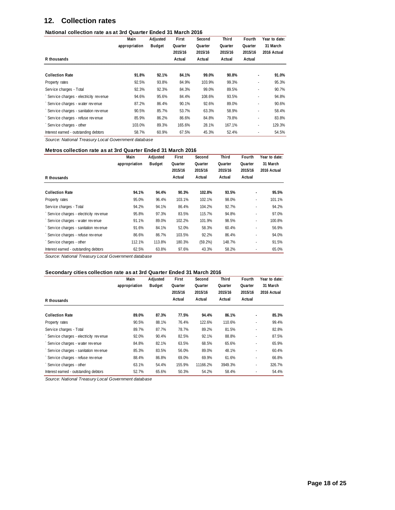## **12. Collection rates**

#### **National collection rate as at 3rd Quarter Ended 31 March 2016**

|                                       | Main          | Adjusted      | First   | Second  | Third   | Fourth  | Year to date: |
|---------------------------------------|---------------|---------------|---------|---------|---------|---------|---------------|
|                                       | appropriation | <b>Budget</b> | Quarter | Quarter | Quarter | Quarter | 31 March      |
|                                       |               |               | 2015/16 | 2015/16 | 2015/16 | 2015/16 | 2016 Actual   |
| R thousands                           |               |               | Actual  | Actual  | Actual  | Actual  |               |
| <b>Collection Rate</b>                | 91.8%         | 92.1%         | 84.1%   | 99.0%   | 90.8%   | ۰       | 91.0%         |
| Property rates                        | 92.5%         | 93.8%         | 84.9%   | 103.9%  | 99.3%   |         | 95.3%         |
| Service charges - Total               | 92.3%         | 92.3%         | 84.3%   | 99.0%   | 89.5%   |         | 90.7%         |
| Service charges - electricity revenue | 94.6%         | 95.6%         | 84.4%   | 108.6%  | 93.5%   | $\sim$  | 94.8%         |
| Service charges - water revenue       | 87.2%         | 86.4%         | 90.1%   | 92.6%   | 89.0%   | ٠       | 90.6%         |
| Service charges - sanitation revenue  | 90.5%         | 85.7%         | 53.7%   | 63.3%   | 58.9%   | ÷.      | 58.4%         |
| Service charges - refuse revenue      | 85.9%         | 86.2%         | 86.6%   | 84.8%   | 79.8%   |         | 83.8%         |
| Service charges - other               | 103.0%        | 89.3%         | 165.6%  | 28.1%   | 167.1%  |         | 129.3%        |
| Interest earned - outstanding debtors | 58.7%         | 60.9%         | 67.5%   | 45.3%   | 52.4%   | $\sim$  | 54.5%         |

*Source: National Treasury Local Government database*

#### **Metros collection rate as at 3rd Quarter Ended 31 March 2016**

|                                       | Main          | Adjusted      | First   | Second  | Third   | Fourth         | Year to date: |
|---------------------------------------|---------------|---------------|---------|---------|---------|----------------|---------------|
|                                       | appropriation | <b>Budget</b> | Quarter | Quarter | Quarter | Quarter        | 31 March      |
|                                       |               |               | 2015/16 | 2015/16 | 2015/16 | 2015/16        | 2016 Actual   |
| R thousands                           |               |               | Actual  | Actual  | Actual  | Actual         |               |
| <b>Collection Rate</b>                | 94.1%         | 94.4%         | 90.3%   | 102.8%  | 93.5%   | $\blacksquare$ | 95.5%         |
| Property rates                        | 95.0%         | 96.4%         | 103.1%  | 102.1%  | 98.0%   | ٠              | 101.1%        |
| Service charges - Total               | 94.2%         | 94.1%         | 86.4%   | 104.2%  | 92.7%   | ٠              | 94.2%         |
| Service charges - electricity revenue | 95.8%         | 97.3%         | 83.5%   | 115.7%  | 94.8%   | $\sim$         | 97.0%         |
| Service charges - water revenue       | 91.1%         | 89.0%         | 102.2%  | 101.9%  | 98.5%   | ٠              | 100.8%        |
| Service charges - sanitation revenue  | 91.6%         | 84.1%         | 52.0%   | 58.3%   | 60.4%   |                | 56.9%         |
| Service charges - refuse revenue      | 86.6%         | 86.7%         | 103.5%  | 92.2%   | 86.4%   | $\sim$         | 94.0%         |
| Service charges - other               | 112.1%        | 113.8%        | 180.3%  | (59.2%) | 148.7%  | ٠              | 91.5%         |
| Interest earned - outstanding debtors | 62.5%         | 63.8%         | 97.6%   | 43.3%   | 58.2%   | $\sim$         | 65.0%         |

*Source: National Treasury Local Government database*

#### **Secondary cities collection rate as at 3rd Quarter Ended 31 March 2016**

|                                       | Main          | Adjusted      | First   | Second   | Third   | Fourth         | Year to date: |
|---------------------------------------|---------------|---------------|---------|----------|---------|----------------|---------------|
|                                       | appropriation | <b>Budget</b> | Quarter | Quarter  | Quarter | Quarter        | 31 March      |
|                                       |               |               | 2015/16 | 2015/16  | 2015/16 | 2015/16        | 2016 Actual   |
| R thousands                           |               |               | Actual  | Actual   | Actual  | Actual         |               |
| <b>Collection Rate</b>                | 89.0%         | 87.3%         | 77.5%   | 94.4%    | 86.1%   |                | 85.3%         |
| Property rates                        | 90.5%         | 88.1%         | 76.4%   | 122.6%   | 110.6%  |                | 99.4%         |
| Service charges - Total               | 89.7%         | 87.7%         | 78.7%   | 89.2%    | 81.5%   | ٠              | 82.8%         |
| Service charges - electricity revenue | 92.0%         | 90.4%         | 82.5%   | 92.1%    | 88.8%   | $\blacksquare$ | 87.5%         |
| Service charges - water revenue       | 84.8%         | 82.1%         | 63.5%   | 68.5%    | 65.6%   |                | 65.9%         |
| Service charges - sanitation revenue  | 85.3%         | 83.5%         | 56.0%   | 89.0%    | 48.1%   |                | 60.4%         |
| Service charges - refuse revenue      | 88.4%         | 86.8%         | 69.0%   | 69.9%    | 61.6%   | $\sim$         | 66.8%         |
| Service charges - other               | 63.1%         | 54.4%         | 155.9%  | 11166.2% | 3949.3% | ٠              | 326.7%        |
| Interest earned - outstanding debtors | 52.7%         | 65.6%         | 50.3%   | 54.2%    | 58.4%   |                | 54.4%         |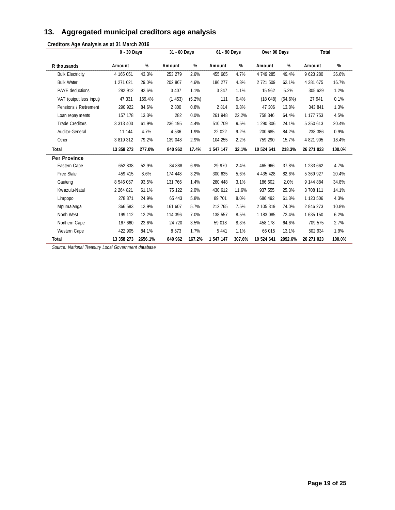## **13. Aggregated municipal creditors age analysis**

**Creditors Age Analysis as at 31 March 2016**

|                         | $\overline{0}$ - 30 Days |         | 31 - 60 Days |           | 61 - 90 Days |        | Over 90 Days  |            | Total      |        |
|-------------------------|--------------------------|---------|--------------|-----------|--------------|--------|---------------|------------|------------|--------|
| R thousands             | Amount                   | %       | Amount       | %         | Amount       | %      | Amount        | %          | Amount     | %      |
| <b>Bulk Electricity</b> | 4 165 051                | 43.3%   | 253 279      | 2.6%      | 455 665      | 4.7%   | 4 749 285     | 49.4%      | 9 623 280  | 36.6%  |
| <b>Bulk Water</b>       | 1 271 021                | 29.0%   | 202 867      | 4.6%      | 186 277      | 4.3%   | 2 721 509     | 62.1%      | 4 381 675  | 16.7%  |
| <b>PAYE</b> deductions  | 282 912                  | 92.6%   | 3 4 0 7      | 1.1%      | 3 3 4 7      | 1.1%   | 15 962        | 5.2%       | 305 629    | 1.2%   |
| VAT (output less input) | 47 331                   | 169.4%  | (1453)       | $(5.2\%)$ | 111          | 0.4%   | (18048)       | $(64.6\%)$ | 27 941     | 0.1%   |
| Pensions / Retirement   | 290 922                  | 84.6%   | 2 800        | 0.8%      | 2 8 1 4      | 0.8%   | 47 306        | 13.8%      | 343 841    | 1.3%   |
| Loan repay ments        | 157 178                  | 13.3%   | 282          | 0.0%      | 261 948      | 22.2%  | 758 346       | 64.4%      | 1 177 753  | 4.5%   |
| <b>Trade Creditors</b>  | 3 313 403                | 61.9%   | 236 195      | 4.4%      | 510 709      | 9.5%   | 1 290 306     | 24.1%      | 5 350 613  | 20.4%  |
| Auditor-General         | 11 144                   | 4.7%    | 4536         | 1.9%      | 22 022       | 9.2%   | 200 685       | 84.2%      | 238 386    | 0.9%   |
| Other                   | 3 819 312                | 79.2%   | 139 048      | 2.9%      | 104 255      | 2.2%   | 759 290       | 15.7%      | 4 821 905  | 18.4%  |
| Total                   | 13 358 273               | 277.0%  | 840 962      | 17.4%     | 1 547 147    | 32.1%  | 10 524 641    | 218.3%     | 26 271 023 | 100.0% |
| <b>Per Province</b>     |                          |         |              |           |              |        |               |            |            |        |
| Eastern Cape            | 652 838                  | 52.9%   | 84 888       | 6.9%      | 29 970       | 2.4%   | 465 966       | 37.8%      | 1 233 662  | 4.7%   |
| Free State              | 459 415                  | 8.6%    | 174 448      | 3.2%      | 300 635      | 5.6%   | 4 4 3 5 4 2 8 | 82.6%      | 5 369 927  | 20.4%  |
| Gauteng                 | 8 546 067                | 93.5%   | 131 766      | 1.4%      | 280 448      | 3.1%   | 186 602       | 2.0%       | 9 144 884  | 34.8%  |
| Kw azulu-Natal          | 2 2 6 4 8 2 1            | 61.1%   | 75 122       | 2.0%      | 430 612      | 11.6%  | 937 555       | 25.3%      | 3 708 111  | 14.1%  |
| Limpopo                 | 278 871                  | 24.9%   | 65 443       | 5.8%      | 89 701       | 8.0%   | 686 492       | 61.3%      | 1 120 506  | 4.3%   |
| Mpumalanga              | 366 583                  | 12.9%   | 161 607      | 5.7%      | 212 765      | 7.5%   | 2 105 319     | 74.0%      | 2 846 273  | 10.8%  |
| North West              | 199 112                  | 12.2%   | 114 396      | 7.0%      | 138 557      | 8.5%   | 1 183 085     | 72.4%      | 1 635 150  | 6.2%   |
| Northern Cape           | 167 660                  | 23.6%   | 24 720       | 3.5%      | 59 018       | 8.3%   | 458 178       | 64.6%      | 709 575    | 2.7%   |
| Western Cape            | 422 905                  | 84.1%   | 8 5 7 3      | 1.7%      | 5 4 4 1      | 1.1%   | 66 015        | 13.1%      | 502 934    | 1.9%   |
| Total                   | 13 358 273               | 2656.1% | 840 962      | 167.2%    | 1 547 147    | 307.6% | 10 524 641    | 2092.6%    | 26 271 023 | 100.0% |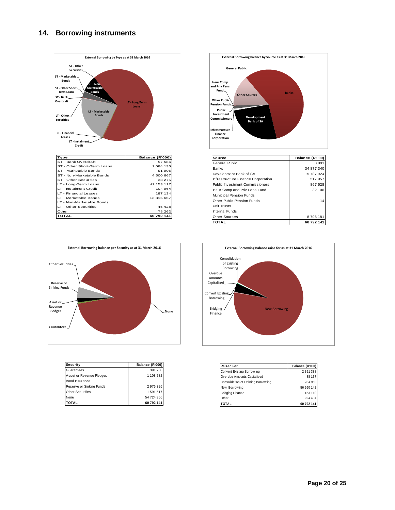## **14. Borrowing instruments**





| Source                                 | Balance (R'000) |
|----------------------------------------|-----------------|
| General Public                         | 3 0 9 1         |
| <b>Banks</b>                           | 34 877 340      |
| Development Bank of SA                 | 15 787 924      |
| Infrastructure Finance Corporation     | 517957          |
| <b>Public Investment Commissioners</b> | 867 528         |
| Insur Comp and Priv Pens Fund          | 32 106          |
| Municipal Pension Funds                |                 |
| Other Public Pension Funds             | 14              |
| <b>Unit Trusts</b>                     |                 |
| Internal Funds                         |                 |
| <b>Other Sources</b>                   | 8706181         |
| <b>TOTAL</b>                           | 60 792 141      |



| Security                 | Balance (R'000) |
|--------------------------|-----------------|
| Guarantees               | 391 200         |
| Asset or Revenue Pledges | 1 108 732       |
| Bond Insurance           |                 |
| Reserve or Sinking Funds | 2 976 326       |
| <b>Other Securities</b>  | 1 591 517       |
| None                     | 54 724 366      |
| <b>OTAL</b>              | 60 792 141      |



| <b>Raised For</b>                    | Balance (R'000) |
|--------------------------------------|-----------------|
| Convert Existing Borrow ing          | 2 351 388       |
| Overdue Amounts Capitalised          | 88 137          |
| Consolidation of Existing Borrow ing | 284 960         |
| New Borrow ing                       | 56 990 142      |
| <b>Bridging Finance</b>              | 153 110         |
| Other                                | 924 404         |
| TAI                                  | 60 792 141      |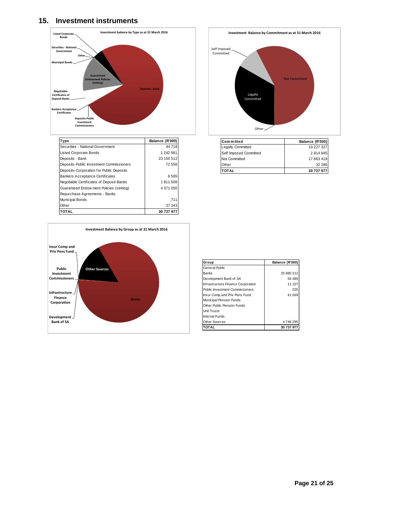## **15. Investment instruments**



| Type                                     | Balance (R'000) |
|------------------------------------------|-----------------|
| Securities - National Government         | 44 718          |
| <b>Listed Corporate Bonds</b>            | 1 242 981       |
| Deposits - Bank                          | 23 150 512      |
| Deposits-Public Investment Commissioners | 72558           |
| Deposits-Corporation for Public Deposits |                 |
| <b>Bankers Acceptance Certificates</b>   | 6595            |
| Negotiable Certificates of Deposit-Banks | 1811509         |
| Guaranteed Endow ment Policies (sinking) | 4 371 050       |
| Repurchase Agreements - Banks            |                 |
| <b>Municipal Bonds</b>                   | 711             |
| Other                                    | 37 343          |
| ΤΩΤΑΙ                                    | 30 737 977      |





| Committed              | Balance (R'000) |
|------------------------|-----------------|
| Legally Committed      | 10 227 327      |
| Self Imposed Committed | 2 814 945       |
| Not Committed          | 17 663 419      |
| Other                  | 32 286          |
| <b>TOTAL</b>           | 30 737 977      |

| Group                                  | Balance (R'000) |
|----------------------------------------|-----------------|
| General Public                         |                 |
| Banks                                  | 25 880 212      |
| Development Bank of SA                 | 56 489          |
| Infrastructure Finance Corporation     | 11 107          |
| <b>Public Investment Commissioners</b> | 205             |
| Insur Comp and Priv Pens Fund          | 41 669          |
| Municipal Pension Funds                |                 |
| Other Public Pension Funds             |                 |
| <b>Unit Trusts</b>                     |                 |
| Internal Funds                         |                 |
| <b>Other Sources</b>                   | 4748295         |
| <b>TOTAL</b>                           | 30 737 977      |